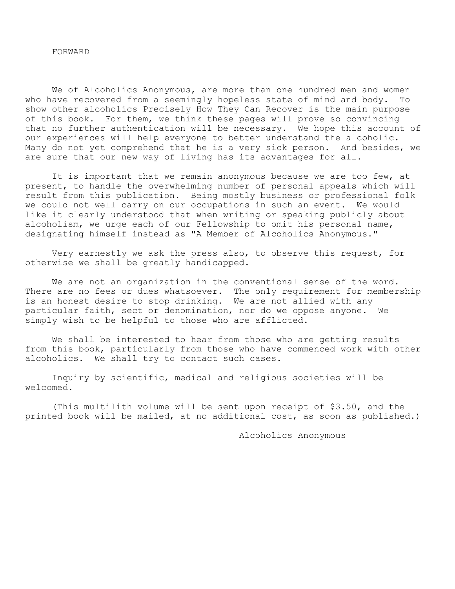## FORWARD

We of Alcoholics Anonymous, are more than one hundred men and women who have recovered from a seemingly hopeless state of mind and body. To show other alcoholics Precisely How They Can Recover is the main purpose of this book. For them, we think these pages will prove so convincing that no further authentication will be necessary. We hope this account of our experiences will help everyone to better understand the alcoholic. Many do not yet comprehend that he is a very sick person. And besides, we are sure that our new way of living has its advantages for all.

 It is important that we remain anonymous because we are too few, at present, to handle the overwhelming number of personal appeals which will result from this publication. Being mostly business or professional folk we could not well carry on our occupations in such an event. We would like it clearly understood that when writing or speaking publicly about alcoholism, we urge each of our Fellowship to omit his personal name, designating himself instead as "A Member of Alcoholics Anonymous."

 Very earnestly we ask the press also, to observe this request, for otherwise we shall be greatly handicapped.

 We are not an organization in the conventional sense of the word. There are no fees or dues whatsoever. The only requirement for membership is an honest desire to stop drinking. We are not allied with any particular faith, sect or denomination, nor do we oppose anyone. We simply wish to be helpful to those who are afflicted.

 We shall be interested to hear from those who are getting results from this book, particularly from those who have commenced work with other alcoholics. We shall try to contact such cases.

 Inquiry by scientific, medical and religious societies will be welcomed.

 (This multilith volume will be sent upon receipt of \$3.50, and the printed book will be mailed, at no additional cost, as soon as published.)

Alcoholics Anonymous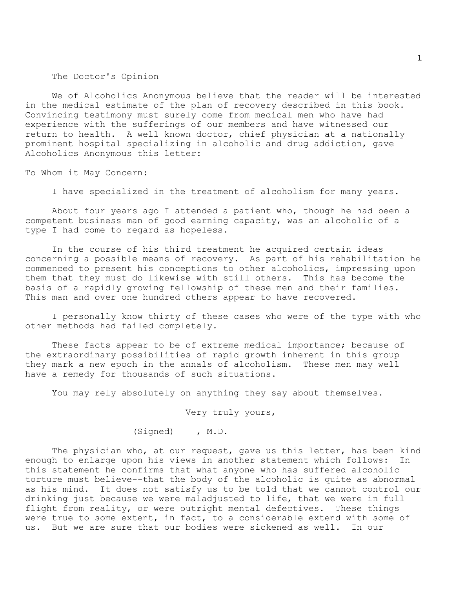The Doctor's Opinion

 We of Alcoholics Anonymous believe that the reader will be interested in the medical estimate of the plan of recovery described in this book. Convincing testimony must surely come from medical men who have had experience with the sufferings of our members and have witnessed our return to health. A well known doctor, chief physician at a nationally prominent hospital specializing in alcoholic and drug addiction, gave Alcoholics Anonymous this letter:

To Whom it May Concern:

I have specialized in the treatment of alcoholism for many years.

 About four years ago I attended a patient who, though he had been a competent business man of good earning capacity, was an alcoholic of a type I had come to regard as hopeless.

 In the course of his third treatment he acquired certain ideas concerning a possible means of recovery. As part of his rehabilitation he commenced to present his conceptions to other alcoholics, impressing upon them that they must do likewise with still others. This has become the basis of a rapidly growing fellowship of these men and their families. This man and over one hundred others appear to have recovered.

 I personally know thirty of these cases who were of the type with who other methods had failed completely.

 These facts appear to be of extreme medical importance; because of the extraordinary possibilities of rapid growth inherent in this group they mark a new epoch in the annals of alcoholism. These men may well have a remedy for thousands of such situations.

You may rely absolutely on anything they say about themselves.

Very truly yours,

(Signed) , M.D.

The physician who, at our request, gave us this letter, has been kind enough to enlarge upon his views in another statement which follows: In this statement he confirms that what anyone who has suffered alcoholic torture must believe--that the body of the alcoholic is quite as abnormal as his mind. It does not satisfy us to be told that we cannot control our drinking just because we were maladjusted to life, that we were in full flight from reality, or were outright mental defectives. These things were true to some extent, in fact, to a considerable extend with some of us. But we are sure that our bodies were sickened as well. In our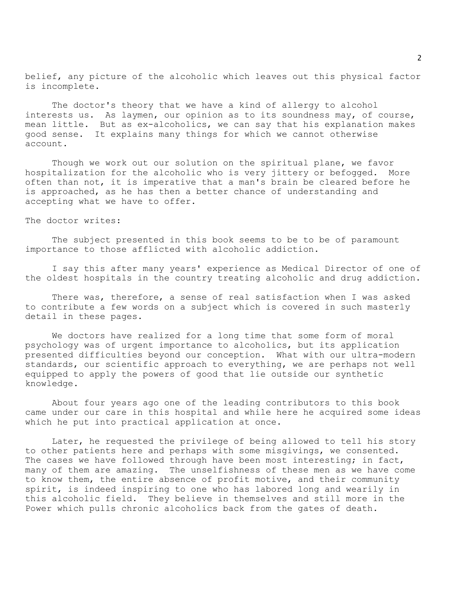belief, any picture of the alcoholic which leaves out this physical factor is incomplete.

 The doctor's theory that we have a kind of allergy to alcohol interests us. As laymen, our opinion as to its soundness may, of course, mean little. But as ex-alcoholics, we can say that his explanation makes good sense. It explains many things for which we cannot otherwise account.

Though we work out our solution on the spiritual plane, we favor hospitalization for the alcoholic who is very jittery or befogged. More often than not, it is imperative that a man's brain be cleared before he is approached, as he has then a better chance of understanding and accepting what we have to offer.

## The doctor writes:

 The subject presented in this book seems to be to be of paramount importance to those afflicted with alcoholic addiction.

 I say this after many years' experience as Medical Director of one of the oldest hospitals in the country treating alcoholic and drug addiction.

 There was, therefore, a sense of real satisfaction when I was asked to contribute a few words on a subject which is covered in such masterly detail in these pages.

 We doctors have realized for a long time that some form of moral psychology was of urgent importance to alcoholics, but its application presented difficulties beyond our conception. What with our ultra-modern standards, our scientific approach to everything, we are perhaps not well equipped to apply the powers of good that lie outside our synthetic knowledge.

 About four years ago one of the leading contributors to this book came under our care in this hospital and while here he acquired some ideas which he put into practical application at once.

 Later, he requested the privilege of being allowed to tell his story to other patients here and perhaps with some misgivings, we consented. The cases we have followed through have been most interesting; in fact, many of them are amazing. The unselfishness of these men as we have come to know them, the entire absence of profit motive, and their community spirit, is indeed inspiring to one who has labored long and wearily in this alcoholic field. They believe in themselves and still more in the Power which pulls chronic alcoholics back from the gates of death.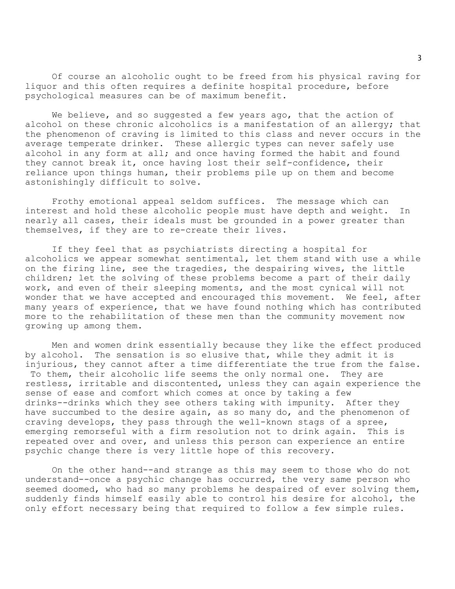Of course an alcoholic ought to be freed from his physical raving for liquor and this often requires a definite hospital procedure, before psychological measures can be of maximum benefit.

We believe, and so suggested a few years ago, that the action of alcohol on these chronic alcoholics is a manifestation of an allergy; that the phenomenon of craving is limited to this class and never occurs in the average temperate drinker. These allergic types can never safely use alcohol in any form at all; and once having formed the habit and found they cannot break it, once having lost their self-confidence, their reliance upon things human, their problems pile up on them and become astonishingly difficult to solve.

 Frothy emotional appeal seldom suffices. The message which can interest and hold these alcoholic people must have depth and weight. In nearly all cases, their ideals must be grounded in a power greater than themselves, if they are to re-create their lives.

 If they feel that as psychiatrists directing a hospital for alcoholics we appear somewhat sentimental, let them stand with use a while on the firing line, see the tragedies, the despairing wives, the little children; let the solving of these problems become a part of their daily work, and even of their sleeping moments, and the most cynical will not wonder that we have accepted and encouraged this movement. We feel, after many years of experience, that we have found nothing which has contributed more to the rehabilitation of these men than the community movement now growing up among them.

 Men and women drink essentially because they like the effect produced by alcohol. The sensation is so elusive that, while they admit it is injurious, they cannot after a time differentiate the true from the false. To them, their alcoholic life seems the only normal one. They are restless, irritable and discontented, unless they can again experience the sense of ease and comfort which comes at once by taking a few drinks--drinks which they see others taking with impunity. After they have succumbed to the desire again, as so many do, and the phenomenon of craving develops, they pass through the well-known stags of a spree, emerging remorseful with a firm resolution not to drink again. This is repeated over and over, and unless this person can experience an entire psychic change there is very little hope of this recovery.

 On the other hand--and strange as this may seem to those who do not understand--once a psychic change has occurred, the very same person who seemed doomed, who had so many problems he despaired of ever solving them, suddenly finds himself easily able to control his desire for alcohol, the only effort necessary being that required to follow a few simple rules.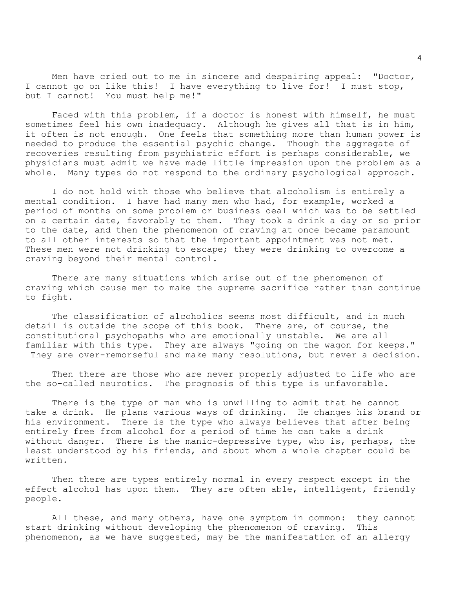Men have cried out to me in sincere and despairing appeal: "Doctor, I cannot go on like this! I have everything to live for! I must stop, but I cannot! You must help me!"

 Faced with this problem, if a doctor is honest with himself, he must sometimes feel his own inadequacy. Although he gives all that is in him, it often is not enough. One feels that something more than human power is needed to produce the essential psychic change. Though the aggregate of recoveries resulting from psychiatric effort is perhaps considerable, we physicians must admit we have made little impression upon the problem as a whole. Many types do not respond to the ordinary psychological approach.

 I do not hold with those who believe that alcoholism is entirely a mental condition. I have had many men who had, for example, worked a period of months on some problem or business deal which was to be settled on a certain date, favorably to them. They took a drink a day or so prior to the date, and then the phenomenon of craving at once became paramount to all other interests so that the important appointment was not met. These men were not drinking to escape; they were drinking to overcome a craving beyond their mental control.

 There are many situations which arise out of the phenomenon of craving which cause men to make the supreme sacrifice rather than continue to fight.

The classification of alcoholics seems most difficult, and in much detail is outside the scope of this book. There are, of course, the constitutional psychopaths who are emotionally unstable. We are all familiar with this type. They are always "going on the wagon for keeps." They are over-remorseful and make many resolutions, but never a decision.

 Then there are those who are never properly adjusted to life who are the so-called neurotics. The prognosis of this type is unfavorable.

 There is the type of man who is unwilling to admit that he cannot take a drink. He plans various ways of drinking. He changes his brand or his environment. There is the type who always believes that after being entirely free from alcohol for a period of time he can take a drink without danger. There is the manic-depressive type, who is, perhaps, the least understood by his friends, and about whom a whole chapter could be written.

 Then there are types entirely normal in every respect except in the effect alcohol has upon them. They are often able, intelligent, friendly people.

All these, and many others, have one symptom in common: they cannot start drinking without developing the phenomenon of craving. This phenomenon, as we have suggested, may be the manifestation of an allergy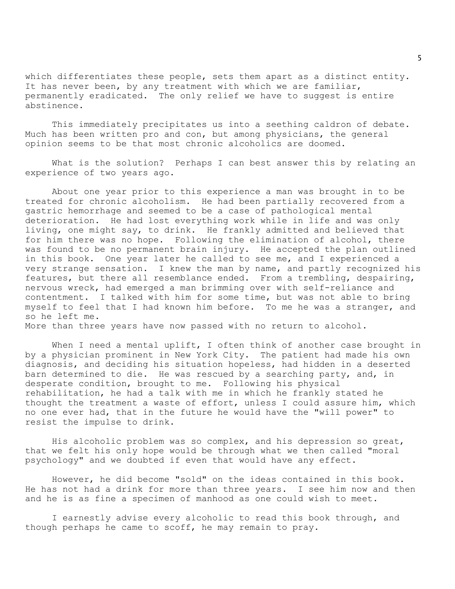which differentiates these people, sets them apart as a distinct entity. It has never been, by any treatment with which we are familiar, permanently eradicated. The only relief we have to suggest is entire abstinence.

 This immediately precipitates us into a seething caldron of debate. Much has been written pro and con, but among physicians, the general opinion seems to be that most chronic alcoholics are doomed.

 What is the solution? Perhaps I can best answer this by relating an experience of two years ago.

 About one year prior to this experience a man was brought in to be treated for chronic alcoholism. He had been partially recovered from a gastric hemorrhage and seemed to be a case of pathological mental deterioration. He had lost everything work while in life and was only living, one might say, to drink. He frankly admitted and believed that for him there was no hope. Following the elimination of alcohol, there was found to be no permanent brain injury. He accepted the plan outlined in this book. One year later he called to see me, and I experienced a very strange sensation. I knew the man by name, and partly recognized his features, but there all resemblance ended. From a trembling, despairing, nervous wreck, had emerged a man brimming over with self-reliance and contentment. I talked with him for some time, but was not able to bring myself to feel that I had known him before. To me he was a stranger, and so he left me.

More than three years have now passed with no return to alcohol.

When I need a mental uplift, I often think of another case brought in by a physician prominent in New York City. The patient had made his own diagnosis, and deciding his situation hopeless, had hidden in a deserted barn determined to die. He was rescued by a searching party, and, in desperate condition, brought to me. Following his physical rehabilitation, he had a talk with me in which he frankly stated he thought the treatment a waste of effort, unless I could assure him, which no one ever had, that in the future he would have the "will power" to resist the impulse to drink.

 His alcoholic problem was so complex, and his depression so great, that we felt his only hope would be through what we then called "moral psychology" and we doubted if even that would have any effect.

 However, he did become "sold" on the ideas contained in this book. He has not had a drink for more than three years. I see him now and then and he is as fine a specimen of manhood as one could wish to meet.

 I earnestly advise every alcoholic to read this book through, and though perhaps he came to scoff, he may remain to pray.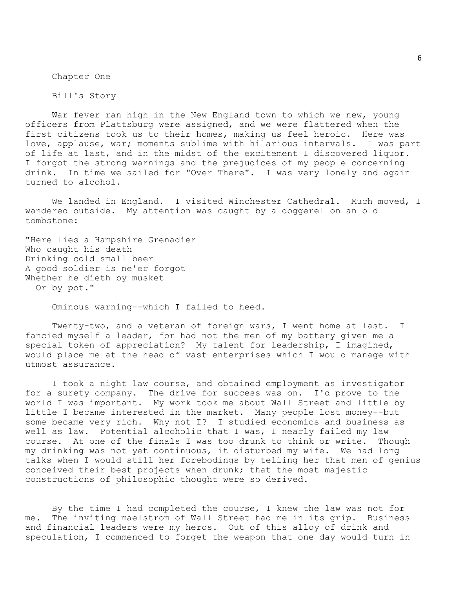Chapter One

Bill's Story

 War fever ran high in the New England town to which we new, young officers from Plattsburg were assigned, and we were flattered when the first citizens took us to their homes, making us feel heroic. Here was love, applause, war; moments sublime with hilarious intervals. I was part of life at last, and in the midst of the excitement I discovered liquor. I forgot the strong warnings and the prejudices of my people concerning drink. In time we sailed for "Over There". I was very lonely and again turned to alcohol.

We landed in England. I visited Winchester Cathedral. Much moved, I wandered outside. My attention was caught by a doggerel on an old tombstone:

"Here lies a Hampshire Grenadier Who caught his death Drinking cold small beer A good soldier is ne'er forgot Whether he dieth by musket Or by pot."

Ominous warning--which I failed to heed.

 Twenty-two, and a veteran of foreign wars, I went home at last. I fancied myself a leader, for had not the men of my battery given me a special token of appreciation? My talent for leadership, I imagined, would place me at the head of vast enterprises which I would manage with utmost assurance.

 I took a night law course, and obtained employment as investigator for a surety company. The drive for success was on. I'd prove to the world I was important. My work took me about Wall Street and little by little I became interested in the market. Many people lost money--but some became very rich. Why not I? I studied economics and business as well as law. Potential alcoholic that I was, I nearly failed my law course. At one of the finals I was too drunk to think or write. Though my drinking was not yet continuous, it disturbed my wife. We had long talks when I would still her forebodings by telling her that men of genius conceived their best projects when drunk; that the most majestic constructions of philosophic thought were so derived.

 By the time I had completed the course, I knew the law was not for me. The inviting maelstrom of Wall Street had me in its grip. Business and financial leaders were my heros. Out of this alloy of drink and speculation, I commenced to forget the weapon that one day would turn in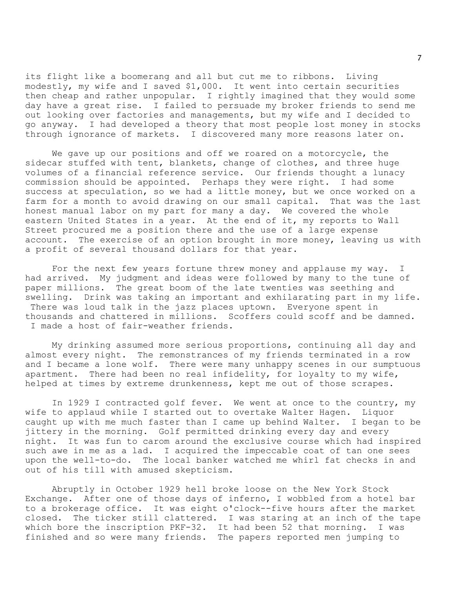its flight like a boomerang and all but cut me to ribbons. Living modestly, my wife and I saved \$1,000. It went into certain securities then cheap and rather unpopular. I rightly imagined that they would some day have a great rise. I failed to persuade my broker friends to send me out looking over factories and managements, but my wife and I decided to go anyway. I had developed a theory that most people lost money in stocks through ignorance of markets. I discovered many more reasons later on.

 We gave up our positions and off we roared on a motorcycle, the sidecar stuffed with tent, blankets, change of clothes, and three huge volumes of a financial reference service. Our friends thought a lunacy commission should be appointed. Perhaps they were right. I had some success at speculation, so we had a little money, but we once worked on a farm for a month to avoid drawing on our small capital. That was the last honest manual labor on my part for many a day. We covered the whole eastern United States in a year. At the end of it, my reports to Wall Street procured me a position there and the use of a large expense account. The exercise of an option brought in more money, leaving us with a profit of several thousand dollars for that year.

 For the next few years fortune threw money and applause my way. I had arrived. My judgment and ideas were followed by many to the tune of paper millions. The great boom of the late twenties was seething and swelling. Drink was taking an important and exhilarating part in my life. There was loud talk in the jazz places uptown. Everyone spent in thousands and chattered in millions. Scoffers could scoff and be damned. I made a host of fair-weather friends.

 My drinking assumed more serious proportions, continuing all day and almost every night. The remonstrances of my friends terminated in a row and I became a lone wolf. There were many unhappy scenes in our sumptuous apartment. There had been no real infidelity, for loyalty to my wife, helped at times by extreme drunkenness, kept me out of those scrapes.

In 1929 I contracted golf fever. We went at once to the country, my wife to applaud while I started out to overtake Walter Hagen. Liquor caught up with me much faster than I came up behind Walter. I began to be jittery in the morning. Golf permitted drinking every day and every night. It was fun to carom around the exclusive course which had inspired such awe in me as a lad. I acquired the impeccable coat of tan one sees upon the well-to-do. The local banker watched me whirl fat checks in and out of his till with amused skepticism.

 Abruptly in October 1929 hell broke loose on the New York Stock Exchange. After one of those days of inferno, I wobbled from a hotel bar to a brokerage office. It was eight o'clock--five hours after the market closed. The ticker still clattered. I was staring at an inch of the tape which bore the inscription PKF-32. It had been 52 that morning. I was finished and so were many friends. The papers reported men jumping to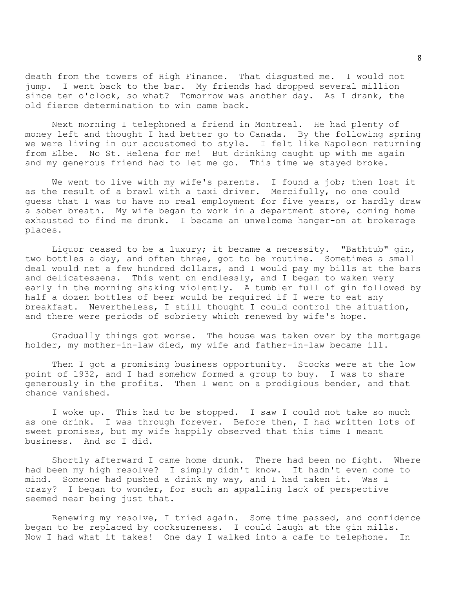death from the towers of High Finance. That disgusted me. I would not jump. I went back to the bar. My friends had dropped several million since ten o'clock, so what? Tomorrow was another day. As I drank, the old fierce determination to win came back.

 Next morning I telephoned a friend in Montreal. He had plenty of money left and thought I had better go to Canada. By the following spring we were living in our accustomed to style. I felt like Napoleon returning from Elbe. No St. Helena for me! But drinking caught up with me again and my generous friend had to let me go. This time we stayed broke.

We went to live with my wife's parents. I found a job; then lost it as the result of a brawl with a taxi driver. Mercifully, no one could guess that I was to have no real employment for five years, or hardly draw a sober breath. My wife began to work in a department store, coming home exhausted to find me drunk. I became an unwelcome hanger-on at brokerage places.

 Liquor ceased to be a luxury; it became a necessity. "Bathtub" gin, two bottles a day, and often three, got to be routine. Sometimes a small deal would net a few hundred dollars, and I would pay my bills at the bars and delicatessens. This went on endlessly, and I began to waken very early in the morning shaking violently. A tumbler full of gin followed by half a dozen bottles of beer would be required if I were to eat any breakfast. Nevertheless, I still thought I could control the situation, and there were periods of sobriety which renewed by wife's hope.

 Gradually things got worse. The house was taken over by the mortgage holder, my mother-in-law died, my wife and father-in-law became ill.

Then I got a promising business opportunity. Stocks were at the low point of 1932, and I had somehow formed a group to buy. I was to share generously in the profits. Then I went on a prodigious bender, and that chance vanished.

 I woke up. This had to be stopped. I saw I could not take so much as one drink. I was through forever. Before then, I had written lots of sweet promises, but my wife happily observed that this time I meant business. And so I did.

 Shortly afterward I came home drunk. There had been no fight. Where had been my high resolve? I simply didn't know. It hadn't even come to mind. Someone had pushed a drink my way, and I had taken it. Was I crazy? I began to wonder, for such an appalling lack of perspective seemed near being just that.

 Renewing my resolve, I tried again. Some time passed, and confidence began to be replaced by cocksureness. I could laugh at the gin mills. Now I had what it takes! One day I walked into a cafe to telephone. In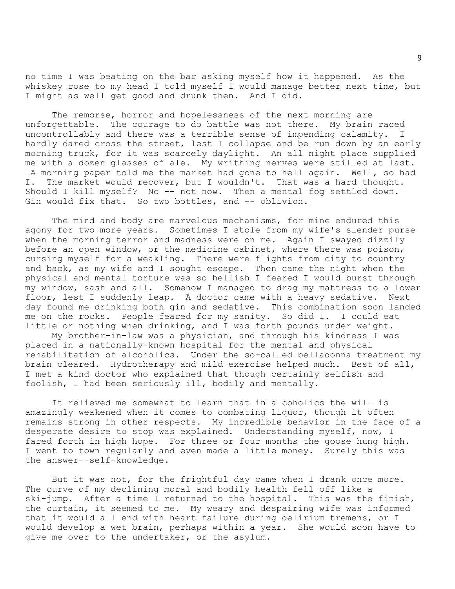no time I was beating on the bar asking myself how it happened. As the whiskey rose to my head I told myself I would manage better next time, but I might as well get good and drunk then. And I did.

 The remorse, horror and hopelessness of the next morning are unforgettable. The courage to do battle was not there. My brain raced uncontrollably and there was a terrible sense of impending calamity. I hardly dared cross the street, lest I collapse and be run down by an early morning truck, for it was scarcely daylight. An all night place supplied me with a dozen glasses of ale. My writhing nerves were stilled at last. A morning paper told me the market had gone to hell again. Well, so had I. The market would recover, but I wouldn't. That was a hard thought. Should I kill myself? No -- not now. Then a mental fog settled down. Gin would fix that. So two bottles, and -- oblivion.

 The mind and body are marvelous mechanisms, for mine endured this agony for two more years. Sometimes I stole from my wife's slender purse when the morning terror and madness were on me. Again I swayed dizzily before an open window, or the medicine cabinet, where there was poison, cursing myself for a weakling. There were flights from city to country and back, as my wife and I sought escape. Then came the night when the physical and mental torture was so hellish I feared I would burst through my window, sash and all. Somehow I managed to drag my mattress to a lower floor, lest I suddenly leap. A doctor came with a heavy sedative. Next day found me drinking both gin and sedative. This combination soon landed me on the rocks. People feared for my sanity. So did I. I could eat little or nothing when drinking, and I was forth pounds under weight.

 My brother-in-law was a physician, and through his kindness I was placed in a nationally-known hospital for the mental and physical rehabilitation of alcoholics. Under the so-called belladonna treatment my brain cleared. Hydrotherapy and mild exercise helped much. Best of all, I met a kind doctor who explained that though certainly selfish and foolish, I had been seriously ill, bodily and mentally.

 It relieved me somewhat to learn that in alcoholics the will is amazingly weakened when it comes to combating liquor, though it often remains strong in other respects. My incredible behavior in the face of a desperate desire to stop was explained. Understanding myself, now, I fared forth in high hope. For three or four months the goose hung high. I went to town regularly and even made a little money. Surely this was the answer--self-knowledge.

 But it was not, for the frightful day came when I drank once more. The curve of my declining moral and bodily health fell off like a ski-jump. After a time I returned to the hospital. This was the finish, the curtain, it seemed to me. My weary and despairing wife was informed that it would all end with heart failure during delirium tremens, or I would develop a wet brain, perhaps within a year. She would soon have to give me over to the undertaker, or the asylum.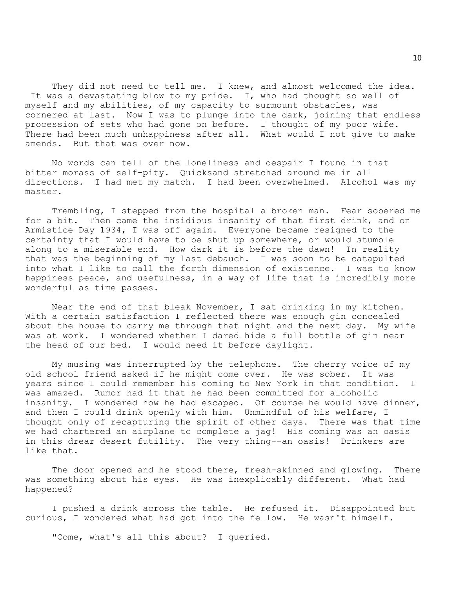They did not need to tell me. I knew, and almost welcomed the idea. It was a devastating blow to my pride. I, who had thought so well of myself and my abilities, of my capacity to surmount obstacles, was cornered at last. Now I was to plunge into the dark, joining that endless procession of sets who had gone on before. I thought of my poor wife. There had been much unhappiness after all. What would I not give to make amends. But that was over now.

 No words can tell of the loneliness and despair I found in that bitter morass of self-pity. Quicksand stretched around me in all directions. I had met my match. I had been overwhelmed. Alcohol was my master.

 Trembling, I stepped from the hospital a broken man. Fear sobered me for a bit. Then came the insidious insanity of that first drink, and on Armistice Day 1934, I was off again. Everyone became resigned to the certainty that I would have to be shut up somewhere, or would stumble along to a miserable end. How dark it is before the dawn! In reality that was the beginning of my last debauch. I was soon to be catapulted into what I like to call the forth dimension of existence. I was to know happiness peace, and usefulness, in a way of life that is incredibly more wonderful as time passes.

 Near the end of that bleak November, I sat drinking in my kitchen. With a certain satisfaction I reflected there was enough gin concealed about the house to carry me through that night and the next day. My wife was at work. I wondered whether I dared hide a full bottle of gin near the head of our bed. I would need it before daylight.

 My musing was interrupted by the telephone. The cherry voice of my old school friend asked if he might come over. He was sober. It was years since I could remember his coming to New York in that condition. I was amazed. Rumor had it that he had been committed for alcoholic insanity. I wondered how he had escaped. Of course he would have dinner, and then I could drink openly with him. Unmindful of his welfare, I thought only of recapturing the spirit of other days. There was that time we had chartered an airplane to complete a jag! His coming was an oasis in this drear desert futility. The very thing--an oasis! Drinkers are like that.

The door opened and he stood there, fresh-skinned and glowing. There was something about his eyes. He was inexplicably different. What had happened?

 I pushed a drink across the table. He refused it. Disappointed but curious, I wondered what had got into the fellow. He wasn't himself.

"Come, what's all this about? I queried.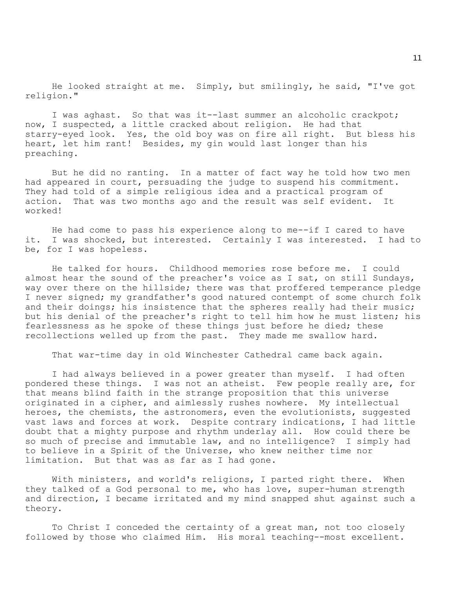He looked straight at me. Simply, but smilingly, he said, "I've got religion."

 I was aghast. So that was it--last summer an alcoholic crackpot; now, I suspected, a little cracked about religion. He had that starry-eyed look. Yes, the old boy was on fire all right. But bless his heart, let him rant! Besides, my gin would last longer than his preaching.

 But he did no ranting. In a matter of fact way he told how two men had appeared in court, persuading the judge to suspend his commitment. They had told of a simple religious idea and a practical program of action. That was two months ago and the result was self evident. It worked!

 He had come to pass his experience along to me--if I cared to have it. I was shocked, but interested. Certainly I was interested. I had to be, for I was hopeless.

 He talked for hours. Childhood memories rose before me. I could almost hear the sound of the preacher's voice as I sat, on still Sundays, way over there on the hillside; there was that proffered temperance pledge I never signed; my grandfather's good natured contempt of some church folk and their doings; his insistence that the spheres really had their music; but his denial of the preacher's right to tell him how he must listen; his fearlessness as he spoke of these things just before he died; these recollections welled up from the past. They made me swallow hard.

That war-time day in old Winchester Cathedral came back again.

 I had always believed in a power greater than myself. I had often pondered these things. I was not an atheist. Few people really are, for that means blind faith in the strange proposition that this universe originated in a cipher, and aimlessly rushes nowhere. My intellectual heroes, the chemists, the astronomers, even the evolutionists, suggested vast laws and forces at work. Despite contrary indications, I had little doubt that a mighty purpose and rhythm underlay all. How could there be so much of precise and immutable law, and no intelligence? I simply had to believe in a Spirit of the Universe, who knew neither time nor limitation. But that was as far as I had gone.

 With ministers, and world's religions, I parted right there. When they talked of a God personal to me, who has love, super-human strength and direction, I became irritated and my mind snapped shut against such a theory.

 To Christ I conceded the certainty of a great man, not too closely followed by those who claimed Him. His moral teaching--most excellent.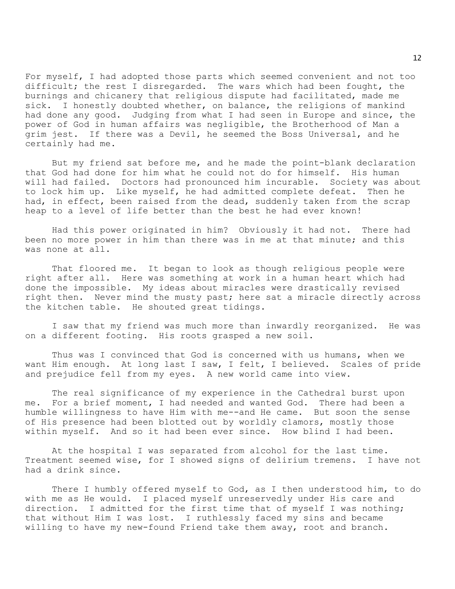For myself, I had adopted those parts which seemed convenient and not too difficult; the rest I disregarded. The wars which had been fought, the burnings and chicanery that religious dispute had facilitated, made me sick. I honestly doubted whether, on balance, the religions of mankind had done any good. Judging from what I had seen in Europe and since, the power of God in human affairs was negligible, the Brotherhood of Man a grim jest. If there was a Devil, he seemed the Boss Universal, and he certainly had me.

 But my friend sat before me, and he made the point-blank declaration that God had done for him what he could not do for himself. His human will had failed. Doctors had pronounced him incurable. Society was about to lock him up. Like myself, he had admitted complete defeat. Then he had, in effect, been raised from the dead, suddenly taken from the scrap heap to a level of life better than the best he had ever known!

 Had this power originated in him? Obviously it had not. There had been no more power in him than there was in me at that minute; and this was none at all.

 That floored me. It began to look as though religious people were right after all. Here was something at work in a human heart which had done the impossible. My ideas about miracles were drastically revised right then. Never mind the musty past; here sat a miracle directly across the kitchen table. He shouted great tidings.

 I saw that my friend was much more than inwardly reorganized. He was on a different footing. His roots grasped a new soil.

 Thus was I convinced that God is concerned with us humans, when we want Him enough. At long last I saw, I felt, I believed. Scales of pride and prejudice fell from my eyes. A new world came into view.

 The real significance of my experience in the Cathedral burst upon me. For a brief moment, I had needed and wanted God. There had been a humble willingness to have Him with me--and He came. But soon the sense of His presence had been blotted out by worldly clamors, mostly those within myself. And so it had been ever since. How blind I had been.

 At the hospital I was separated from alcohol for the last time. Treatment seemed wise, for I showed signs of delirium tremens. I have not had a drink since.

 There I humbly offered myself to God, as I then understood him, to do with me as He would. I placed myself unreservedly under His care and direction. I admitted for the first time that of myself I was nothing; that without Him I was lost. I ruthlessly faced my sins and became willing to have my new-found Friend take them away, root and branch.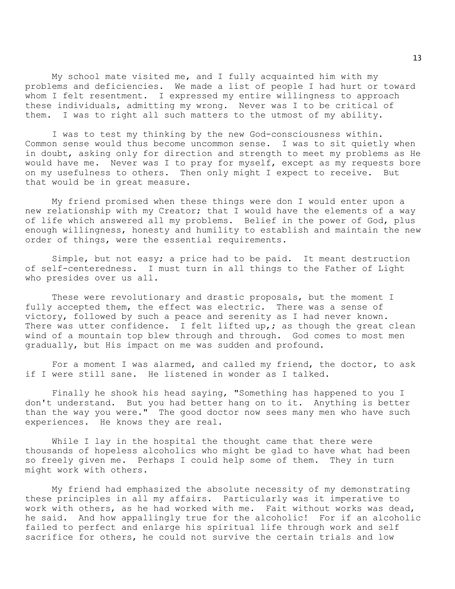My school mate visited me, and I fully acquainted him with my problems and deficiencies. We made a list of people I had hurt or toward whom I felt resentment. I expressed my entire willingness to approach these individuals, admitting my wrong. Never was I to be critical of them. I was to right all such matters to the utmost of my ability.

 I was to test my thinking by the new God-consciousness within. Common sense would thus become uncommon sense. I was to sit quietly when in doubt, asking only for direction and strength to meet my problems as He would have me. Never was I to pray for myself, except as my requests bore on my usefulness to others. Then only might I expect to receive. But that would be in great measure.

 My friend promised when these things were don I would enter upon a new relationship with my Creator; that I would have the elements of a way of life which answered all my problems. Belief in the power of God, plus enough willingness, honesty and humility to establish and maintain the new order of things, were the essential requirements.

 Simple, but not easy; a price had to be paid. It meant destruction of self-centeredness. I must turn in all things to the Father of Light who presides over us all.

 These were revolutionary and drastic proposals, but the moment I fully accepted them, the effect was electric. There was a sense of victory, followed by such a peace and serenity as I had never known. There was utter confidence. I felt lifted up,; as though the great clean wind of a mountain top blew through and through. God comes to most men gradually, but His impact on me was sudden and profound.

 For a moment I was alarmed, and called my friend, the doctor, to ask if I were still sane. He listened in wonder as I talked.

 Finally he shook his head saying, "Something has happened to you I don't understand. But you had better hang on to it. Anything is better than the way you were." The good doctor now sees many men who have such experiences. He knows they are real.

While I lay in the hospital the thought came that there were thousands of hopeless alcoholics who might be glad to have what had been so freely given me. Perhaps I could help some of them. They in turn might work with others.

 My friend had emphasized the absolute necessity of my demonstrating these principles in all my affairs. Particularly was it imperative to work with others, as he had worked with me. Fait without works was dead, he said. And how appallingly true for the alcoholic! For if an alcoholic failed to perfect and enlarge his spiritual life through work and self sacrifice for others, he could not survive the certain trials and low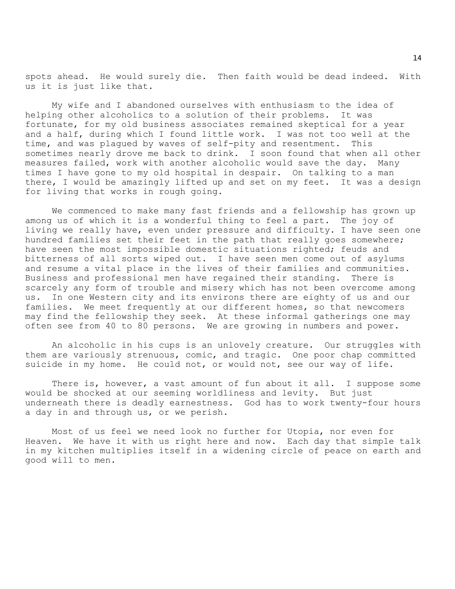spots ahead. He would surely die. Then faith would be dead indeed. With us it is just like that.

 My wife and I abandoned ourselves with enthusiasm to the idea of helping other alcoholics to a solution of their problems. It was fortunate, for my old business associates remained skeptical for a year and a half, during which I found little work. I was not too well at the time, and was plagued by waves of self-pity and resentment. This sometimes nearly drove me back to drink. I soon found that when all other measures failed, work with another alcoholic would save the day. Many times I have gone to my old hospital in despair. On talking to a man there, I would be amazingly lifted up and set on my feet. It was a design for living that works in rough going.

 We commenced to make many fast friends and a fellowship has grown up among us of which it is a wonderful thing to feel a part. The joy of living we really have, even under pressure and difficulty. I have seen one hundred families set their feet in the path that really goes somewhere; have seen the most impossible domestic situations righted; feuds and bitterness of all sorts wiped out. I have seen men come out of asylums and resume a vital place in the lives of their families and communities. Business and professional men have regained their standing. There is scarcely any form of trouble and misery which has not been overcome among us. In one Western city and its environs there are eighty of us and our families. We meet frequently at our different homes, so that newcomers may find the fellowship they seek. At these informal gatherings one may often see from 40 to 80 persons. We are growing in numbers and power.

 An alcoholic in his cups is an unlovely creature. Our struggles with them are variously strenuous, comic, and tragic. One poor chap committed suicide in my home. He could not, or would not, see our way of life.

There is, however, a vast amount of fun about it all. I suppose some would be shocked at our seeming worldliness and levity. But just underneath there is deadly earnestness. God has to work twenty-four hours a day in and through us, or we perish.

 Most of us feel we need look no further for Utopia, nor even for Heaven. We have it with us right here and now. Each day that simple talk in my kitchen multiplies itself in a widening circle of peace on earth and good will to men.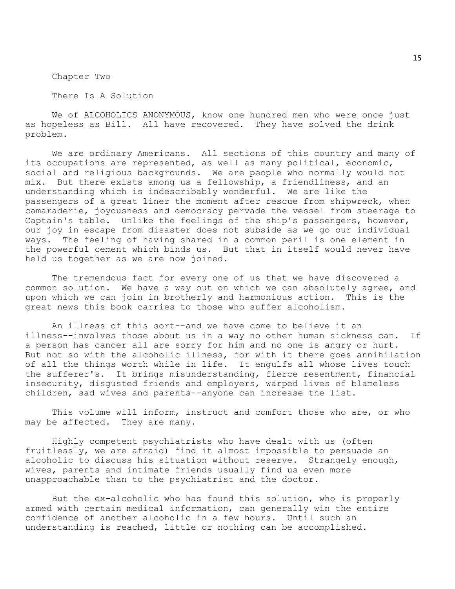Chapter Two

There Is A Solution

 We of ALCOHOLICS ANONYMOUS, know one hundred men who were once just as hopeless as Bill. All have recovered. They have solved the drink problem.

 We are ordinary Americans. All sections of this country and many of its occupations are represented, as well as many political, economic, social and religious backgrounds. We are people who normally would not mix. But there exists among us a fellowship, a friendliness, and an understanding which is indescribably wonderful. We are like the passengers of a great liner the moment after rescue from shipwreck, when camaraderie, joyousness and democracy pervade the vessel from steerage to Captain's table. Unlike the feelings of the ship's passengers, however, our joy in escape from disaster does not subside as we go our individual ways. The feeling of having shared in a common peril is one element in the powerful cement which binds us. But that in itself would never have held us together as we are now joined.

 The tremendous fact for every one of us that we have discovered a common solution. We have a way out on which we can absolutely agree, and upon which we can join in brotherly and harmonious action. This is the great news this book carries to those who suffer alcoholism.

 An illness of this sort--and we have come to believe it an illness--involves those about us in a way no other human sickness can. If a person has cancer all are sorry for him and no one is angry or hurt. But not so with the alcoholic illness, for with it there goes annihilation of all the things worth while in life. It engulfs all whose lives touch the sufferer's. It brings misunderstanding, fierce resentment, financial insecurity, disgusted friends and employers, warped lives of blameless children, sad wives and parents--anyone can increase the list.

 This volume will inform, instruct and comfort those who are, or who may be affected. They are many.

 Highly competent psychiatrists who have dealt with us (often fruitlessly, we are afraid) find it almost impossible to persuade an alcoholic to discuss his situation without reserve. Strangely enough, wives, parents and intimate friends usually find us even more unapproachable than to the psychiatrist and the doctor.

 But the ex-alcoholic who has found this solution, who is properly armed with certain medical information, can generally win the entire confidence of another alcoholic in a few hours. Until such an understanding is reached, little or nothing can be accomplished.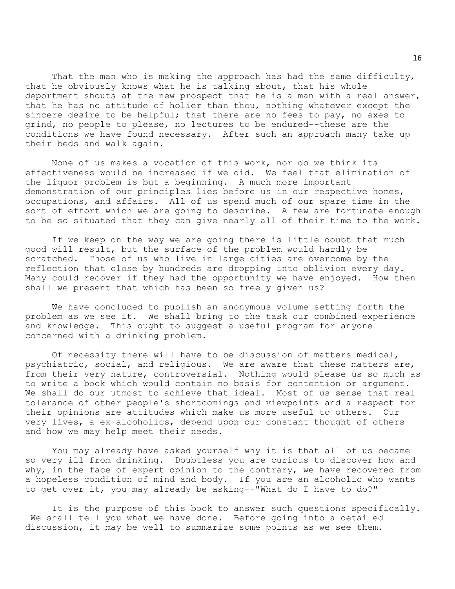That the man who is making the approach has had the same difficulty, that he obviously knows what he is talking about, that his whole deportment shouts at the new prospect that he is a man with a real answer, that he has no attitude of holier than thou, nothing whatever except the sincere desire to be helpful; that there are no fees to pay, no axes to grind, no people to please, no lectures to be endured--these are the conditions we have found necessary. After such an approach many take up their beds and walk again.

 None of us makes a vocation of this work, nor do we think its effectiveness would be increased if we did. We feel that elimination of the liquor problem is but a beginning. A much more important demonstration of our principles lies before us in our respective homes, occupations, and affairs. All of us spend much of our spare time in the sort of effort which we are going to describe. A few are fortunate enough to be so situated that they can give nearly all of their time to the work.

 If we keep on the way we are going there is little doubt that much good will result, but the surface of the problem would hardly be scratched. Those of us who live in large cities are overcome by the reflection that close by hundreds are dropping into oblivion every day. Many could recover if they had the opportunity we have enjoyed. How then shall we present that which has been so freely given us?

 We have concluded to publish an anonymous volume setting forth the problem as we see it. We shall bring to the task our combined experience and knowledge. This ought to suggest a useful program for anyone concerned with a drinking problem.

 Of necessity there will have to be discussion of matters medical, psychiatric, social, and religious. We are aware that these matters are, from their very nature, controversial. Nothing would please us so much as to write a book which would contain no basis for contention or argument. We shall do our utmost to achieve that ideal. Most of us sense that real tolerance of other people's shortcomings and viewpoints and a respect for their opinions are attitudes which make us more useful to others. Our very lives, a ex-alcoholics, depend upon our constant thought of others and how we may help meet their needs.

 You may already have asked yourself why it is that all of us became so very ill from drinking. Doubtless you are curious to discover how and why, in the face of expert opinion to the contrary, we have recovered from a hopeless condition of mind and body. If you are an alcoholic who wants to get over it, you may already be asking--"What do I have to do?"

It is the purpose of this book to answer such questions specifically. We shall tell you what we have done. Before going into a detailed discussion, it may be well to summarize some points as we see them.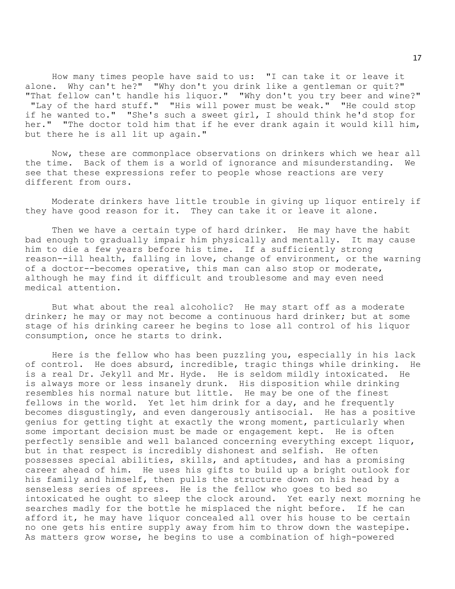How many times people have said to us: "I can take it or leave it alone. Why can't he?" "Why don't you drink like a gentleman or quit?" "That fellow can't handle his liquor." "Why don't you try beer and wine?" "Lay of the hard stuff." "His will power must be weak." "He could stop if he wanted to." "She's such a sweet girl, I should think he'd stop for her." "The doctor told him that if he ever drank again it would kill him, but there he is all lit up again."

 Now, these are commonplace observations on drinkers which we hear all the time. Back of them is a world of ignorance and misunderstanding. We see that these expressions refer to people whose reactions are very different from ours.

 Moderate drinkers have little trouble in giving up liquor entirely if they have good reason for it. They can take it or leave it alone.

Then we have a certain type of hard drinker. He may have the habit bad enough to gradually impair him physically and mentally. It may cause him to die a few years before his time. If a sufficiently strong reason--ill health, falling in love, change of environment, or the warning of a doctor--becomes operative, this man can also stop or moderate, although he may find it difficult and troublesome and may even need medical attention.

 But what about the real alcoholic? He may start off as a moderate drinker; he may or may not become a continuous hard drinker; but at some stage of his drinking career he begins to lose all control of his liquor consumption, once he starts to drink.

 Here is the fellow who has been puzzling you, especially in his lack of control. He does absurd, incredible, tragic things while drinking. He is a real Dr. Jekyll and Mr. Hyde. He is seldom mildly intoxicated. He is always more or less insanely drunk. His disposition while drinking resembles his normal nature but little. He may be one of the finest fellows in the world. Yet let him drink for a day, and he frequently becomes disgustingly, and even dangerously antisocial. He has a positive genius for getting tight at exactly the wrong moment, particularly when some important decision must be made or engagement kept. He is often perfectly sensible and well balanced concerning everything except liquor, but in that respect is incredibly dishonest and selfish. He often possesses special abilities, skills, and aptitudes, and has a promising career ahead of him. He uses his gifts to build up a bright outlook for his family and himself, then pulls the structure down on his head by a senseless series of sprees. He is the fellow who goes to bed so intoxicated he ought to sleep the clock around. Yet early next morning he searches madly for the bottle he misplaced the night before. If he can afford it, he may have liquor concealed all over his house to be certain no one gets his entire supply away from him to throw down the wastepipe. As matters grow worse, he begins to use a combination of high-powered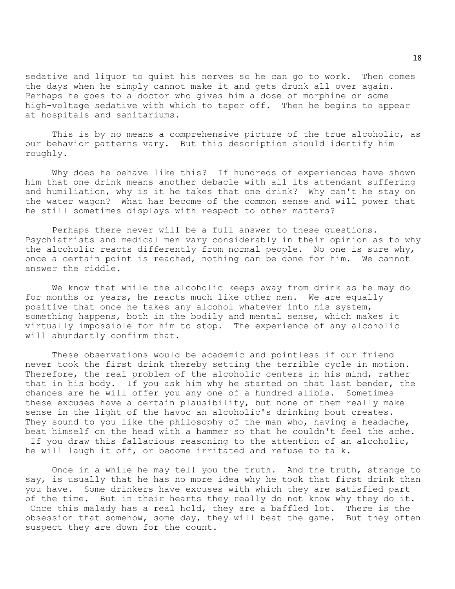sedative and liquor to quiet his nerves so he can go to work. Then comes the days when he simply cannot make it and gets drunk all over again. Perhaps he goes to a doctor who gives him a dose of morphine or some high-voltage sedative with which to taper off. Then he begins to appear at hospitals and sanitariums.

 This is by no means a comprehensive picture of the true alcoholic, as our behavior patterns vary. But this description should identify him roughly.

 Why does he behave like this? If hundreds of experiences have shown him that one drink means another debacle with all its attendant suffering and humiliation, why is it he takes that one drink? Why can't he stay on the water wagon? What has become of the common sense and will power that he still sometimes displays with respect to other matters?

 Perhaps there never will be a full answer to these questions. Psychiatrists and medical men vary considerably in their opinion as to why the alcoholic reacts differently from normal people. No one is sure why, once a certain point is reached, nothing can be done for him. We cannot answer the riddle.

 We know that while the alcoholic keeps away from drink as he may do for months or years, he reacts much like other men. We are equally positive that once he takes any alcohol whatever into his system, something happens, both in the bodily and mental sense, which makes it virtually impossible for him to stop. The experience of any alcoholic will abundantly confirm that.

 These observations would be academic and pointless if our friend never took the first drink thereby setting the terrible cycle in motion. Therefore, the real problem of the alcoholic centers in his mind, rather that in his body. If you ask him why he started on that last bender, the chances are he will offer you any one of a hundred alibis. Sometimes these excuses have a certain plausibility, but none of them really make sense in the light of the havoc an alcoholic's drinking bout creates. They sound to you like the philosophy of the man who, having a headache, beat himself on the head with a hammer so that he couldn't feel the ache. If you draw this fallacious reasoning to the attention of an alcoholic, he will laugh it off, or become irritated and refuse to talk.

 Once in a while he may tell you the truth. And the truth, strange to say, is usually that he has no more idea why he took that first drink than you have. Some drinkers have excuses with which they are satisfied part of the time. But in their hearts they really do not know why they do it.

 Once this malady has a real hold, they are a baffled lot. There is the obsession that somehow, some day, they will beat the game. But they often suspect they are down for the count.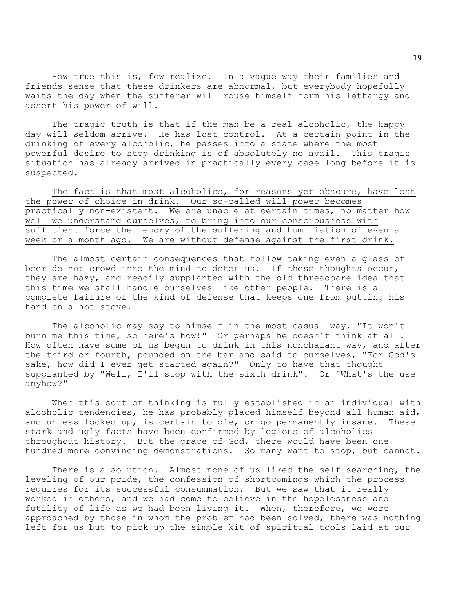How true this is, few realize. In a vague way their families and friends sense that these drinkers are abnormal, but everybody hopefully waits the day when the sufferer will rouse himself form his lethargy and assert his power of will.

The tragic truth is that if the man be a real alcoholic, the happy day will seldom arrive. He has lost control. At a certain point in the drinking of every alcoholic, he passes into a state where the most powerful desire to stop drinking is of absolutely no avail. This tragic situation has already arrived in practically every case long before it is suspected.

The fact is that most alcoholics, for reasons yet obscure, have lost the power of choice in drink. Our so-called will power becomes practically non-existent. We are unable at certain times, no matter how well we understand ourselves, to bring into our consciousness with sufficient force the memory of the suffering and humiliation of even a week or a month ago. We are without defense against the first drink.

 The almost certain consequences that follow taking even a glass of beer do not crowd into the mind to deter us. If these thoughts occur, they are hazy, and readily supplanted with the old threadbare idea that this time we shall handle ourselves like other people. There is a complete failure of the kind of defense that keeps one from putting his hand on a hot stove.

The alcoholic may say to himself in the most casual way, "It won't burn me this time, so here's how!" Or perhaps he doesn't think at all. How often have some of us begun to drink in this nonchalant way, and after the third or fourth, pounded on the bar and said to ourselves, "For God's sake, how did I ever get started again?" Only to have that thought supplanted by "Well, I'll stop with the sixth drink". Or "What's the use anyhow?"

 When this sort of thinking is fully established in an individual with alcoholic tendencies, he has probably placed himself beyond all human aid, and unless locked up, is certain to die, or go permanently insane. These stark and ugly facts have been confirmed by legions of alcoholics throughout history. But the grace of God, there would have been one hundred more convincing demonstrations. So many want to stop, but cannot.

 There is a solution. Almost none of us liked the self-searching, the leveling of our pride, the confession of shortcomings which the process requires for its successful consummation. But we saw that it really worked in others, and we had come to believe in the hopelessness and futility of life as we had been living it. When, therefore, we were approached by those in whom the problem had been solved, there was nothing left for us but to pick up the simple kit of spiritual tools laid at our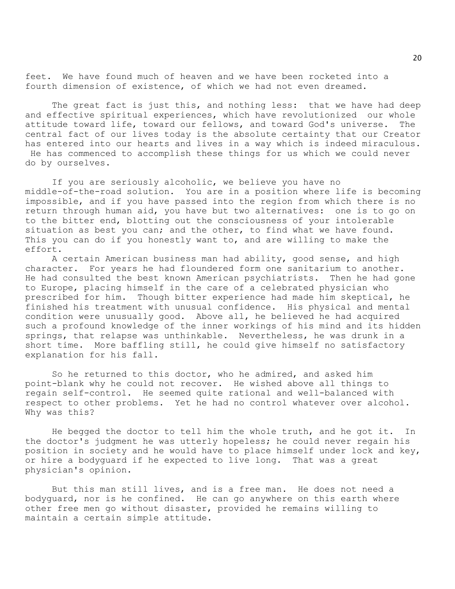feet. We have found much of heaven and we have been rocketed into a fourth dimension of existence, of which we had not even dreamed.

The great fact is just this, and nothing less: that we have had deep and effective spiritual experiences, which have revolutionized our whole attitude toward life, toward our fellows, and toward God's universe. The central fact of our lives today is the absolute certainty that our Creator has entered into our hearts and lives in a way which is indeed miraculous. He has commenced to accomplish these things for us which we could never do by ourselves.

 If you are seriously alcoholic, we believe you have no middle-of-the-road solution. You are in a position where life is becoming impossible, and if you have passed into the region from which there is no return through human aid, you have but two alternatives: one is to go on to the bitter end, blotting out the consciousness of your intolerable situation as best you can; and the other, to find what we have found. This you can do if you honestly want to, and are willing to make the effort.

 A certain American business man had ability, good sense, and high character. For years he had floundered form one sanitarium to another. He had consulted the best known American psychiatrists. Then he had gone to Europe, placing himself in the care of a celebrated physician who prescribed for him. Though bitter experience had made him skeptical, he finished his treatment with unusual confidence. His physical and mental condition were unusually good. Above all, he believed he had acquired such a profound knowledge of the inner workings of his mind and its hidden springs, that relapse was unthinkable. Nevertheless, he was drunk in a short time. More baffling still, he could give himself no satisfactory explanation for his fall.

 So he returned to this doctor, who he admired, and asked him point-blank why he could not recover. He wished above all things to regain self-control. He seemed quite rational and well-balanced with respect to other problems. Yet he had no control whatever over alcohol. Why was this?

 He begged the doctor to tell him the whole truth, and he got it. In the doctor's judgment he was utterly hopeless; he could never regain his position in society and he would have to place himself under lock and key, or hire a bodyguard if he expected to live long. That was a great physician's opinion.

 But this man still lives, and is a free man. He does not need a bodyguard, nor is he confined. He can go anywhere on this earth where other free men go without disaster, provided he remains willing to maintain a certain simple attitude.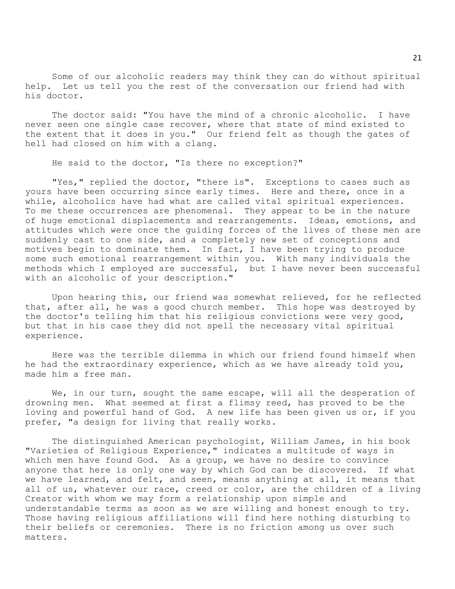Some of our alcoholic readers may think they can do without spiritual help. Let us tell you the rest of the conversation our friend had with his doctor.

The doctor said: "You have the mind of a chronic alcoholic. I have never seen one single case recover, where that state of mind existed to the extent that it does in you." Our friend felt as though the gates of hell had closed on him with a clang.

He said to the doctor, "Is there no exception?"

"Yes," replied the doctor, "there is". Exceptions to cases such as yours have been occurring since early times. Here and there, once in a while, alcoholics have had what are called vital spiritual experiences. To me these occurrences are phenomenal. They appear to be in the nature of huge emotional displacements and rearrangements. Ideas, emotions, and attitudes which were once the guiding forces of the lives of these men are suddenly cast to one side, and a completely new set of conceptions and motives begin to dominate them. In fact, I have been trying to produce some such emotional rearrangement within you. With many individuals the methods which I employed are successful, but I have never been successful with an alcoholic of your description."

 Upon hearing this, our friend was somewhat relieved, for he reflected that, after all, he was a good church member. This hope was destroyed by the doctor's telling him that his religious convictions were very good, but that in his case they did not spell the necessary vital spiritual experience.

 Here was the terrible dilemma in which our friend found himself when he had the extraordinary experience, which as we have already told you, made him a free man.

We, in our turn, sought the same escape, will all the desperation of drowning men. What seemed at first a flimsy reed, has proved to be the loving and powerful hand of God. A new life has been given us or, if you prefer, "a design for living that really works.

 The distinguished American psychologist, William James, in his book "Varieties of Religious Experience," indicates a multitude of ways in which men have found God. As a group, we have no desire to convince anyone that here is only one way by which God can be discovered. If what we have learned, and felt, and seen, means anything at all, it means that all of us, whatever our race, creed or color, are the children of a living Creator with whom we may form a relationship upon simple and understandable terms as soon as we are willing and honest enough to try. Those having religious affiliations will find here nothing disturbing to their beliefs or ceremonies. There is no friction among us over such matters.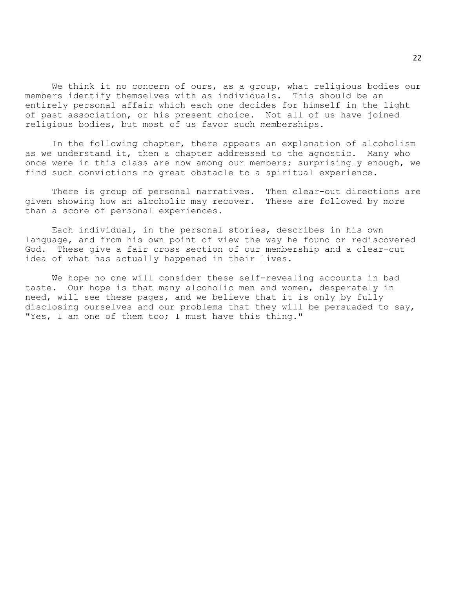We think it no concern of ours, as a group, what religious bodies our members identify themselves with as individuals. This should be an entirely personal affair which each one decides for himself in the light of past association, or his present choice. Not all of us have joined religious bodies, but most of us favor such memberships.

In the following chapter, there appears an explanation of alcoholism as we understand it, then a chapter addressed to the agnostic. Many who once were in this class are now among our members; surprisingly enough, we find such convictions no great obstacle to a spiritual experience.

 There is group of personal narratives. Then clear-out directions are given showing how an alcoholic may recover. These are followed by more than a score of personal experiences.

 Each individual, in the personal stories, describes in his own language, and from his own point of view the way he found or rediscovered God. These give a fair cross section of our membership and a clear-cut idea of what has actually happened in their lives.

 We hope no one will consider these self-revealing accounts in bad taste. Our hope is that many alcoholic men and women, desperately in need, will see these pages, and we believe that it is only by fully disclosing ourselves and our problems that they will be persuaded to say, "Yes, I am one of them too; I must have this thing."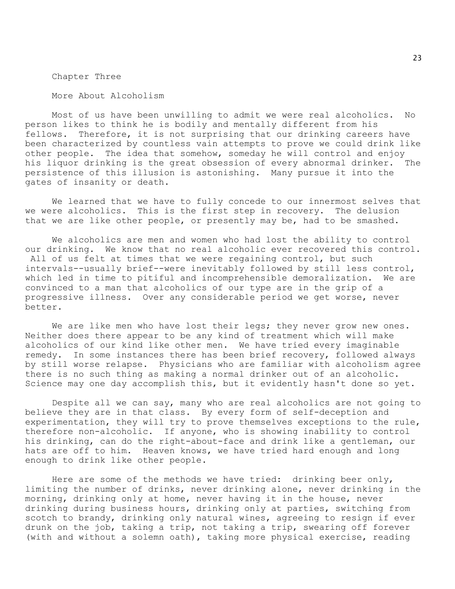Chapter Three

More About Alcoholism

 Most of us have been unwilling to admit we were real alcoholics. No person likes to think he is bodily and mentally different from his fellows. Therefore, it is not surprising that our drinking careers have been characterized by countless vain attempts to prove we could drink like other people. The idea that somehow, someday he will control and enjoy his liquor drinking is the great obsession of every abnormal drinker. The persistence of this illusion is astonishing. Many pursue it into the gates of insanity or death.

 We learned that we have to fully concede to our innermost selves that we were alcoholics. This is the first step in recovery. The delusion that we are like other people, or presently may be, had to be smashed.

 We alcoholics are men and women who had lost the ability to control our drinking. We know that no real alcoholic ever recovered this control. All of us felt at times that we were regaining control, but such intervals--usually brief--were inevitably followed by still less control, which led in time to pitiful and incomprehensible demoralization. We are convinced to a man that alcoholics of our type are in the grip of a progressive illness. Over any considerable period we get worse, never better.

We are like men who have lost their legs; they never grow new ones. Neither does there appear to be any kind of treatment which will make alcoholics of our kind like other men. We have tried every imaginable remedy. In some instances there has been brief recovery, followed always by still worse relapse. Physicians who are familiar with alcoholism agree there is no such thing as making a normal drinker out of an alcoholic. Science may one day accomplish this, but it evidently hasn't done so yet.

 Despite all we can say, many who are real alcoholics are not going to believe they are in that class. By every form of self-deception and experimentation, they will try to prove themselves exceptions to the rule, therefore non-alcoholic. If anyone, who is showing inability to control his drinking, can do the right-about-face and drink like a gentleman, our hats are off to him. Heaven knows, we have tried hard enough and long enough to drink like other people.

Here are some of the methods we have tried: drinking beer only, limiting the number of drinks, never drinking alone, never drinking in the morning, drinking only at home, never having it in the house, never drinking during business hours, drinking only at parties, switching from scotch to brandy, drinking only natural wines, agreeing to resign if ever drunk on the job, taking a trip, not taking a trip, swearing off forever (with and without a solemn oath), taking more physical exercise, reading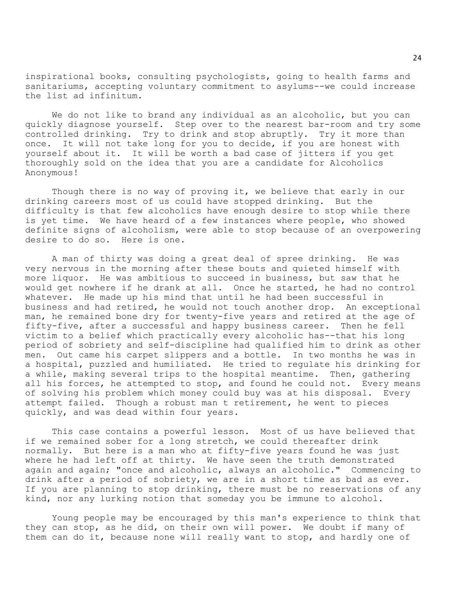inspirational books, consulting psychologists, going to health farms and sanitariums, accepting voluntary commitment to asylums--we could increase the list ad infinitum.

 We do not like to brand any individual as an alcoholic, but you can quickly diagnose yourself. Step over to the nearest bar-room and try some controlled drinking. Try to drink and stop abruptly. Try it more than once. It will not take long for you to decide, if you are honest with yourself about it. It will be worth a bad case of jitters if you get thoroughly sold on the idea that you are a candidate for Alcoholics Anonymous!

Though there is no way of proving it, we believe that early in our drinking careers most of us could have stopped drinking. But the difficulty is that few alcoholics have enough desire to stop while there is yet time. We have heard of a few instances where people, who showed definite signs of alcoholism, were able to stop because of an overpowering desire to do so. Here is one.

 A man of thirty was doing a great deal of spree drinking. He was very nervous in the morning after these bouts and quieted himself with more liquor. He was ambitious to succeed in business, but saw that he would get nowhere if he drank at all. Once he started, he had no control whatever. He made up his mind that until he had been successful in business and had retired, he would not touch another drop. An exceptional man, he remained bone dry for twenty-five years and retired at the age of fifty-five, after a successful and happy business career. Then he fell victim to a belief which practically every alcoholic has--that his long period of sobriety and self-discipline had qualified him to drink as other men. Out came his carpet slippers and a bottle. In two months he was in a hospital, puzzled and humiliated. He tried to regulate his drinking for a while, making several trips to the hospital meantime. Then, gathering all his forces, he attempted to stop, and found he could not. Every means of solving his problem which money could buy was at his disposal. Every attempt failed. Though a robust man t retirement, he went to pieces quickly, and was dead within four years.

 This case contains a powerful lesson. Most of us have believed that if we remained sober for a long stretch, we could thereafter drink normally. But here is a man who at fifty-five years found he was just where he had left off at thirty. We have seen the truth demonstrated again and again; "once and alcoholic, always an alcoholic." Commencing to drink after a period of sobriety, we are in a short time as bad as ever. If you are planning to stop drinking, there must be no reservations of any kind, nor any lurking notion that someday you be immune to alcohol.

 Young people may be encouraged by this man's experience to think that they can stop, as he did, on their own will power. We doubt if many of them can do it, because none will really want to stop, and hardly one of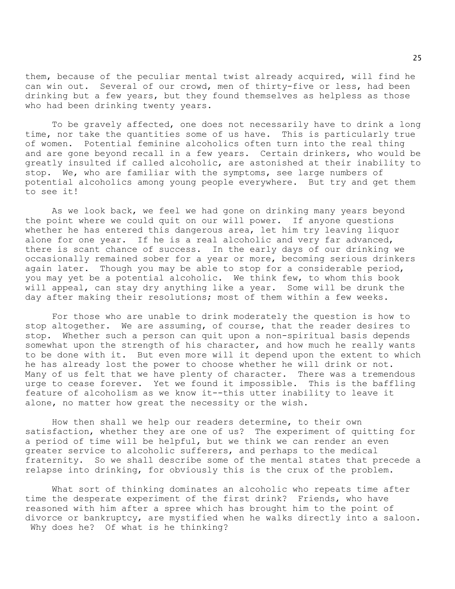them, because of the peculiar mental twist already acquired, will find he can win out. Several of our crowd, men of thirty-five or less, had been drinking but a few years, but they found themselves as helpless as those who had been drinking twenty years.

 To be gravely affected, one does not necessarily have to drink a long time, nor take the quantities some of us have. This is particularly true of women. Potential feminine alcoholics often turn into the real thing and are gone beyond recall in a few years. Certain drinkers, who would be greatly insulted if called alcoholic, are astonished at their inability to stop. We, who are familiar with the symptoms, see large numbers of potential alcoholics among young people everywhere. But try and get them to see it!

 As we look back, we feel we had gone on drinking many years beyond the point where we could quit on our will power. If anyone questions whether he has entered this dangerous area, let him try leaving liquor alone for one year. If he is a real alcoholic and very far advanced, there is scant chance of success. In the early days of our drinking we occasionally remained sober for a year or more, becoming serious drinkers again later. Though you may be able to stop for a considerable period, you may yet be a potential alcoholic. We think few, to whom this book will appeal, can stay dry anything like a year. Some will be drunk the day after making their resolutions; most of them within a few weeks.

 For those who are unable to drink moderately the question is how to stop altogether. We are assuming, of course, that the reader desires to stop. Whether such a person can quit upon a non-spiritual basis depends somewhat upon the strength of his character, and how much he really wants to be done with it. But even more will it depend upon the extent to which he has already lost the power to choose whether he will drink or not. Many of us felt that we have plenty of character. There was a tremendous urge to cease forever. Yet we found it impossible. This is the baffling feature of alcoholism as we know it--this utter inability to leave it alone, no matter how great the necessity or the wish.

 How then shall we help our readers determine, to their own satisfaction, whether they are one of us? The experiment of quitting for a period of time will be helpful, but we think we can render an even greater service to alcoholic sufferers, and perhaps to the medical fraternity. So we shall describe some of the mental states that precede a relapse into drinking, for obviously this is the crux of the problem.

 What sort of thinking dominates an alcoholic who repeats time after time the desperate experiment of the first drink? Friends, who have reasoned with him after a spree which has brought him to the point of divorce or bankruptcy, are mystified when he walks directly into a saloon. Why does he? Of what is he thinking?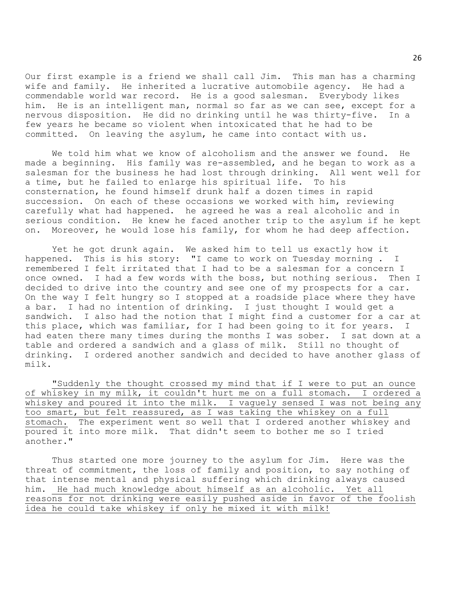Our first example is a friend we shall call Jim. This man has a charming wife and family. He inherited a lucrative automobile agency. He had a commendable world war record. He is a good salesman. Everybody likes him. He is an intelligent man, normal so far as we can see, except for a nervous disposition. He did no drinking until he was thirty-five. In a few years he became so violent when intoxicated that he had to be committed. On leaving the asylum, he came into contact with us.

We told him what we know of alcoholism and the answer we found. He made a beginning. His family was re-assembled, and he began to work as a salesman for the business he had lost through drinking. All went well for a time, but he failed to enlarge his spiritual life. To his consternation, he found himself drunk half a dozen times in rapid succession. On each of these occasions we worked with him, reviewing carefully what had happened. he agreed he was a real alcoholic and in serious condition. He knew he faced another trip to the asylum if he kept on. Moreover, he would lose his family, for whom he had deep affection.

 Yet he got drunk again. We asked him to tell us exactly how it happened. This is his story: "I came to work on Tuesday morning . I remembered I felt irritated that I had to be a salesman for a concern I once owned. I had a few words with the boss, but nothing serious. Then I decided to drive into the country and see one of my prospects for a car. On the way I felt hungry so I stopped at a roadside place where they have a bar. I had no intention of drinking. I just thought I would get a sandwich. I also had the notion that I might find a customer for a car at this place, which was familiar, for I had been going to it for years. I had eaten there many times during the months I was sober. I sat down at a table and ordered a sandwich and a glass of milk. Still no thought of drinking. I ordered another sandwich and decided to have another glass of milk.

"Suddenly the thought crossed my mind that if I were to put an ounce of whiskey in my milk, it couldn't hurt me on a full stomach. I ordered a whiskey and poured it into the milk. I vaguely sensed I was not being any too smart, but felt reassured, as I was taking the whiskey on a full stomach. The experiment went so well that I ordered another whiskey and poured it into more milk. That didn't seem to bother me so I tried another."

 Thus started one more journey to the asylum for Jim. Here was the threat of commitment, the loss of family and position, to say nothing of that intense mental and physical suffering which drinking always caused him. He had much knowledge about himself as an alcoholic. Yet all reasons for not drinking were easily pushed aside in favor of the foolish idea he could take whiskey if only he mixed it with milk!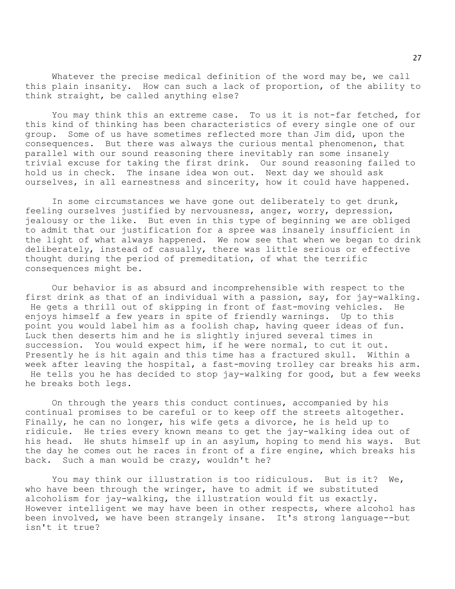Whatever the precise medical definition of the word may be, we call this plain insanity. How can such a lack of proportion, of the ability to think straight, be called anything else?

 You may think this an extreme case. To us it is not-far fetched, for this kind of thinking has been characteristics of every single one of our group. Some of us have sometimes reflected more than Jim did, upon the consequences. But there was always the curious mental phenomenon, that parallel with our sound reasoning there inevitably ran some insanely trivial excuse for taking the first drink. Our sound reasoning failed to hold us in check. The insane idea won out. Next day we should ask ourselves, in all earnestness and sincerity, how it could have happened.

 In some circumstances we have gone out deliberately to get drunk, feeling ourselves justified by nervousness, anger, worry, depression, jealousy or the like. But even in this type of beginning we are obliged to admit that our justification for a spree was insanely insufficient in the light of what always happened. We now see that when we began to drink deliberately, instead of casually, there was little serious or effective thought during the period of premeditation, of what the terrific consequences might be.

 Our behavior is as absurd and incomprehensible with respect to the first drink as that of an individual with a passion, say, for jay-walking. He gets a thrill out of skipping in front of fast-moving vehicles. He enjoys himself a few years in spite of friendly warnings. Up to this point you would label him as a foolish chap, having queer ideas of fun. Luck then deserts him and he is slightly injured several times in succession. You would expect him, if he were normal, to cut it out. Presently he is hit again and this time has a fractured skull. Within a week after leaving the hospital, a fast-moving trolley car breaks his arm. He tells you he has decided to stop jay-walking for good, but a few weeks he breaks both legs.

 On through the years this conduct continues, accompanied by his continual promises to be careful or to keep off the streets altogether. Finally, he can no longer, his wife gets a divorce, he is held up to ridicule. He tries every known means to get the jay-walking idea out of his head. He shuts himself up in an asylum, hoping to mend his ways. But the day he comes out he races in front of a fire engine, which breaks his back. Such a man would be crazy, wouldn't he?

 You may think our illustration is too ridiculous. But is it? We, who have been through the wringer, have to admit if we substituted alcoholism for jay-walking, the illustration would fit us exactly. However intelligent we may have been in other respects, where alcohol has been involved, we have been strangely insane. It's strong language--but isn't it true?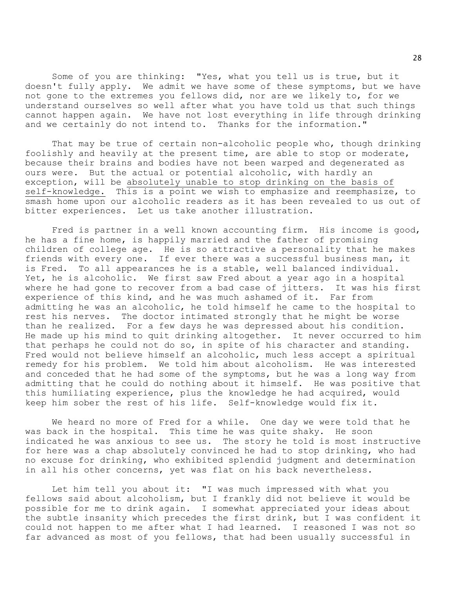Some of you are thinking: "Yes, what you tell us is true, but it doesn't fully apply. We admit we have some of these symptoms, but we have not gone to the extremes you fellows did, nor are we likely to, for we understand ourselves so well after what you have told us that such things cannot happen again. We have not lost everything in life through drinking and we certainly do not intend to. Thanks for the information."

That may be true of certain non-alcoholic people who, though drinking foolishly and heavily at the present time, are able to stop or moderate, because their brains and bodies have not been warped and degenerated as ours were. But the actual or potential alcoholic, with hardly an exception, will be absolutely unable to stop drinking on the basis of self-knowledge. This is a point we wish to emphasize and reemphasize, to smash home upon our alcoholic readers as it has been revealed to us out of bitter experiences. Let us take another illustration.

 Fred is partner in a well known accounting firm. His income is good, he has a fine home, is happily married and the father of promising children of college age. He is so attractive a personality that he makes friends with every one. If ever there was a successful business man, it is Fred. To all appearances he is a stable, well balanced individual. Yet, he is alcoholic. We first saw Fred about a year ago in a hospital where he had gone to recover from a bad case of jitters. It was his first experience of this kind, and he was much ashamed of it. Far from admitting he was an alcoholic, he told himself he came to the hospital to rest his nerves. The doctor intimated strongly that he might be worse than he realized. For a few days he was depressed about his condition. He made up his mind to quit drinking altogether. It never occurred to him that perhaps he could not do so, in spite of his character and standing. Fred would not believe himself an alcoholic, much less accept a spiritual remedy for his problem. We told him about alcoholism. He was interested and conceded that he had some of the symptoms, but he was a long way from admitting that he could do nothing about it himself. He was positive that this humiliating experience, plus the knowledge he had acquired, would keep him sober the rest of his life. Self-knowledge would fix it.

 We heard no more of Fred for a while. One day we were told that he was back in the hospital. This time he was quite shaky. He soon indicated he was anxious to see us. The story he told is most instructive for here was a chap absolutely convinced he had to stop drinking, who had no excuse for drinking, who exhibited splendid judgment and determination in all his other concerns, yet was flat on his back nevertheless.

 Let him tell you about it: "I was much impressed with what you fellows said about alcoholism, but I frankly did not believe it would be possible for me to drink again. I somewhat appreciated your ideas about the subtle insanity which precedes the first drink, but I was confident it could not happen to me after what I had learned. I reasoned I was not so far advanced as most of you fellows, that had been usually successful in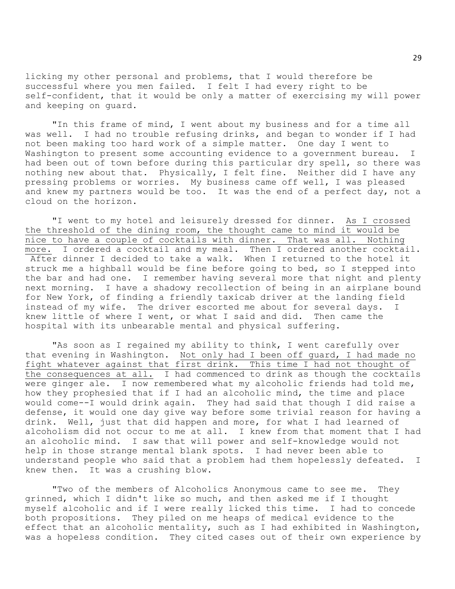licking my other personal and problems, that I would therefore be successful where you men failed. I felt I had every right to be self-confident, that it would be only a matter of exercising my will power and keeping on guard.

 "In this frame of mind, I went about my business and for a time all was well. I had no trouble refusing drinks, and began to wonder if I had not been making too hard work of a simple matter. One day I went to Washington to present some accounting evidence to a government bureau. I had been out of town before during this particular dry spell, so there was nothing new about that. Physically, I felt fine. Neither did I have any pressing problems or worries. My business came off well, I was pleased and knew my partners would be too. It was the end of a perfect day, not a cloud on the horizon.

 "I went to my hotel and leisurely dressed for dinner. As I crossed the threshold of the dining room, the thought came to mind it would be nice to have a couple of cocktails with dinner. That was all. Nothing more. I ordered a cocktail and my meal. Then I ordered another cocktail. After dinner I decided to take a walk. When I returned to the hotel it struck me a highball would be fine before going to bed, so I stepped into the bar and had one. I remember having several more that night and plenty next morning. I have a shadowy recollection of being in an airplane bound for New York, of finding a friendly taxicab driver at the landing field instead of my wife. The driver escorted me about for several days. I knew little of where I went, or what I said and did. Then came the hospital with its unbearable mental and physical suffering.

 "As soon as I regained my ability to think, I went carefully over that evening in Washington. Not only had I been off guard, I had made no fight whatever against that first drink. This time I had not thought of the consequences at all. I had commenced to drink as though the cocktails were ginger ale. I now remembered what my alcoholic friends had told me, how they prophesied that if I had an alcoholic mind, the time and place would come--I would drink again. They had said that though I did raise a defense, it would one day give way before some trivial reason for having a drink. Well, just that did happen and more, for what I had learned of alcoholism did not occur to me at all. I knew from that moment that I had an alcoholic mind. I saw that will power and self-knowledge would not help in those strange mental blank spots. I had never been able to understand people who said that a problem had them hopelessly defeated. I knew then. It was a crushing blow.

 "Two of the members of Alcoholics Anonymous came to see me. They grinned, which I didn't like so much, and then asked me if I thought myself alcoholic and if I were really licked this time. I had to concede both propositions. They piled on me heaps of medical evidence to the effect that an alcoholic mentality, such as I had exhibited in Washington, was a hopeless condition. They cited cases out of their own experience by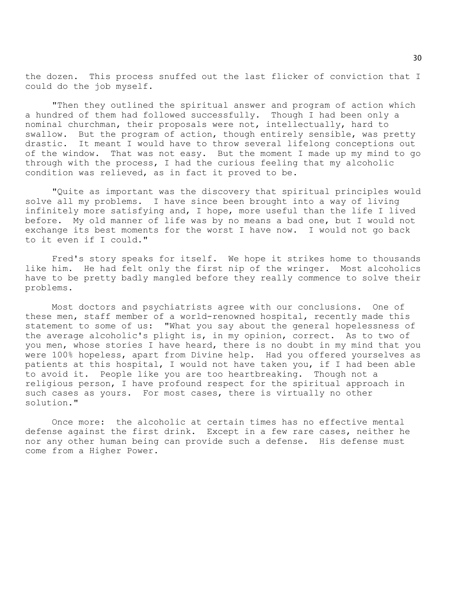the dozen. This process snuffed out the last flicker of conviction that I could do the job myself.

 "Then they outlined the spiritual answer and program of action which a hundred of them had followed successfully. Though I had been only a nominal churchman, their proposals were not, intellectually, hard to swallow. But the program of action, though entirely sensible, was pretty drastic. It meant I would have to throw several lifelong conceptions out of the window. That was not easy. But the moment I made up my mind to go through with the process, I had the curious feeling that my alcoholic condition was relieved, as in fact it proved to be.

 "Quite as important was the discovery that spiritual principles would solve all my problems. I have since been brought into a way of living infinitely more satisfying and, I hope, more useful than the life I lived before. My old manner of life was by no means a bad one, but I would not exchange its best moments for the worst I have now. I would not go back to it even if I could."

 Fred's story speaks for itself. We hope it strikes home to thousands like him. He had felt only the first nip of the wringer. Most alcoholics have to be pretty badly mangled before they really commence to solve their problems.

 Most doctors and psychiatrists agree with our conclusions. One of these men, staff member of a world-renowned hospital, recently made this statement to some of us: "What you say about the general hopelessness of the average alcoholic's plight is, in my opinion, correct. As to two of you men, whose stories I have heard, there is no doubt in my mind that you were 100% hopeless, apart from Divine help. Had you offered yourselves as patients at this hospital, I would not have taken you, if I had been able to avoid it. People like you are too heartbreaking. Though not a religious person, I have profound respect for the spiritual approach in such cases as yours. For most cases, there is virtually no other solution."

 Once more: the alcoholic at certain times has no effective mental defense against the first drink. Except in a few rare cases, neither he nor any other human being can provide such a defense. His defense must come from a Higher Power.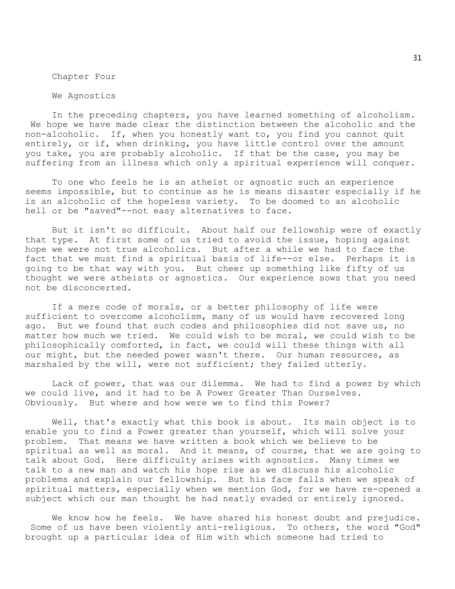Chapter Four

We Agnostics

 In the preceding chapters, you have learned something of alcoholism. We hope we have made clear the distinction between the alcoholic and the non-alcoholic. If, when you honestly want to, you find you cannot quit entirely, or if, when drinking, you have little control over the amount you take, you are probably alcoholic. If that be the case, you may be suffering from an illness which only a spiritual experience will conquer.

 To one who feels he is an atheist or agnostic such an experience seems impossible, but to continue as he is means disaster especially if he is an alcoholic of the hopeless variety. To be doomed to an alcoholic hell or be "saved"--not easy alternatives to face.

 But it isn't so difficult. About half our fellowship were of exactly that type. At first some of us tried to avoid the issue, hoping against hope we were not true alcoholics. But after a while we had to face the fact that we must find a spiritual basis of life--or else. Perhaps it is going to be that way with you. But cheer up something like fifty of us thought we were atheists or agnostics. Our experience sows that you need not be disconcerted.

 If a mere code of morals, or a better philosophy of life were sufficient to overcome alcoholism, many of us would have recovered long ago. But we found that such codes and philosophies did not save us, no matter how much we tried. We could wish to be moral, we could wish to be philosophically comforted, in fact, we could will these things with all our might, but the needed power wasn't there. Our human resources, as marshaled by the will, were not sufficient; they failed utterly.

 Lack of power, that was our dilemma. We had to find a power by which we could live, and it had to be A Power Greater Than Ourselves. Obviously. But where and how were we to find this Power?

 Well, that's exactly what this book is about. Its main object is to enable you to find a Power greater than yourself, which will solve your problem. That means we have written a book which we believe to be spiritual as well as moral. And it means, of course, that we are going to talk about God. Here difficulty arises with agnostics. Many times we talk to a new man and watch his hope rise as we discuss his alcoholic problems and explain our fellowship. But his face falls when we speak of spiritual matters, especially when we mention God, for we have re-opened a subject which our man thought he had neatly evaded or entirely ignored.

We know how he feels. We have shared his honest doubt and prejudice. Some of us have been violently anti-religious. To others, the word "God" brought up a particular idea of Him with which someone had tried to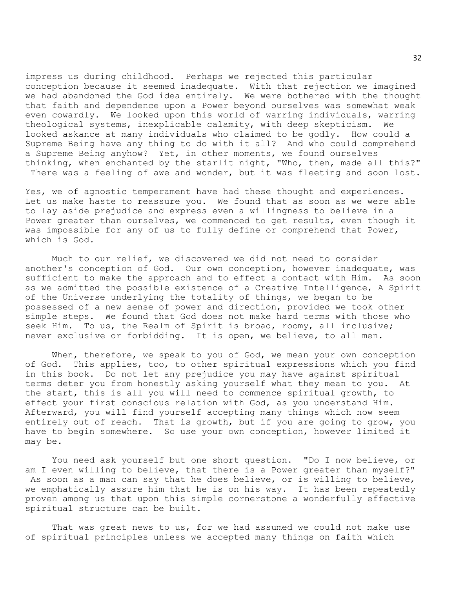impress us during childhood. Perhaps we rejected this particular conception because it seemed inadequate. With that rejection we imagined we had abandoned the God idea entirely. We were bothered with the thought that faith and dependence upon a Power beyond ourselves was somewhat weak even cowardly. We looked upon this world of warring individuals, warring theological systems, inexplicable calamity, with deep skepticism. We looked askance at many individuals who claimed to be godly. How could a Supreme Being have any thing to do with it all? And who could comprehend a Supreme Being anyhow? Yet, in other moments, we found ourselves thinking, when enchanted by the starlit night, "Who, then, made all this?" There was a feeling of awe and wonder, but it was fleeting and soon lost.

Yes, we of agnostic temperament have had these thought and experiences. Let us make haste to reassure you. We found that as soon as we were able to lay aside prejudice and express even a willingness to believe in a Power greater than ourselves, we commenced to get results, even though it was impossible for any of us to fully define or comprehend that Power, which is God.

 Much to our relief, we discovered we did not need to consider another's conception of God. Our own conception, however inadequate, was sufficient to make the approach and to effect a contact with Him. As soon as we admitted the possible existence of a Creative Intelligence, A Spirit of the Universe underlying the totality of things, we began to be possessed of a new sense of power and direction, provided we took other simple steps. We found that God does not make hard terms with those who seek Him. To us, the Realm of Spirit is broad, roomy, all inclusive; never exclusive or forbidding. It is open, we believe, to all men.

When, therefore, we speak to you of God, we mean your own conception of God. This applies, too, to other spiritual expressions which you find in this book. Do not let any prejudice you may have against spiritual terms deter you from honestly asking yourself what they mean to you. At the start, this is all you will need to commence spiritual growth, to effect your first conscious relation with God, as you understand Him. Afterward, you will find yourself accepting many things which now seem entirely out of reach. That is growth, but if you are going to grow, you have to begin somewhere. So use your own conception, however limited it may be.

You need ask yourself but one short question. "Do I now believe, or am I even willing to believe, that there is a Power greater than myself?" As soon as a man can say that he does believe, or is willing to believe, we emphatically assure him that he is on his way. It has been repeatedly proven among us that upon this simple cornerstone a wonderfully effective spiritual structure can be built.

 That was great news to us, for we had assumed we could not make use of spiritual principles unless we accepted many things on faith which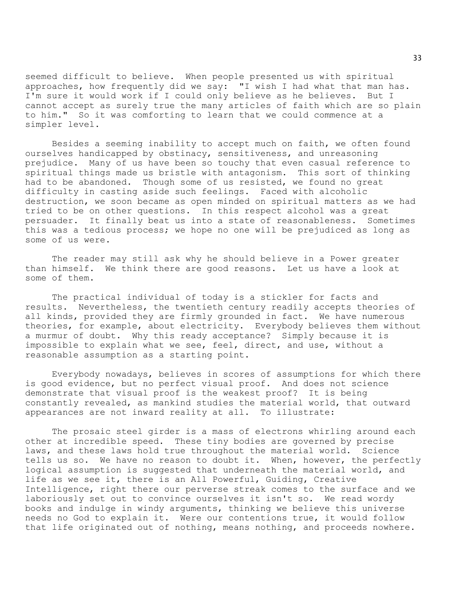seemed difficult to believe. When people presented us with spiritual approaches, how frequently did we say: "I wish I had what that man has. I'm sure it would work if I could only believe as he believes. But I cannot accept as surely true the many articles of faith which are so plain to him." So it was comforting to learn that we could commence at a simpler level.

 Besides a seeming inability to accept much on faith, we often found ourselves handicapped by obstinacy, sensitiveness, and unreasoning prejudice. Many of us have been so touchy that even casual reference to spiritual things made us bristle with antagonism. This sort of thinking had to be abandoned. Though some of us resisted, we found no great difficulty in casting aside such feelings. Faced with alcoholic destruction, we soon became as open minded on spiritual matters as we had tried to be on other questions. In this respect alcohol was a great persuader. It finally beat us into a state of reasonableness. Sometimes this was a tedious process; we hope no one will be prejudiced as long as some of us were.

 The reader may still ask why he should believe in a Power greater than himself. We think there are good reasons. Let us have a look at some of them.

 The practical individual of today is a stickler for facts and results. Nevertheless, the twentieth century readily accepts theories of all kinds, provided they are firmly grounded in fact. We have numerous theories, for example, about electricity. Everybody believes them without a murmur of doubt. Why this ready acceptance? Simply because it is impossible to explain what we see, feel, direct, and use, without a reasonable assumption as a starting point.

 Everybody nowadays, believes in scores of assumptions for which there is good evidence, but no perfect visual proof. And does not science demonstrate that visual proof is the weakest proof? It is being constantly revealed, as mankind studies the material world, that outward appearances are not inward reality at all. To illustrate:

 The prosaic steel girder is a mass of electrons whirling around each other at incredible speed. These tiny bodies are governed by precise laws, and these laws hold true throughout the material world. Science tells us so. We have no reason to doubt it. When, however, the perfectly logical assumption is suggested that underneath the material world, and life as we see it, there is an All Powerful, Guiding, Creative Intelligence, right there our perverse streak comes to the surface and we laboriously set out to convince ourselves it isn't so. We read wordy books and indulge in windy arguments, thinking we believe this universe needs no God to explain it. Were our contentions true, it would follow that life originated out of nothing, means nothing, and proceeds nowhere.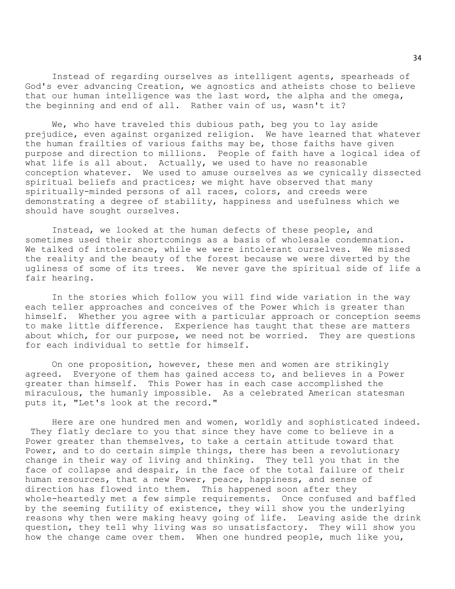Instead of regarding ourselves as intelligent agents, spearheads of God's ever advancing Creation, we agnostics and atheists chose to believe that our human intelligence was the last word, the alpha and the omega, the beginning and end of all. Rather vain of us, wasn't it?

We, who have traveled this dubious path, beg you to lay aside prejudice, even against organized religion. We have learned that whatever the human frailties of various faiths may be, those faiths have given purpose and direction to millions. People of faith have a logical idea of what life is all about. Actually, we used to have no reasonable conception whatever. We used to amuse ourselves as we cynically dissected spiritual beliefs and practices; we might have observed that many spiritually-minded persons of all races, colors, and creeds were demonstrating a degree of stability, happiness and usefulness which we should have sought ourselves.

 Instead, we looked at the human defects of these people, and sometimes used their shortcomings as a basis of wholesale condemnation. We talked of intolerance, while we were intolerant ourselves. We missed the reality and the beauty of the forest because we were diverted by the ugliness of some of its trees. We never gave the spiritual side of life a fair hearing.

 In the stories which follow you will find wide variation in the way each teller approaches and conceives of the Power which is greater than himself. Whether you agree with a particular approach or conception seems to make little difference. Experience has taught that these are matters about which, for our purpose, we need not be worried. They are questions for each individual to settle for himself.

 On one proposition, however, these men and women are strikingly agreed. Everyone of them has gained access to, and believes in a Power greater than himself. This Power has in each case accomplished the miraculous, the humanly impossible. As a celebrated American statesman puts it, "Let's look at the record."

 Here are one hundred men and women, worldly and sophisticated indeed. They flatly declare to you that since they have come to believe in a Power greater than themselves, to take a certain attitude toward that Power, and to do certain simple things, there has been a revolutionary change in their way of living and thinking. They tell you that in the face of collapse and despair, in the face of the total failure of their human resources, that a new Power, peace, happiness, and sense of direction has flowed into them. This happened soon after they whole-heartedly met a few simple requirements. Once confused and baffled by the seeming futility of existence, they will show you the underlying reasons why then were making heavy going of life. Leaving aside the drink question, they tell why living was so unsatisfactory. They will show you how the change came over them. When one hundred people, much like you,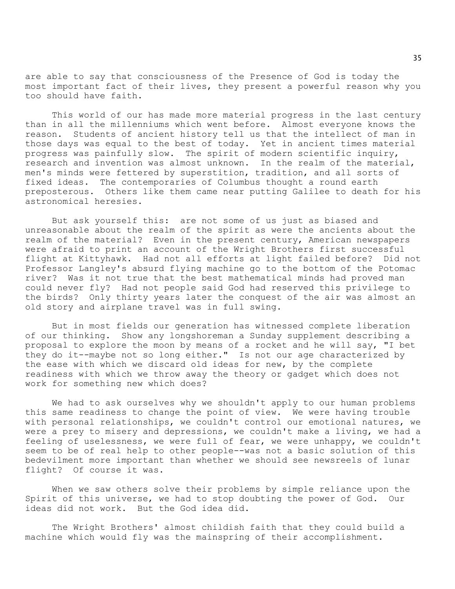are able to say that consciousness of the Presence of God is today the most important fact of their lives, they present a powerful reason why you too should have faith.

 This world of our has made more material progress in the last century than in all the millenniums which went before. Almost everyone knows the reason. Students of ancient history tell us that the intellect of man in those days was equal to the best of today. Yet in ancient times material progress was painfully slow. The spirit of modern scientific inquiry, research and invention was almost unknown. In the realm of the material, men's minds were fettered by superstition, tradition, and all sorts of fixed ideas. The contemporaries of Columbus thought a round earth preposterous. Others like them came near putting Galilee to death for his astronomical heresies.

 But ask yourself this: are not some of us just as biased and unreasonable about the realm of the spirit as were the ancients about the realm of the material? Even in the present century, American newspapers were afraid to print an account of the Wright Brothers first successful flight at Kittyhawk. Had not all efforts at light failed before? Did not Professor Langley's absurd flying machine go to the bottom of the Potomac river? Was it not true that the best mathematical minds had proved man could never fly? Had not people said God had reserved this privilege to the birds? Only thirty years later the conquest of the air was almost an old story and airplane travel was in full swing.

 But in most fields our generation has witnessed complete liberation of our thinking. Show any longshoreman a Sunday supplement describing a proposal to explore the moon by means of a rocket and he will say, "I bet they do it--maybe not so long either." Is not our age characterized by the ease with which we discard old ideas for new, by the complete readiness with which we throw away the theory or gadget which does not work for something new which does?

 We had to ask ourselves why we shouldn't apply to our human problems this same readiness to change the point of view. We were having trouble with personal relationships, we couldn't control our emotional natures, we were a prey to misery and depressions, we couldn't make a living, we had a feeling of uselessness, we were full of fear, we were unhappy, we couldn't seem to be of real help to other people--was not a basic solution of this bedevilment more important than whether we should see newsreels of lunar flight? Of course it was.

 When we saw others solve their problems by simple reliance upon the Spirit of this universe, we had to stop doubting the power of God. Our ideas did not work. But the God idea did.

 The Wright Brothers' almost childish faith that they could build a machine which would fly was the mainspring of their accomplishment.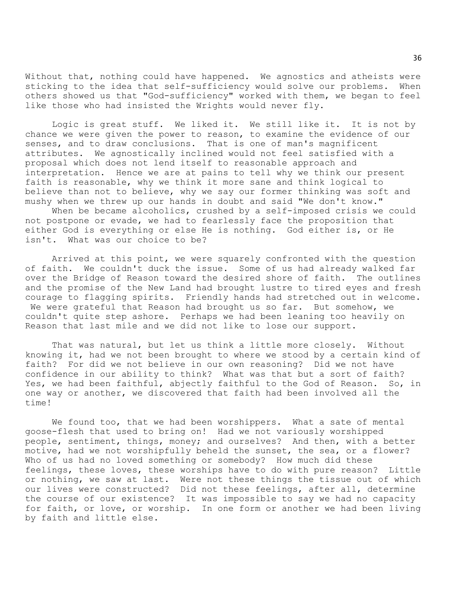Without that, nothing could have happened. We agnostics and atheists were sticking to the idea that self-sufficiency would solve our problems. When others showed us that "God-sufficiency" worked with them, we began to feel like those who had insisted the Wrights would never fly.

 Logic is great stuff. We liked it. We still like it. It is not by chance we were given the power to reason, to examine the evidence of our senses, and to draw conclusions. That is one of man's magnificent attributes. We agnostically inclined would not feel satisfied with a proposal which does not lend itself to reasonable approach and interpretation. Hence we are at pains to tell why we think our present faith is reasonable, why we think it more sane and think logical to believe than not to believe, why we say our former thinking was soft and mushy when we threw up our hands in doubt and said "We don't know."

When be became alcoholics, crushed by a self-imposed crisis we could not postpone or evade, we had to fearlessly face the proposition that either God is everything or else He is nothing. God either is, or He isn't. What was our choice to be?

 Arrived at this point, we were squarely confronted with the question of faith. We couldn't duck the issue. Some of us had already walked far over the Bridge of Reason toward the desired shore of faith. The outlines and the promise of the New Land had brought lustre to tired eyes and fresh courage to flagging spirits. Friendly hands had stretched out in welcome. We were grateful that Reason had brought us so far. But somehow, we couldn't quite step ashore. Perhaps we had been leaning too heavily on Reason that last mile and we did not like to lose our support.

 That was natural, but let us think a little more closely. Without knowing it, had we not been brought to where we stood by a certain kind of faith? For did we not believe in our own reasoning? Did we not have confidence in our ability to think? What was that but a sort of faith? Yes, we had been faithful, abjectly faithful to the God of Reason. So, in one way or another, we discovered that faith had been involved all the time!

We found too, that we had been worshippers. What a sate of mental goose-flesh that used to bring on! Had we not variously worshipped people, sentiment, things, money; and ourselves? And then, with a better motive, had we not worshipfully beheld the sunset, the sea, or a flower? Who of us had no loved something or somebody? How much did these feelings, these loves, these worships have to do with pure reason? Little or nothing, we saw at last. Were not these things the tissue out of which our lives were constructed? Did not these feelings, after all, determine the course of our existence? It was impossible to say we had no capacity for faith, or love, or worship. In one form or another we had been living by faith and little else.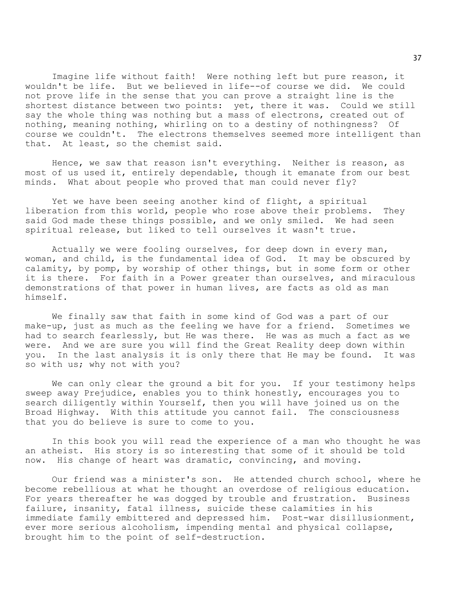Imagine life without faith! Were nothing left but pure reason, it wouldn't be life. But we believed in life--of course we did. We could not prove life in the sense that you can prove a straight line is the shortest distance between two points: yet, there it was. Could we still say the whole thing was nothing but a mass of electrons, created out of nothing, meaning nothing, whirling on to a destiny of nothingness? Of course we couldn't. The electrons themselves seemed more intelligent than that. At least, so the chemist said.

 Hence, we saw that reason isn't everything. Neither is reason, as most of us used it, entirely dependable, though it emanate from our best minds. What about people who proved that man could never fly?

 Yet we have been seeing another kind of flight, a spiritual liberation from this world, people who rose above their problems. They said God made these things possible, and we only smiled. We had seen spiritual release, but liked to tell ourselves it wasn't true.

 Actually we were fooling ourselves, for deep down in every man, woman, and child, is the fundamental idea of God. It may be obscured by calamity, by pomp, by worship of other things, but in some form or other it is there. For faith in a Power greater than ourselves, and miraculous demonstrations of that power in human lives, are facts as old as man himself.

 We finally saw that faith in some kind of God was a part of our make-up, just as much as the feeling we have for a friend. Sometimes we had to search fearlessly, but He was there. He was as much a fact as we were. And we are sure you will find the Great Reality deep down within you. In the last analysis it is only there that He may be found. It was so with us; why not with you?

 We can only clear the ground a bit for you. If your testimony helps sweep away Prejudice, enables you to think honestly, encourages you to search diligently within Yourself, then you will have joined us on the Broad Highway. With this attitude you cannot fail. The consciousness that you do believe is sure to come to you.

 In this book you will read the experience of a man who thought he was an atheist. His story is so interesting that some of it should be told now. His change of heart was dramatic, convincing, and moving.

 Our friend was a minister's son. He attended church school, where he become rebellious at what he thought an overdose of religious education. For years thereafter he was dogged by trouble and frustration. Business failure, insanity, fatal illness, suicide these calamities in his immediate family embittered and depressed him. Post-war disillusionment, ever more serious alcoholism, impending mental and physical collapse, brought him to the point of self-destruction.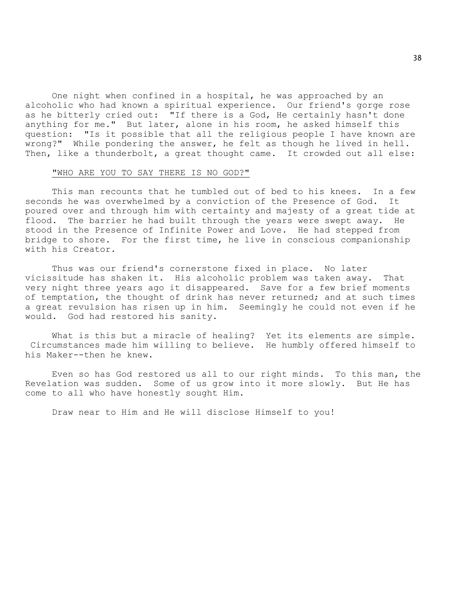One night when confined in a hospital, he was approached by an alcoholic who had known a spiritual experience. Our friend's gorge rose as he bitterly cried out: "If there is a God, He certainly hasn't done anything for me." But later, alone in his room, he asked himself this question: "Is it possible that all the religious people I have known are wrong?" While pondering the answer, he felt as though he lived in hell. Then, like a thunderbolt, a great thought came. It crowded out all else:

## "WHO ARE YOU TO SAY THERE IS NO GOD?"

 This man recounts that he tumbled out of bed to his knees. In a few seconds he was overwhelmed by a conviction of the Presence of God. It poured over and through him with certainty and majesty of a great tide at flood. The barrier he had built through the years were swept away. He stood in the Presence of Infinite Power and Love. He had stepped from bridge to shore. For the first time, he live in conscious companionship with his Creator.

 Thus was our friend's cornerstone fixed in place. No later vicissitude has shaken it. His alcoholic problem was taken away. That very night three years ago it disappeared. Save for a few brief moments of temptation, the thought of drink has never returned; and at such times a great revulsion has risen up in him. Seemingly he could not even if he would. God had restored his sanity.

 What is this but a miracle of healing? Yet its elements are simple. Circumstances made him willing to believe. He humbly offered himself to his Maker--then he knew.

 Even so has God restored us all to our right minds. To this man, the Revelation was sudden. Some of us grow into it more slowly. But He has come to all who have honestly sought Him.

Draw near to Him and He will disclose Himself to you!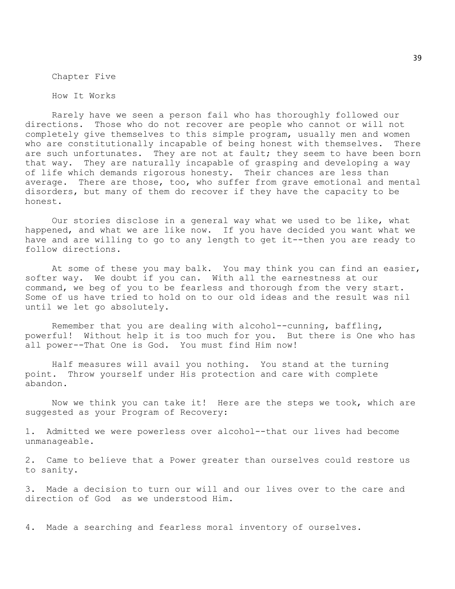Chapter Five

How It Works

 Rarely have we seen a person fail who has thoroughly followed our directions. Those who do not recover are people who cannot or will not completely give themselves to this simple program, usually men and women who are constitutionally incapable of being honest with themselves. There are such unfortunates. They are not at fault; they seem to have been born that way. They are naturally incapable of grasping and developing a way of life which demands rigorous honesty. Their chances are less than average. There are those, too, who suffer from grave emotional and mental disorders, but many of them do recover if they have the capacity to be honest.

 Our stories disclose in a general way what we used to be like, what happened, and what we are like now. If you have decided you want what we have and are willing to go to any length to get it--then you are ready to follow directions.

 At some of these you may balk. You may think you can find an easier, softer way. We doubt if you can. With all the earnestness at our command, we beg of you to be fearless and thorough from the very start. Some of us have tried to hold on to our old ideas and the result was nil until we let go absolutely.

 Remember that you are dealing with alcohol--cunning, baffling, powerful! Without help it is too much for you. But there is One who has all power--That One is God. You must find Him now!

 Half measures will avail you nothing. You stand at the turning point. Throw yourself under His protection and care with complete abandon.

 Now we think you can take it! Here are the steps we took, which are suggested as your Program of Recovery:

1. Admitted we were powerless over alcohol--that our lives had become unmanageable.

2. Came to believe that a Power greater than ourselves could restore us to sanity.

3. Made a decision to turn our will and our lives over to the care and direction of God as we understood Him.

4. Made a searching and fearless moral inventory of ourselves.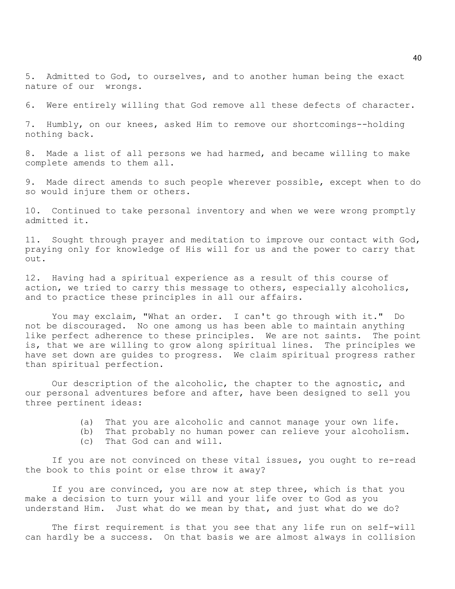5. Admitted to God, to ourselves, and to another human being the exact nature of our wrongs.

6. Were entirely willing that God remove all these defects of character.

7. Humbly, on our knees, asked Him to remove our shortcomings--holding nothing back.

8. Made a list of all persons we had harmed, and became willing to make complete amends to them all.

9. Made direct amends to such people wherever possible, except when to do so would injure them or others.

10. Continued to take personal inventory and when we were wrong promptly admitted it.

11. Sought through prayer and meditation to improve our contact with God, praying only for knowledge of His will for us and the power to carry that out.

12. Having had a spiritual experience as a result of this course of action, we tried to carry this message to others, especially alcoholics, and to practice these principles in all our affairs.

 You may exclaim, "What an order. I can't go through with it." Do not be discouraged. No one among us has been able to maintain anything like perfect adherence to these principles. We are not saints. The point is, that we are willing to grow along spiritual lines. The principles we have set down are guides to progress. We claim spiritual progress rather than spiritual perfection.

 Our description of the alcoholic, the chapter to the agnostic, and our personal adventures before and after, have been designed to sell you three pertinent ideas:

- (a) That you are alcoholic and cannot manage your own life.
- (b) That probably no human power can relieve your alcoholism.
- (c) That God can and will.

 If you are not convinced on these vital issues, you ought to re-read the book to this point or else throw it away?

 If you are convinced, you are now at step three, which is that you make a decision to turn your will and your life over to God as you understand Him. Just what do we mean by that, and just what do we do?

 The first requirement is that you see that any life run on self-will can hardly be a success. On that basis we are almost always in collision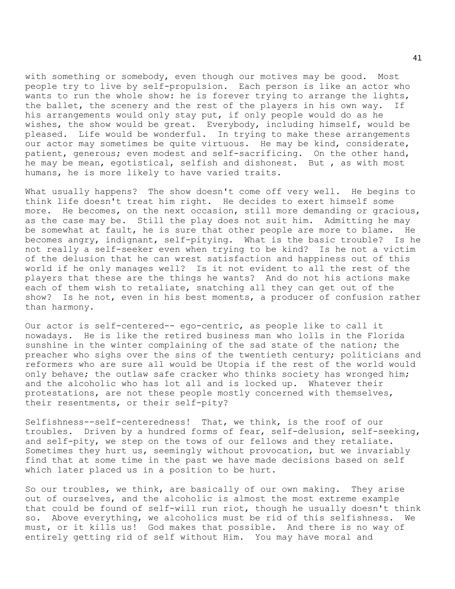with something or somebody, even though our motives may be good. Most people try to live by self-propulsion. Each person is like an actor who wants to run the whole show: he is forever trying to arrange the lights, the ballet, the scenery and the rest of the players in his own way. If his arrangements would only stay put, if only people would do as he wishes, the show would be great. Everybody, including himself, would be pleased. Life would be wonderful. In trying to make these arrangements our actor may sometimes be quite virtuous. He may be kind, considerate, patient, generous; even modest and self-sacrificing. On the other hand, he may be mean, egotistical, selfish and dishonest. But , as with most humans, he is more likely to have varied traits.

What usually happens? The show doesn't come off very well. He begins to think life doesn't treat him right. He decides to exert himself some more. He becomes, on the next occasion, still more demanding or gracious, as the case may be. Still the play does not suit him. Admitting he may be somewhat at fault, he is sure that other people are more to blame. He becomes angry, indignant, self-pitying. What is the basic trouble? Is he not really a self-seeker even when trying to be kind? Is he not a victim of the delusion that he can wrest satisfaction and happiness out of this world if he only manages well? Is it not evident to all the rest of the players that these are the things he wants? And do not his actions make each of them wish to retaliate, snatching all they can get out of the show? Is he not, even in his best moments, a producer of confusion rather than harmony.

Our actor is self-centered-- ego-centric, as people like to call it nowadays. He is like the retired business man who lolls in the Florida sunshine in the winter complaining of the sad state of the nation; the preacher who sighs over the sins of the twentieth century; politicians and reformers who are sure all would be Utopia if the rest of the world would only behave; the outlaw safe cracker who thinks society has wronged him; and the alcoholic who has lot all and is locked up. Whatever their protestations, are not these people mostly concerned with themselves, their resentments, or their self-pity?

Selfishness--self-centeredness! That, we think, is the roof of our troubles. Driven by a hundred forms of fear, self-delusion, self-seeking, and self-pity, we step on the tows of our fellows and they retaliate. Sometimes they hurt us, seemingly without provocation, but we invariably find that at some time in the past we have made decisions based on self which later placed us in a position to be hurt.

So our troubles, we think, are basically of our own making. They arise out of ourselves, and the alcoholic is almost the most extreme example that could be found of self-will run riot, though he usually doesn't think so. Above everything, we alcoholics must be rid of this selfishness. We must, or it kills us! God makes that possible. And there is no way of entirely getting rid of self without Him. You may have moral and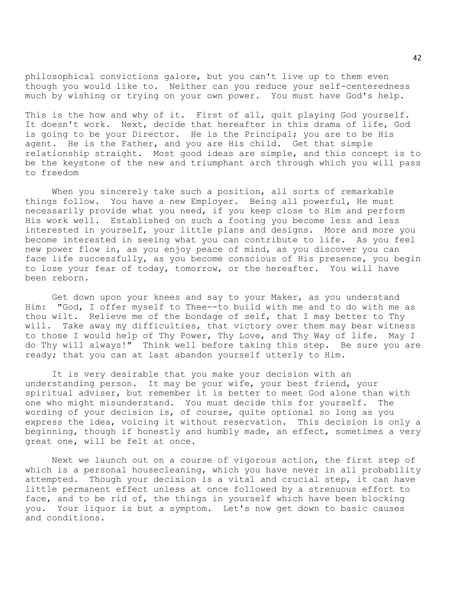philosophical convictions galore, but you can't live up to them even though you would like to. Neither can you reduce your self-centeredness much by wishing or trying on your own power. You must have God's help.

This is the how and why of it. First of all, quit playing God yourself. It doesn't work. Next, decide that hereafter in this drama of life, God is going to be your Director. He is the Principal; you are to be His agent. He is the Father, and you are His child. Get that simple relationship straight. Most good ideas are simple, and this concept is to be the keystone of the new and triumphant arch through which you will pass to freedom

 When you sincerely take such a position, all sorts of remarkable things follow. You have a new Employer. Being all powerful, He must necessarily provide what you need, if you keep close to Him and perform His work well. Established on such a footing you become less and less interested in yourself, your little plans and designs. More and more you become interested in seeing what you can contribute to life. As you feel new power flow in, as you enjoy peace of mind, as you discover you can face life successfully, as you become conscious of His presence, you begin to lose your fear of today, tomorrow, or the hereafter. You will have been reborn.

 Get down upon your knees and say to your Maker, as you understand Him: "God, I offer myself to Thee--to build with me and to do with me as thou wilt. Relieve me of the bondage of self, that I may better to Thy will. Take away my difficulties, that victory over them may bear witness to those I would help of Thy Power, Thy Love, and Thy Way of life. May I do Thy will always!" Think well before taking this step. Be sure you are ready; that you can at last abandon yourself utterly to Him.

 It is very desirable that you make your decision with an understanding person. It may be your wife, your best friend, your spiritual adviser, but remember it is better to meet God alone than with one who might misunderstand. You must decide this for yourself. The wording of your decision is, of course, quite optional so long as you express the idea, voicing it without reservation. This decision is only a beginning, though if honestly and humbly made, an effect, sometimes a very great one, will be felt at once.

 Next we launch out on a course of vigorous action, the first step of which is a personal housecleaning, which you have never in all probability attempted. Though your decision is a vital and crucial step, it can have little permanent effect unless at once followed by a strenuous effort to face, and to be rid of, the things in yourself which have been blocking you. Your liquor is but a symptom. Let's now get down to basic causes and conditions.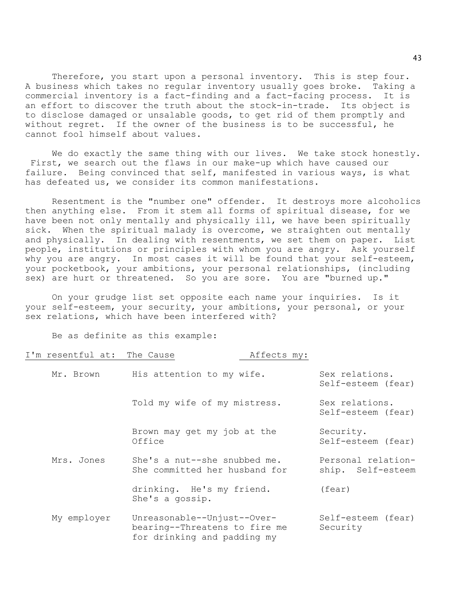Therefore, you start upon a personal inventory. This is step four. A business which takes no regular inventory usually goes broke. Taking a commercial inventory is a fact-finding and a fact-facing process. It is an effort to discover the truth about the stock-in-trade. Its object is to disclose damaged or unsalable goods, to get rid of them promptly and without regret. If the owner of the business is to be successful, he cannot fool himself about values.

 We do exactly the same thing with our lives. We take stock honestly. First, we search out the flaws in our make-up which have caused our failure. Being convinced that self, manifested in various ways, is what has defeated us, we consider its common manifestations.

 Resentment is the "number one" offender. It destroys more alcoholics then anything else. From it stem all forms of spiritual disease, for we have been not only mentally and physically ill, we have been spiritually sick. When the spiritual malady is overcome, we straighten out mentally and physically. In dealing with resentments, we set them on paper. List people, institutions or principles with whom you are angry. Ask yourself why you are angry. In most cases it will be found that your self-esteem, your pocketbook, your ambitions, your personal relationships, (including sex) are hurt or threatened. So you are sore. You are "burned up."

 On your grudge list set opposite each name your inquiries. Is it your self-esteem, your security, your ambitions, your personal, or your sex relations, which have been interfered with?

Be as definite as this example:

| I'm resentful at: The Cause  |                                                                                             | Affects my: |                                         |  |
|------------------------------|---------------------------------------------------------------------------------------------|-------------|-----------------------------------------|--|
| Mr. Brown                    | His attention to my wife.                                                                   |             | Sex relations.<br>Self-esteem (fear)    |  |
| Told my wife of my mistress. |                                                                                             |             | Sex relations.<br>Self-esteem (fear)    |  |
|                              | Brown may get my job at the<br>Office                                                       |             | Security.<br>Self-esteem (fear)         |  |
| Mrs. Jones                   | She's a nut--she snubbed me.<br>She committed her husband for                               |             | Personal relation-<br>ship. Self-esteem |  |
|                              | drinking. He's my friend.<br>She's a gossip.                                                |             | (fear)                                  |  |
| My employer                  | Unreasonable--Unjust--Over-<br>bearing--Threatens to fire me<br>for drinking and padding my |             | Self-esteem (fear)<br>Security          |  |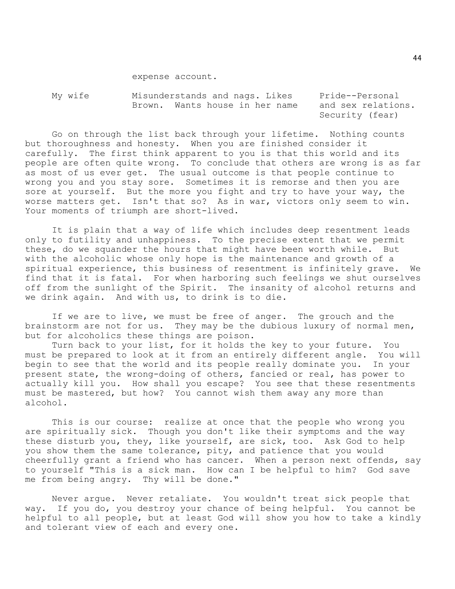## expense account.

 My wife Misunderstands and nags. Likes Pride--Personal Brown. Wants house in her name and sex relations. Security (fear)

 Go on through the list back through your lifetime. Nothing counts but thoroughness and honesty. When you are finished consider it carefully. The first think apparent to you is that this world and its people are often quite wrong. To conclude that others are wrong is as far as most of us ever get. The usual outcome is that people continue to wrong you and you stay sore. Sometimes it is remorse and then you are sore at yourself. But the more you fight and try to have your way, the worse matters get. Isn't that so? As in war, victors only seem to win. Your moments of triumph are short-lived.

 It is plain that a way of life which includes deep resentment leads only to futility and unhappiness. To the precise extent that we permit these, do we squander the hours that might have been worth while. But with the alcoholic whose only hope is the maintenance and growth of a spiritual experience, this business of resentment is infinitely grave. We find that it is fatal. For when harboring such feelings we shut ourselves off from the sunlight of the Spirit. The insanity of alcohol returns and we drink again. And with us, to drink is to die.

If we are to live, we must be free of anger. The grouch and the brainstorm are not for us. They may be the dubious luxury of normal men, but for alcoholics these things are poison.

 Turn back to your list, for it holds the key to your future. You must be prepared to look at it from an entirely different angle. You will begin to see that the world and its people really dominate you. In your present state, the wrong-doing of others, fancied or real, has power to actually kill you. How shall you escape? You see that these resentments must be mastered, but how? You cannot wish them away any more than alcohol.

 This is our course: realize at once that the people who wrong you are spiritually sick. Though you don't like their symptoms and the way these disturb you, they, like yourself, are sick, too. Ask God to help you show them the same tolerance, pity, and patience that you would cheerfully grant a friend who has cancer. When a person next offends, say to yourself "This is a sick man. How can I be helpful to him? God save me from being angry. Thy will be done."

 Never argue. Never retaliate. You wouldn't treat sick people that way. If you do, you destroy your chance of being helpful. You cannot be helpful to all people, but at least God will show you how to take a kindly and tolerant view of each and every one.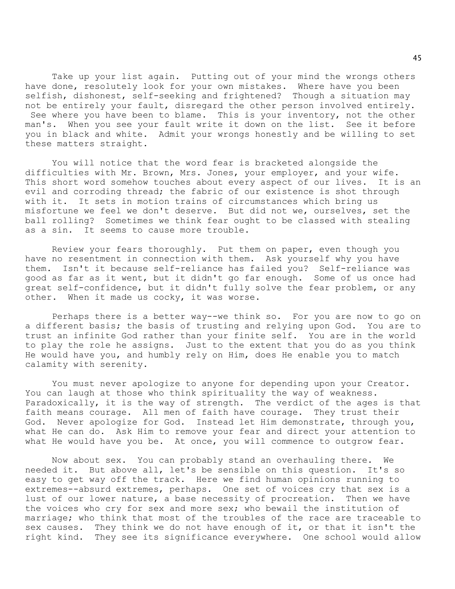Take up your list again. Putting out of your mind the wrongs others have done, resolutely look for your own mistakes. Where have you been selfish, dishonest, self-seeking and frightened? Though a situation may not be entirely your fault, disregard the other person involved entirely. See where you have been to blame. This is your inventory, not the other man's. When you see your fault write it down on the list. See it before you in black and white. Admit your wrongs honestly and be willing to set these matters straight.

 You will notice that the word fear is bracketed alongside the difficulties with Mr. Brown, Mrs. Jones, your employer, and your wife. This short word somehow touches about every aspect of our lives. It is an evil and corroding thread; the fabric of our existence is shot through with it. It sets in motion trains of circumstances which bring us misfortune we feel we don't deserve. But did not we, ourselves, set the ball rolling? Sometimes we think fear ought to be classed with stealing as a sin. It seems to cause more trouble.

 Review your fears thoroughly. Put them on paper, even though you have no resentment in connection with them. Ask yourself why you have them. Isn't it because self-reliance has failed you? Self-reliance was good as far as it went, but it didn't go far enough. Some of us once had great self-confidence, but it didn't fully solve the fear problem, or any other. When it made us cocky, it was worse.

 Perhaps there is a better way--we think so. For you are now to go on a different basis; the basis of trusting and relying upon God. You are to trust an infinite God rather than your finite self. You are in the world to play the role he assigns. Just to the extent that you do as you think He would have you, and humbly rely on Him, does He enable you to match calamity with serenity.

 You must never apologize to anyone for depending upon your Creator. You can laugh at those who think spirituality the way of weakness. Paradoxically, it is the way of strength. The verdict of the ages is that faith means courage. All men of faith have courage. They trust their God. Never apologize for God. Instead let Him demonstrate, through you, what He can do. Ask Him to remove your fear and direct your attention to what He would have you be. At once, you will commence to outgrow fear.

 Now about sex. You can probably stand an overhauling there. We needed it. But above all, let's be sensible on this question. It's so easy to get way off the track. Here we find human opinions running to extremes--absurd extremes, perhaps. One set of voices cry that sex is a lust of our lower nature, a base necessity of procreation. Then we have the voices who cry for sex and more sex; who bewail the institution of marriage; who think that most of the troubles of the race are traceable to sex causes. They think we do not have enough of it, or that it isn't the right kind. They see its significance everywhere. One school would allow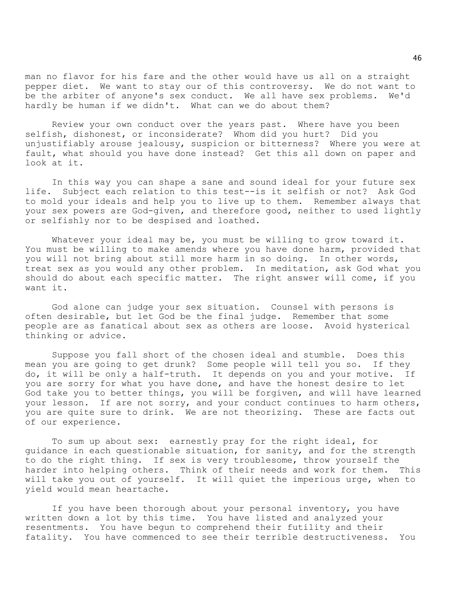man no flavor for his fare and the other would have us all on a straight pepper diet. We want to stay our of this controversy. We do not want to<br>be the arbiter of anyone's sex conduct. We all have sex problems. We'd be the arbiter of anyone's sex conduct. We all have sex problems. hardly be human if we didn't. What can we do about them?

 Review your own conduct over the years past. Where have you been selfish, dishonest, or inconsiderate? Whom did you hurt? Did you unjustifiably arouse jealousy, suspicion or bitterness? Where you were at fault, what should you have done instead? Get this all down on paper and look at it.

 In this way you can shape a sane and sound ideal for your future sex life. Subject each relation to this test--is it selfish or not? Ask God to mold your ideals and help you to live up to them. Remember always that your sex powers are God-given, and therefore good, neither to used lightly or selfishly nor to be despised and loathed.

 Whatever your ideal may be, you must be willing to grow toward it. You must be willing to make amends where you have done harm, provided that you will not bring about still more harm in so doing. In other words, treat sex as you would any other problem. In meditation, ask God what you should do about each specific matter. The right answer will come, if you want it.

 God alone can judge your sex situation. Counsel with persons is often desirable, but let God be the final judge. Remember that some people are as fanatical about sex as others are loose. Avoid hysterical thinking or advice.

 Suppose you fall short of the chosen ideal and stumble. Does this mean you are going to get drunk? Some people will tell you so. If they do, it will be only a half-truth. It depends on you and your motive. If you are sorry for what you have done, and have the honest desire to let God take you to better things, you will be forgiven, and will have learned your lesson. If are not sorry, and your conduct continues to harm others, you are quite sure to drink. We are not theorizing. These are facts out of our experience.

 To sum up about sex: earnestly pray for the right ideal, for guidance in each questionable situation, for sanity, and for the strength to do the right thing. If sex is very troublesome, throw yourself the harder into helping others. Think of their needs and work for them. This will take you out of yourself. It will quiet the imperious urge, when to yield would mean heartache.

 If you have been thorough about your personal inventory, you have written down a lot by this time. You have listed and analyzed your resentments. You have begun to comprehend their futility and their fatality. You have commenced to see their terrible destructiveness. You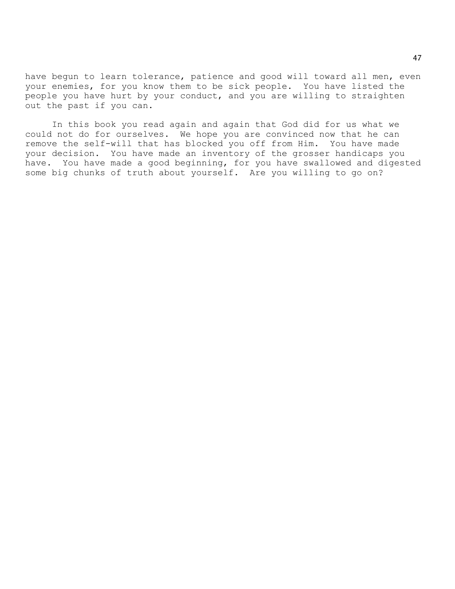have begun to learn tolerance, patience and good will toward all men, even your enemies, for you know them to be sick people. You have listed the people you have hurt by your conduct, and you are willing to straighten out the past if you can.

 In this book you read again and again that God did for us what we could not do for ourselves. We hope you are convinced now that he can remove the self-will that has blocked you off from Him. You have made your decision. You have made an inventory of the grosser handicaps you have. You have made a good beginning, for you have swallowed and digested some big chunks of truth about yourself. Are you willing to go on?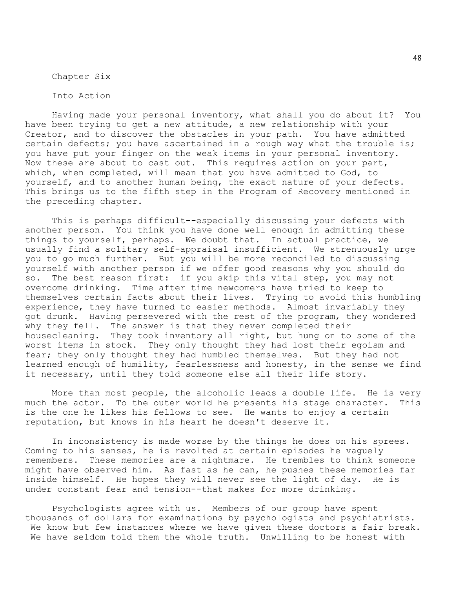Chapter Six

Into Action

 Having made your personal inventory, what shall you do about it? You have been trying to get a new attitude, a new relationship with your Creator, and to discover the obstacles in your path. You have admitted certain defects; you have ascertained in a rough way what the trouble is; you have put your finger on the weak items in your personal inventory. Now these are about to cast out. This requires action on your part, which, when completed, will mean that you have admitted to God, to yourself, and to another human being, the exact nature of your defects. This brings us to the fifth step in the Program of Recovery mentioned in the preceding chapter.

 This is perhaps difficult--especially discussing your defects with another person. You think you have done well enough in admitting these things to yourself, perhaps. We doubt that. In actual practice, we usually find a solitary self-appraisal insufficient. We strenuously urge you to go much further. But you will be more reconciled to discussing yourself with another person if we offer good reasons why you should do so. The best reason first: if you skip this vital step, you may not overcome drinking. Time after time newcomers have tried to keep to themselves certain facts about their lives. Trying to avoid this humbling experience, they have turned to easier methods. Almost invariably they got drunk. Having persevered with the rest of the program, they wondered why they fell. The answer is that they never completed their housecleaning. They took inventory all right, but hung on to some of the worst items in stock. They only thought they had lost their egoism and fear; they only thought they had humbled themselves. But they had not learned enough of humility, fearlessness and honesty, in the sense we find it necessary, until they told someone else all their life story.

 More than most people, the alcoholic leads a double life. He is very much the actor. To the outer world he presents his stage character. This is the one he likes his fellows to see. He wants to enjoy a certain reputation, but knows in his heart he doesn't deserve it.

 In inconsistency is made worse by the things he does on his sprees. Coming to his senses, he is revolted at certain episodes he vaguely remembers. These memories are a nightmare. He trembles to think someone might have observed him. As fast as he can, he pushes these memories far inside himself. He hopes they will never see the light of day. He is under constant fear and tension--that makes for more drinking.

 Psychologists agree with us. Members of our group have spent thousands of dollars for examinations by psychologists and psychiatrists. We know but few instances where we have given these doctors a fair break. We have seldom told them the whole truth. Unwilling to be honest with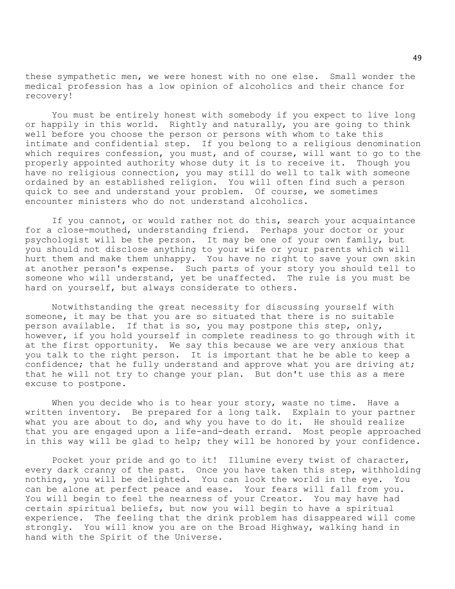these sympathetic men, we were honest with no one else. Small wonder the medical profession has a low opinion of alcoholics and their chance for recovery!

 You must be entirely honest with somebody if you expect to live long or happily in this world. Rightly and naturally, you are going to think well before you choose the person or persons with whom to take this intimate and confidential step. If you belong to a religious denomination which requires confession, you must, and of course, will want to go to the properly appointed authority whose duty it is to receive it. Though you have no religious connection, you may still do well to talk with someone ordained by an established religion. You will often find such a person quick to see and understand your problem. Of course, we sometimes encounter ministers who do not understand alcoholics.

 If you cannot, or would rather not do this, search your acquaintance for a close-mouthed, understanding friend. Perhaps your doctor or your psychologist will be the person. It may be one of your own family, but you should not disclose anything to your wife or your parents which will hurt them and make them unhappy. You have no right to save your own skin at another person's expense. Such parts of your story you should tell to someone who will understand, yet be unaffected. The rule is you must be hard on yourself, but always considerate to others.

 Notwithstanding the great necessity for discussing yourself with someone, it may be that you are so situated that there is no suitable person available. If that is so, you may postpone this step, only, however, if you hold yourself in complete readiness to go through with it at the first opportunity. We say this because we are very anxious that you talk to the right person. It is important that he be able to keep a confidence; that he fully understand and approve what you are driving at; that he will not try to change your plan. But don't use this as a mere excuse to postpone.

When you decide who is to hear your story, waste no time. Have a written inventory. Be prepared for a long talk. Explain to your partner what you are about to do, and why you have to do it. He should realize that you are engaged upon a life-and-death errand. Most people approached in this way will be glad to help; they will be honored by your confidence.

Pocket your pride and go to it! Illumine every twist of character, every dark cranny of the past. Once you have taken this step, withholding nothing, you will be delighted. You can look the world in the eye. You can be alone at perfect peace and ease. Your fears will fall from you. You will begin to feel the nearness of your Creator. You may have had certain spiritual beliefs, but now you will begin to have a spiritual experience. The feeling that the drink problem has disappeared will come strongly. You will know you are on the Broad Highway, walking hand in hand with the Spirit of the Universe.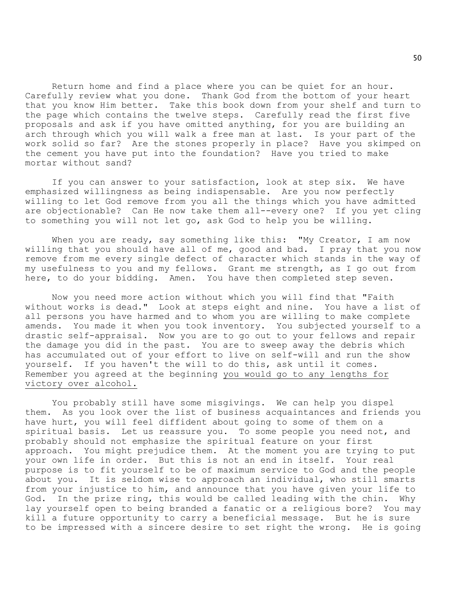Return home and find a place where you can be quiet for an hour. Carefully review what you done. Thank God from the bottom of your heart that you know Him better. Take this book down from your shelf and turn to the page which contains the twelve steps. Carefully read the first five proposals and ask if you have omitted anything, for you are building an arch through which you will walk a free man at last. Is your part of the work solid so far? Are the stones properly in place? Have you skimped on the cement you have put into the foundation? Have you tried to make mortar without sand?

 If you can answer to your satisfaction, look at step six. We have emphasized willingness as being indispensable. Are you now perfectly willing to let God remove from you all the things which you have admitted are objectionable? Can He now take them all--every one? If you yet cling to something you will not let go, ask God to help you be willing.

When you are ready, say something like this: "My Creator, I am now willing that you should have all of me, good and bad. I pray that you now remove from me every single defect of character which stands in the way of my usefulness to you and my fellows. Grant me strength, as I go out from here, to do your bidding. Amen. You have then completed step seven.

 Now you need more action without which you will find that "Faith without works is dead." Look at steps eight and nine. You have a list of all persons you have harmed and to whom you are willing to make complete amends. You made it when you took inventory. You subjected yourself to a drastic self-appraisal. Now you are to go out to your fellows and repair the damage you did in the past. You are to sweep away the debris which has accumulated out of your effort to live on self-will and run the show yourself. If you haven't the will to do this, ask until it comes. Remember you agreed at the beginning you would go to any lengths for victory over alcohol.

 You probably still have some misgivings. We can help you dispel them. As you look over the list of business acquaintances and friends you have hurt, you will feel diffident about going to some of them on a spiritual basis. Let us reassure you. To some people you need not, and probably should not emphasize the spiritual feature on your first approach. You might prejudice them. At the moment you are trying to put your own life in order. But this is not an end in itself. Your real purpose is to fit yourself to be of maximum service to God and the people about you. It is seldom wise to approach an individual, who still smarts from your injustice to him, and announce that you have given your life to God. In the prize ring, this would be called leading with the chin. Why lay yourself open to being branded a fanatic or a religious bore? You may kill a future opportunity to carry a beneficial message. But he is sure to be impressed with a sincere desire to set right the wrong. He is going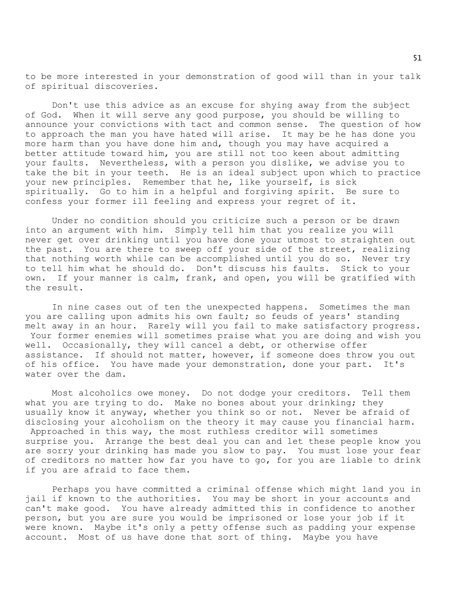to be more interested in your demonstration of good will than in your talk of spiritual discoveries.

 Don't use this advice as an excuse for shying away from the subject of God. When it will serve any good purpose, you should be willing to announce your convictions with tact and common sense. The question of how to approach the man you have hated will arise. It may be he has done you more harm than you have done him and, though you may have acquired a better attitude toward him, you are still not too keen about admitting your faults. Nevertheless, with a person you dislike, we advise you to take the bit in your teeth. He is an ideal subject upon which to practice your new principles. Remember that he, like yourself, is sick spiritually. Go to him in a helpful and forgiving spirit. Be sure to confess your former ill feeling and express your regret of it.

 Under no condition should you criticize such a person or be drawn into an argument with him. Simply tell him that you realize you will never get over drinking until you have done your utmost to straighten out the past. You are there to sweep off your side of the street, realizing that nothing worth while can be accomplished until you do so. Never try to tell him what he should do. Don't discuss his faults. Stick to your own. If your manner is calm, frank, and open, you will be gratified with the result.

 In nine cases out of ten the unexpected happens. Sometimes the man you are calling upon admits his own fault; so feuds of years' standing melt away in an hour. Rarely will you fail to make satisfactory progress. Your former enemies will sometimes praise what you are doing and wish you well. Occasionally, they will cancel a debt, or otherwise offer assistance. If should not matter, however, if someone does throw you out of his office. You have made your demonstration, done your part. It's water over the dam.

 Most alcoholics owe money. Do not dodge your creditors. Tell them what you are trying to do. Make no bones about your drinking; they usually know it anyway, whether you think so or not. Never be afraid of disclosing your alcoholism on the theory it may cause you financial harm. Approached in this way, the most ruthless creditor will sometimes surprise you. Arrange the best deal you can and let these people know you are sorry your drinking has made you slow to pay. You must lose your fear of creditors no matter how far you have to go, for you are liable to drink if you are afraid to face them.

 Perhaps you have committed a criminal offense which might land you in jail if known to the authorities. You may be short in your accounts and can't make good. You have already admitted this in confidence to another person, but you are sure you would be imprisoned or lose your job if it were known. Maybe it's only a petty offense such as padding your expense account. Most of us have done that sort of thing. Maybe you have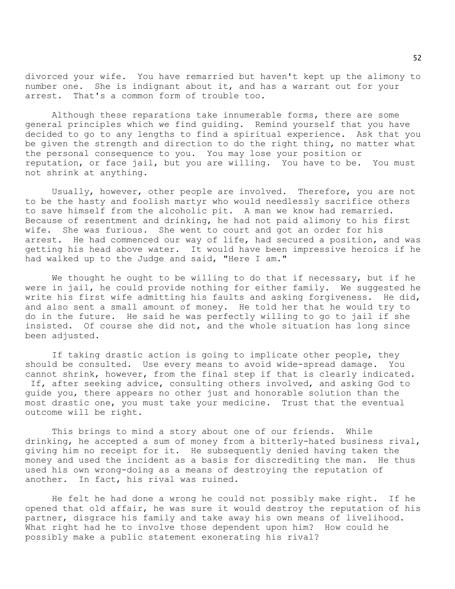divorced your wife. You have remarried but haven't kept up the alimony to number one. She is indignant about it, and has a warrant out for your arrest. That's a common form of trouble too.

 Although these reparations take innumerable forms, there are some general principles which we find guiding. Remind yourself that you have decided to go to any lengths to find a spiritual experience. Ask that you be given the strength and direction to do the right thing, no matter what the personal consequence to you. You may lose your position or reputation, or face jail, but you are willing. You have to be. You must not shrink at anything.

 Usually, however, other people are involved. Therefore, you are not to be the hasty and foolish martyr who would needlessly sacrifice others to save himself from the alcoholic pit. A man we know had remarried. Because of resentment and drinking, he had not paid alimony to his first wife. She was furious. She went to court and got an order for his arrest. He had commenced our way of life, had secured a position, and was getting his head above water. It would have been impressive heroics if he had walked up to the Judge and said, "Here I am."

 We thought he ought to be willing to do that if necessary, but if he were in jail, he could provide nothing for either family. We suggested he write his first wife admitting his faults and asking forgiveness. He did, and also sent a small amount of money. He told her that he would try to do in the future. He said he was perfectly willing to go to jail if she insisted. Of course she did not, and the whole situation has long since been adjusted.

 If taking drastic action is going to implicate other people, they should be consulted. Use every means to avoid wide-spread damage. You cannot shrink, however, from the final step if that is clearly indicated. If, after seeking advice, consulting others involved, and asking God to guide you, there appears no other just and honorable solution than the most drastic one, you must take your medicine. Trust that the eventual outcome will be right.

 This brings to mind a story about one of our friends. While drinking, he accepted a sum of money from a bitterly-hated business rival, giving him no receipt for it. He subsequently denied having taken the money and used the incident as a basis for discrediting the man. He thus used his own wrong-doing as a means of destroying the reputation of another. In fact, his rival was ruined.

 He felt he had done a wrong he could not possibly make right. If he opened that old affair, he was sure it would destroy the reputation of his partner, disgrace his family and take away his own means of livelihood. What right had he to involve those dependent upon him? How could he possibly make a public statement exonerating his rival?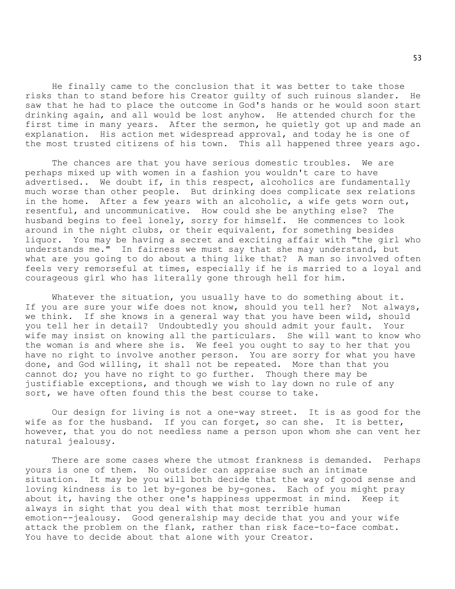He finally came to the conclusion that it was better to take those risks than to stand before his Creator guilty of such ruinous slander. He saw that he had to place the outcome in God's hands or he would soon start drinking again, and all would be lost anyhow. He attended church for the first time in many years. After the sermon, he quietly got up and made an explanation. His action met widespread approval, and today he is one of the most trusted citizens of his town. This all happened three years ago.

 The chances are that you have serious domestic troubles. We are perhaps mixed up with women in a fashion you wouldn't care to have advertised.. We doubt if, in this respect, alcoholics are fundamentally much worse than other people. But drinking does complicate sex relations in the home. After a few years with an alcoholic, a wife gets worn out, resentful, and uncommunicative. How could she be anything else? The husband begins to feel lonely, sorry for himself. He commences to look around in the night clubs, or their equivalent, for something besides liquor. You may be having a secret and exciting affair with "the girl who understands me." In fairness we must say that she may understand, but what are you going to do about a thing like that? A man so involved often feels very remorseful at times, especially if he is married to a loyal and courageous girl who has literally gone through hell for him.

 Whatever the situation, you usually have to do something about it. If you are sure your wife does not know, should you tell her? Not always, we think. If she knows in a general way that you have been wild, should you tell her in detail? Undoubtedly you should admit your fault. Your wife may insist on knowing all the particulars. She will want to know who the woman is and where she is. We feel you ought to say to her that you have no right to involve another person. You are sorry for what you have done, and God willing, it shall not be repeated. More than that you cannot do; you have no right to go further. Though there may be justifiable exceptions, and though we wish to lay down no rule of any sort, we have often found this the best course to take.

 Our design for living is not a one-way street. It is as good for the wife as for the husband. If you can forget, so can she. It is better, however, that you do not needless name a person upon whom she can vent her natural jealousy.

There are some cases where the utmost frankness is demanded. Perhaps yours is one of them. No outsider can appraise such an intimate situation. It may be you will both decide that the way of good sense and loving kindness is to let by-gones be by-gones. Each of you might pray about it, having the other one's happiness uppermost in mind. Keep it always in sight that you deal with that most terrible human emotion--jealousy. Good generalship may decide that you and your wife attack the problem on the flank, rather than risk face-to-face combat. You have to decide about that alone with your Creator.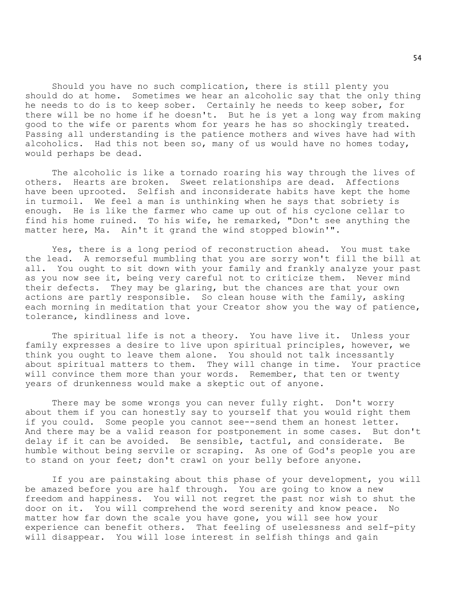Should you have no such complication, there is still plenty you should do at home. Sometimes we hear an alcoholic say that the only thing he needs to do is to keep sober. Certainly he needs to keep sober, for there will be no home if he doesn't. But he is yet a long way from making good to the wife or parents whom for years he has so shockingly treated. Passing all understanding is the patience mothers and wives have had with alcoholics. Had this not been so, many of us would have no homes today, would perhaps be dead.

 The alcoholic is like a tornado roaring his way through the lives of others. Hearts are broken. Sweet relationships are dead. Affections have been uprooted. Selfish and inconsiderate habits have kept the home in turmoil. We feel a man is unthinking when he says that sobriety is enough. He is like the farmer who came up out of his cyclone cellar to find his home ruined. To his wife, he remarked, "Don't see anything the matter here, Ma. Ain't it grand the wind stopped blowin'".

 Yes, there is a long period of reconstruction ahead. You must take the lead. A remorseful mumbling that you are sorry won't fill the bill at all. You ought to sit down with your family and frankly analyze your past as you now see it, being very careful not to criticize them. Never mind their defects. They may be glaring, but the chances are that your own actions are partly responsible. So clean house with the family, asking each morning in meditation that your Creator show you the way of patience, tolerance, kindliness and love.

 The spiritual life is not a theory. You have live it. Unless your family expresses a desire to live upon spiritual principles, however, we think you ought to leave them alone. You should not talk incessantly about spiritual matters to them. They will change in time. Your practice will convince them more than your words. Remember, that ten or twenty years of drunkenness would make a skeptic out of anyone.

There may be some wrongs you can never fully right. Don't worry about them if you can honestly say to yourself that you would right them if you could. Some people you cannot see--send them an honest letter. And there may be a valid reason for postponement in some cases. But don't delay if it can be avoided. Be sensible, tactful, and considerate. Be humble without being servile or scraping. As one of God's people you are to stand on your feet; don't crawl on your belly before anyone.

 If you are painstaking about this phase of your development, you will be amazed before you are half through. You are going to know a new freedom and happiness. You will not regret the past nor wish to shut the door on it. You will comprehend the word serenity and know peace. No matter how far down the scale you have gone, you will see how your experience can benefit others. That feeling of uselessness and self-pity will disappear. You will lose interest in selfish things and gain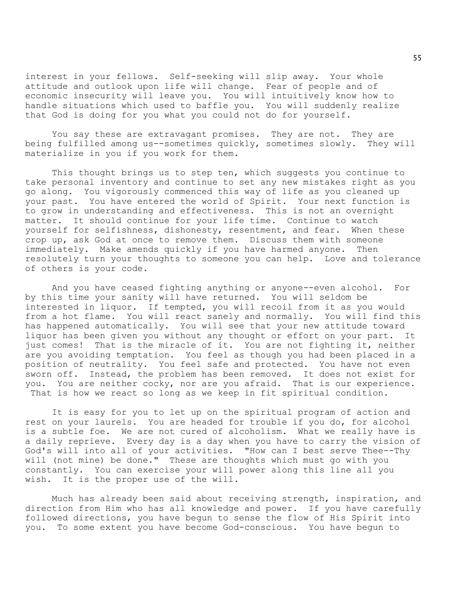interest in your fellows. Self-seeking will slip away. Your whole attitude and outlook upon life will change. Fear of people and of economic insecurity will leave you. You will intuitively know how to handle situations which used to baffle you. You will suddenly realize that God is doing for you what you could not do for yourself.

 You say these are extravagant promises. They are not. They are being fulfilled among us--sometimes quickly, sometimes slowly. They will materialize in you if you work for them.

 This thought brings us to step ten, which suggests you continue to take personal inventory and continue to set any new mistakes right as you go along. You vigorously commenced this way of life as you cleaned up your past. You have entered the world of Spirit. Your next function is to grow in understanding and effectiveness. This is not an overnight matter. It should continue for your life time. Continue to watch yourself for selfishness, dishonesty, resentment, and fear. When these crop up, ask God at once to remove them. Discuss them with someone immediately. Make amends quickly if you have harmed anyone. Then resolutely turn your thoughts to someone you can help. Love and tolerance of others is your code.

 And you have ceased fighting anything or anyone--even alcohol. For by this time your sanity will have returned. You will seldom be interested in liquor. If tempted, you will recoil from it as you would from a hot flame. You will react sanely and normally. You will find this has happened automatically. You will see that your new attitude toward liquor has been given you without any thought or effort on your part. It just comes! That is the miracle of it. You are not fighting it, neither are you avoiding temptation. You feel as though you had been placed in a position of neutrality. You feel safe and protected. You have not even sworn off. Instead, the problem has been removed. It does not exist for you. You are neither cocky, nor are you afraid. That is our experience. That is how we react so long as we keep in fit spiritual condition.

 It is easy for you to let up on the spiritual program of action and rest on your laurels. You are headed for trouble if you do, for alcohol is a subtle foe. We are not cured of alcoholism. What we really have is a daily reprieve. Every day is a day when you have to carry the vision of God's will into all of your activities. "How can I best serve Thee--Thy will (not mine) be done." These are thoughts which must go with you constantly. You can exercise your will power along this line all you wish. It is the proper use of the will.

 Much has already been said about receiving strength, inspiration, and direction from Him who has all knowledge and power. If you have carefully followed directions, you have begun to sense the flow of His Spirit into you. To some extent you have become God-conscious. You have begun to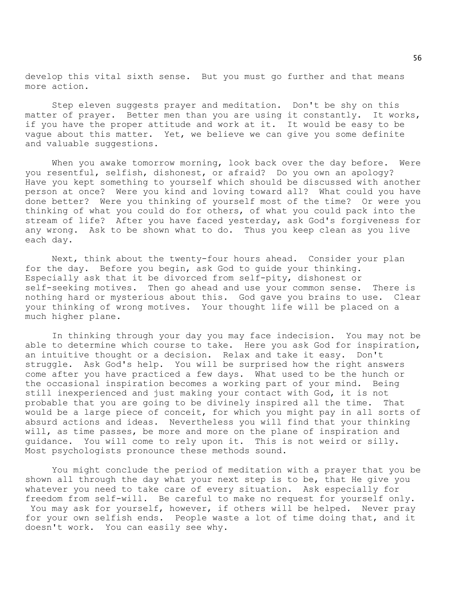develop this vital sixth sense. But you must go further and that means more action.

 Step eleven suggests prayer and meditation. Don't be shy on this matter of prayer. Better men than you are using it constantly. It works, if you have the proper attitude and work at it. It would be easy to be vague about this matter. Yet, we believe we can give you some definite and valuable suggestions.

When you awake tomorrow morning, look back over the day before. Were you resentful, selfish, dishonest, or afraid? Do you own an apology? Have you kept something to yourself which should be discussed with another person at once? Were you kind and loving toward all? What could you have done better? Were you thinking of yourself most of the time? Or were you thinking of what you could do for others, of what you could pack into the stream of life? After you have faced yesterday, ask God's forgiveness for any wrong. Ask to be shown what to do. Thus you keep clean as you live each day.

 Next, think about the twenty-four hours ahead. Consider your plan for the day. Before you begin, ask God to guide your thinking. Especially ask that it be divorced from self-pity, dishonest or self-seeking motives. Then go ahead and use your common sense. There is nothing hard or mysterious about this. God gave you brains to use. Clear your thinking of wrong motives. Your thought life will be placed on a much higher plane.

 In thinking through your day you may face indecision. You may not be able to determine which course to take. Here you ask God for inspiration, an intuitive thought or a decision. Relax and take it easy. Don't struggle. Ask God's help. You will be surprised how the right answers come after you have practiced a few days. What used to be the hunch or the occasional inspiration becomes a working part of your mind. Being still inexperienced and just making your contact with God, it is not probable that you are going to be divinely inspired all the time. That would be a large piece of conceit, for which you might pay in all sorts of absurd actions and ideas. Nevertheless you will find that your thinking will, as time passes, be more and more on the plane of inspiration and guidance. You will come to rely upon it. This is not weird or silly. Most psychologists pronounce these methods sound.

 You might conclude the period of meditation with a prayer that you be shown all through the day what your next step is to be, that He give you whatever you need to take care of every situation. Ask especially for freedom from self-will. Be careful to make no request for yourself only. You may ask for yourself, however, if others will be helped. Never pray for your own selfish ends. People waste a lot of time doing that, and it doesn't work. You can easily see why.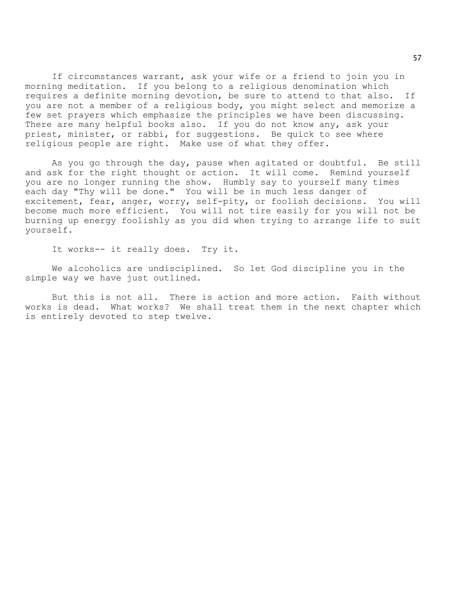If circumstances warrant, ask your wife or a friend to join you in morning meditation. If you belong to a religious denomination which requires a definite morning devotion, be sure to attend to that also. If you are not a member of a religious body, you might select and memorize a few set prayers which emphasize the principles we have been discussing. There are many helpful books also. If you do not know any, ask your priest, minister, or rabbi, for suggestions. Be quick to see where religious people are right. Make use of what they offer.

 As you go through the day, pause when agitated or doubtful. Be still and ask for the right thought or action. It will come. Remind yourself you are no longer running the show. Humbly say to yourself many times each day "Thy will be done." You will be in much less danger of excitement, fear, anger, worry, self-pity, or foolish decisions. You will become much more efficient. You will not tire easily for you will not be burning up energy foolishly as you did when trying to arrange life to suit yourself.

It works-- it really does. Try it.

 We alcoholics are undisciplined. So let God discipline you in the simple way we have just outlined.

 But this is not all. There is action and more action. Faith without works is dead. What works? We shall treat them in the next chapter which is entirely devoted to step twelve.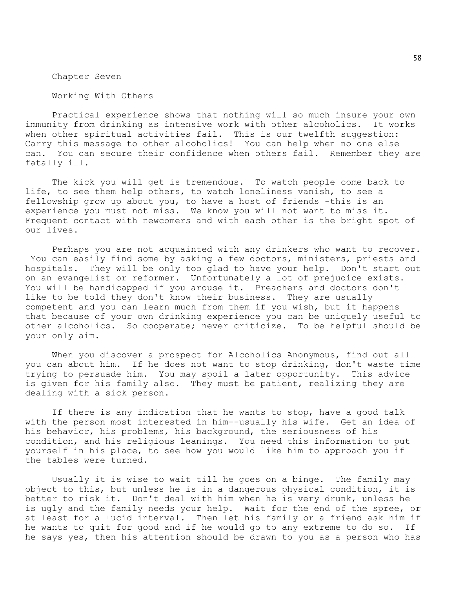Chapter Seven

Working With Others

 Practical experience shows that nothing will so much insure your own immunity from drinking as intensive work with other alcoholics. It works when other spiritual activities fail. This is our twelfth suggestion: Carry this message to other alcoholics! You can help when no one else can. You can secure their confidence when others fail. Remember they are fatally ill.

 The kick you will get is tremendous. To watch people come back to life, to see them help others, to watch loneliness vanish, to see a fellowship grow up about you, to have a host of friends -this is an experience you must not miss. We know you will not want to miss it. Frequent contact with newcomers and with each other is the bright spot of our lives.

 Perhaps you are not acquainted with any drinkers who want to recover. You can easily find some by asking a few doctors, ministers, priests and hospitals. They will be only too glad to have your help. Don't start out on an evangelist or reformer. Unfortunately a lot of prejudice exists. You will be handicapped if you arouse it. Preachers and doctors don't like to be told they don't know their business. They are usually competent and you can learn much from them if you wish, but it happens that because of your own drinking experience you can be uniquely useful to other alcoholics. So cooperate; never criticize. To be helpful should be your only aim.

 When you discover a prospect for Alcoholics Anonymous, find out all you can about him. If he does not want to stop drinking, don't waste time trying to persuade him. You may spoil a later opportunity. This advice is given for his family also. They must be patient, realizing they are dealing with a sick person.

 If there is any indication that he wants to stop, have a good talk with the person most interested in him--usually his wife. Get an idea of his behavior, his problems, his background, the seriousness of his condition, and his religious leanings. You need this information to put yourself in his place, to see how you would like him to approach you if the tables were turned.

 Usually it is wise to wait till he goes on a binge. The family may object to this, but unless he is in a dangerous physical condition, it is better to risk it. Don't deal with him when he is very drunk, unless he is ugly and the family needs your help. Wait for the end of the spree, or at least for a lucid interval. Then let his family or a friend ask him if he wants to quit for good and if he would go to any extreme to do so. If he says yes, then his attention should be drawn to you as a person who has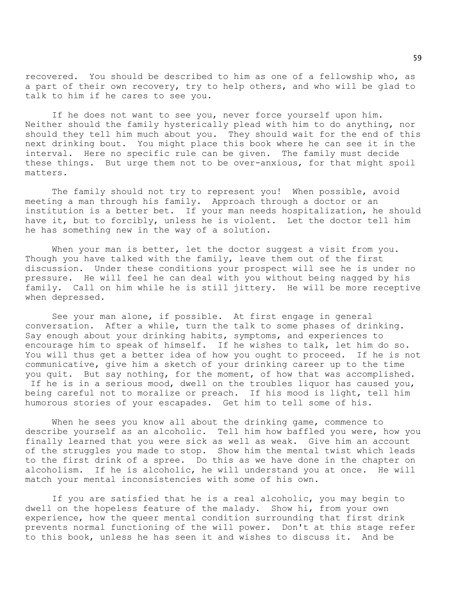recovered. You should be described to him as one of a fellowship who, as a part of their own recovery, try to help others, and who will be glad to talk to him if he cares to see you.

 If he does not want to see you, never force yourself upon him. Neither should the family hysterically plead with him to do anything, nor should they tell him much about you. They should wait for the end of this next drinking bout. You might place this book where he can see it in the interval. Here no specific rule can be given. The family must decide these things. But urge them not to be over-anxious, for that might spoil matters.

The family should not try to represent you! When possible, avoid meeting a man through his family. Approach through a doctor or an institution is a better bet. If your man needs hospitalization, he should have it, but to forcibly, unless he is violent. Let the doctor tell him he has something new in the way of a solution.

When your man is better, let the doctor suggest a visit from you. Though you have talked with the family, leave them out of the first discussion. Under these conditions your prospect will see he is under no pressure. He will feel he can deal with you without being nagged by his family. Call on him while he is still jittery. He will be more receptive when depressed.

 See your man alone, if possible. At first engage in general conversation. After a while, turn the talk to some phases of drinking. Say enough about your drinking habits, symptoms, and experiences to encourage him to speak of himself. If he wishes to talk, let him do so. You will thus get a better idea of how you ought to proceed. If he is not communicative, give him a sketch of your drinking career up to the time you quit. But say nothing, for the moment, of how that was accomplished. If he is in a serious mood, dwell on the troubles liquor has caused you, being careful not to moralize or preach. If his mood is light, tell him humorous stories of your escapades. Get him to tell some of his.

When he sees you know all about the drinking game, commence to describe yourself as an alcoholic. Tell him how baffled you were, how you finally learned that you were sick as well as weak. Give him an account of the struggles you made to stop. Show him the mental twist which leads to the first drink of a spree. Do this as we have done in the chapter on alcoholism. If he is alcoholic, he will understand you at once. He will match your mental inconsistencies with some of his own.

 If you are satisfied that he is a real alcoholic, you may begin to dwell on the hopeless feature of the malady. Show hi, from your own experience, how the queer mental condition surrounding that first drink prevents normal functioning of the will power. Don't at this stage refer to this book, unless he has seen it and wishes to discuss it. And be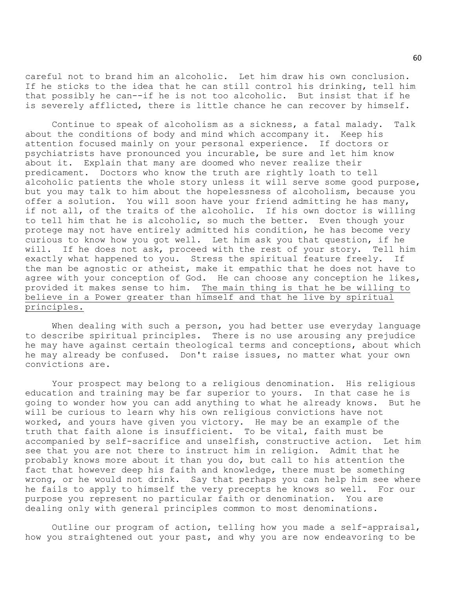careful not to brand him an alcoholic. Let him draw his own conclusion. If he sticks to the idea that he can still control his drinking, tell him that possibly he can--if he is not too alcoholic. But insist that if he is severely afflicted, there is little chance he can recover by himself.

 Continue to speak of alcoholism as a sickness, a fatal malady. Talk about the conditions of body and mind which accompany it. Keep his attention focused mainly on your personal experience. If doctors or psychiatrists have pronounced you incurable, be sure and let him know about it. Explain that many are doomed who never realize their predicament. Doctors who know the truth are rightly loath to tell alcoholic patients the whole story unless it will serve some good purpose, but you may talk to him about the hopelessness of alcoholism, because you offer a solution. You will soon have your friend admitting he has many, if not all, of the traits of the alcoholic. If his own doctor is willing to tell him that he is alcoholic, so much the better. Even though your protege may not have entirely admitted his condition, he has become very curious to know how you got well. Let him ask you that question, if he will. If he does not ask, proceed with the rest of your story. Tell him exactly what happened to you. Stress the spiritual feature freely. If the man be agnostic or atheist, make it empathic that he does not have to agree with your conception of God. He can choose any conception he likes, provided it makes sense to him. The main thing is that he be willing to believe in a Power greater than himself and that he live by spiritual principles.

When dealing with such a person, you had better use everyday language to describe spiritual principles. There is no use arousing any prejudice he may have against certain theological terms and conceptions, about which he may already be confused. Don't raise issues, no matter what your own convictions are.

 Your prospect may belong to a religious denomination. His religious education and training may be far superior to yours. In that case he is going to wonder how you can add anything to what he already knows. But he will be curious to learn why his own religious convictions have not worked, and yours have given you victory. He may be an example of the truth that faith alone is insufficient. To be vital, faith must be accompanied by self-sacrifice and unselfish, constructive action. Let him see that you are not there to instruct him in religion. Admit that he probably knows more about it than you do, but call to his attention the fact that however deep his faith and knowledge, there must be something wrong, or he would not drink. Say that perhaps you can help him see where he fails to apply to himself the very precepts he knows so well. For our purpose you represent no particular faith or denomination. You are dealing only with general principles common to most denominations.

 Outline our program of action, telling how you made a self-appraisal, how you straightened out your past, and why you are now endeavoring to be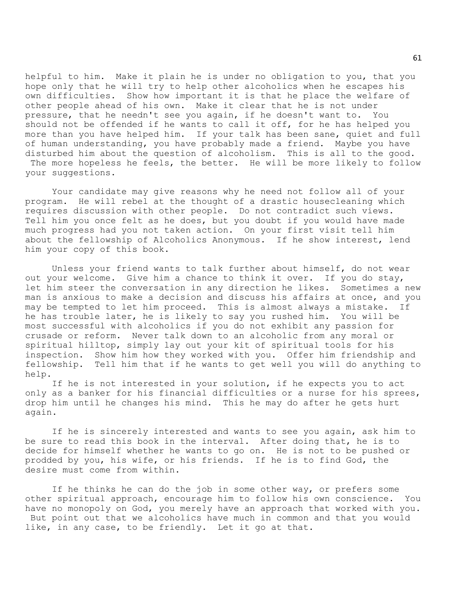helpful to him. Make it plain he is under no obligation to you, that you hope only that he will try to help other alcoholics when he escapes his own difficulties. Show how important it is that he place the welfare of other people ahead of his own. Make it clear that he is not under pressure, that he needn't see you again, if he doesn't want to. You should not be offended if he wants to call it off, for he has helped you more than you have helped him. If your talk has been sane, quiet and full of human understanding, you have probably made a friend. Maybe you have disturbed him about the question of alcoholism. This is all to the good. The more hopeless he feels, the better. He will be more likely to follow your suggestions.

 Your candidate may give reasons why he need not follow all of your program. He will rebel at the thought of a drastic housecleaning which requires discussion with other people. Do not contradict such views. Tell him you once felt as he does, but you doubt if you would have made much progress had you not taken action. On your first visit tell him about the fellowship of Alcoholics Anonymous. If he show interest, lend him your copy of this book.

 Unless your friend wants to talk further about himself, do not wear out your welcome. Give him a chance to think it over. If you do stay, let him steer the conversation in any direction he likes. Sometimes a new man is anxious to make a decision and discuss his affairs at once, and you may be tempted to let him proceed. This is almost always a mistake. If he has trouble later, he is likely to say you rushed him. You will be most successful with alcoholics if you do not exhibit any passion for crusade or reform. Never talk down to an alcoholic from any moral or spiritual hilltop, simply lay out your kit of spiritual tools for his inspection. Show him how they worked with you. Offer him friendship and fellowship. Tell him that if he wants to get well you will do anything to help.

 If he is not interested in your solution, if he expects you to act only as a banker for his financial difficulties or a nurse for his sprees, drop him until he changes his mind. This he may do after he gets hurt again.

 If he is sincerely interested and wants to see you again, ask him to be sure to read this book in the interval. After doing that, he is to decide for himself whether he wants to go on. He is not to be pushed or prodded by you, his wife, or his friends. If he is to find God, the desire must come from within.

 If he thinks he can do the job in some other way, or prefers some other spiritual approach, encourage him to follow his own conscience. You have no monopoly on God, you merely have an approach that worked with you. But point out that we alcoholics have much in common and that you would like, in any case, to be friendly. Let it go at that.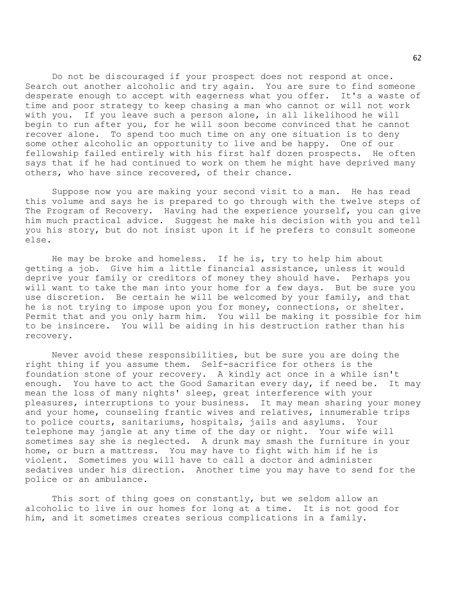Do not be discouraged if your prospect does not respond at once. Search out another alcoholic and try again. You are sure to find someone desperate enough to accept with eagerness what you offer. It's a waste of time and poor strategy to keep chasing a man who cannot or will not work with you. If you leave such a person alone, in all likelihood he will begin to run after you, for he will soon become convinced that he cannot recover alone. To spend too much time on any one situation is to deny some other alcoholic an opportunity to live and be happy. One of our fellowship failed entirely with his first half dozen prospects. He often says that if he had continued to work on them he might have deprived many others, who have since recovered, of their chance.

 Suppose now you are making your second visit to a man. He has read this volume and says he is prepared to go through with the twelve steps of The Program of Recovery. Having had the experience yourself, you can give him much practical advice. Suggest he make his decision with you and tell you his story, but do not insist upon it if he prefers to consult someone else.

 He may be broke and homeless. If he is, try to help him about getting a job. Give him a little financial assistance, unless it would deprive your family or creditors of money they should have. Perhaps you will want to take the man into your home for a few days. But be sure you use discretion. Be certain he will be welcomed by your family, and that he is not trying to impose upon you for money, connections, or shelter. Permit that and you only harm him. You will be making it possible for him to be insincere. You will be aiding in his destruction rather than his recovery.

Never avoid these responsibilities, but be sure you are doing the right thing if you assume them. Self-sacrifice for others is the foundation stone of your recovery. A kindly act once in a while isn't enough. You have to act the Good Samaritan every day, if need be. It may mean the loss of many nights' sleep, great interference with your pleasures, interruptions to your business. It may mean sharing your money and your home, counseling frantic wives and relatives, innumerable trips to police courts, sanitariums, hospitals, jails and asylums. Your telephone may jangle at any time of the day or night. Your wife will sometimes say she is neglected. A drunk may smash the furniture in your home, or burn a mattress. You may have to fight with him if he is violent. Sometimes you will have to call a doctor and administer sedatives under his direction. Another time you may have to send for the police or an ambulance.

This sort of thing goes on constantly, but we seldom allow an alcoholic to live in our homes for long at a time. It is not good for him, and it sometimes creates serious complications in a family.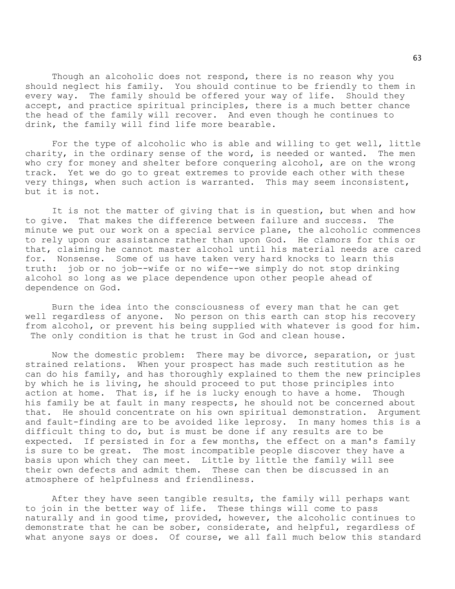Though an alcoholic does not respond, there is no reason why you should neglect his family. You should continue to be friendly to them in every way. The family should be offered your way of life. Should they accept, and practice spiritual principles, there is a much better chance the head of the family will recover. And even though he continues to drink, the family will find life more bearable.

 For the type of alcoholic who is able and willing to get well, little charity, in the ordinary sense of the word, is needed or wanted. The men who cry for money and shelter before conquering alcohol, are on the wrong track. Yet we do go to great extremes to provide each other with these very things, when such action is warranted. This may seem inconsistent, but it is not.

It is not the matter of giving that is in question, but when and how to give. That makes the difference between failure and success. The minute we put our work on a special service plane, the alcoholic commences to rely upon our assistance rather than upon God. He clamors for this or that, claiming he cannot master alcohol until his material needs are cared for. Nonsense. Some of us have taken very hard knocks to learn this truth: job or no job--wife or no wife--we simply do not stop drinking alcohol so long as we place dependence upon other people ahead of dependence on God.

 Burn the idea into the consciousness of every man that he can get well regardless of anyone. No person on this earth can stop his recovery from alcohol, or prevent his being supplied with whatever is good for him. The only condition is that he trust in God and clean house.

 Now the domestic problem: There may be divorce, separation, or just strained relations. When your prospect has made such restitution as he can do his family, and has thoroughly explained to them the new principles by which he is living, he should proceed to put those principles into action at home. That is, if he is lucky enough to have a home. Though his family be at fault in many respects, he should not be concerned about that. He should concentrate on his own spiritual demonstration. Argument and fault-finding are to be avoided like leprosy. In many homes this is a difficult thing to do, but is must be done if any results are to be expected. If persisted in for a few months, the effect on a man's family is sure to be great. The most incompatible people discover they have a basis upon which they can meet. Little by little the family will see their own defects and admit them. These can then be discussed in an atmosphere of helpfulness and friendliness.

 After they have seen tangible results, the family will perhaps want to join in the better way of life. These things will come to pass naturally and in good time, provided, however, the alcoholic continues to demonstrate that he can be sober, considerate, and helpful, regardless of what anyone says or does. Of course, we all fall much below this standard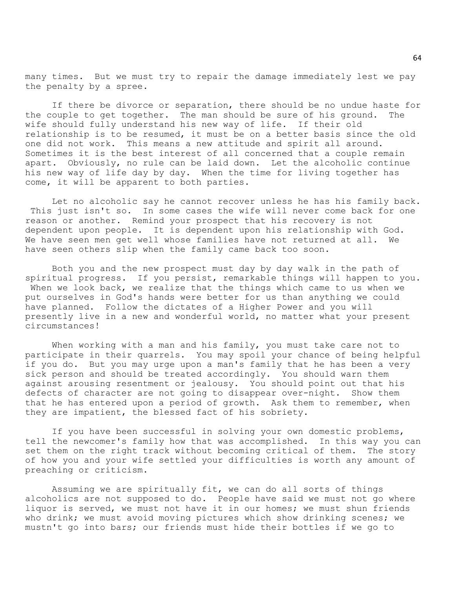many times. But we must try to repair the damage immediately lest we pay the penalty by a spree.

 If there be divorce or separation, there should be no undue haste for the couple to get together. The man should be sure of his ground. The wife should fully understand his new way of life. If their old relationship is to be resumed, it must be on a better basis since the old one did not work. This means a new attitude and spirit all around. Sometimes it is the best interest of all concerned that a couple remain apart. Obviously, no rule can be laid down. Let the alcoholic continue his new way of life day by day. When the time for living together has come, it will be apparent to both parties.

 Let no alcoholic say he cannot recover unless he has his family back. This just isn't so. In some cases the wife will never come back for one reason or another. Remind your prospect that his recovery is not dependent upon people. It is dependent upon his relationship with God. We have seen men get well whose families have not returned at all. We have seen others slip when the family came back too soon.

 Both you and the new prospect must day by day walk in the path of spiritual progress. If you persist, remarkable things will happen to you. When we look back, we realize that the things which came to us when we put ourselves in God's hands were better for us than anything we could have planned. Follow the dictates of a Higher Power and you will presently live in a new and wonderful world, no matter what your present circumstances!

 When working with a man and his family, you must take care not to participate in their quarrels. You may spoil your chance of being helpful if you do. But you may urge upon a man's family that he has been a very sick person and should be treated accordingly. You should warn them against arousing resentment or jealousy. You should point out that his defects of character are not going to disappear over-night. Show them that he has entered upon a period of growth. Ask them to remember, when they are impatient, the blessed fact of his sobriety.

 If you have been successful in solving your own domestic problems, tell the newcomer's family how that was accomplished. In this way you can set them on the right track without becoming critical of them. The story of how you and your wife settled your difficulties is worth any amount of preaching or criticism.

 Assuming we are spiritually fit, we can do all sorts of things alcoholics are not supposed to do. People have said we must not go where liquor is served, we must not have it in our homes; we must shun friends who drink; we must avoid moving pictures which show drinking scenes; we mustn't go into bars; our friends must hide their bottles if we go to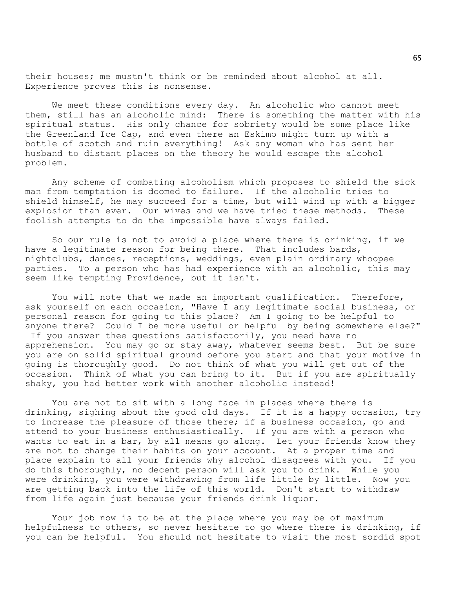their houses; me mustn't think or be reminded about alcohol at all. Experience proves this is nonsense.

 We meet these conditions every day. An alcoholic who cannot meet them, still has an alcoholic mind: There is something the matter with his spiritual status. His only chance for sobriety would be some place like the Greenland Ice Cap, and even there an Eskimo might turn up with a bottle of scotch and ruin everything! Ask any woman who has sent her husband to distant places on the theory he would escape the alcohol problem.

 Any scheme of combating alcoholism which proposes to shield the sick man from temptation is doomed to failure. If the alcoholic tries to shield himself, he may succeed for a time, but will wind up with a bigger explosion than ever. Our wives and we have tried these methods. These foolish attempts to do the impossible have always failed.

 So our rule is not to avoid a place where there is drinking, if we have a legitimate reason for being there. That includes bards, nightclubs, dances, receptions, weddings, even plain ordinary whoopee parties. To a person who has had experience with an alcoholic, this may seem like tempting Providence, but it isn't.

 You will note that we made an important qualification. Therefore, ask yourself on each occasion, "Have I any legitimate social business, or personal reason for going to this place? Am I going to be helpful to anyone there? Could I be more useful or helpful by being somewhere else?" If you answer thee questions satisfactorily, you need have no apprehension. You may go or stay away, whatever seems best. But be sure you are on solid spiritual ground before you start and that your motive in going is thoroughly good. Do not think of what you will get out of the occasion. Think of what you can bring to it. But if you are spiritually shaky, you had better work with another alcoholic instead!

 You are not to sit with a long face in places where there is drinking, sighing about the good old days. If it is a happy occasion, try to increase the pleasure of those there; if a business occasion, go and attend to your business enthusiastically. If you are with a person who wants to eat in a bar, by all means go along. Let your friends know they are not to change their habits on your account. At a proper time and place explain to all your friends why alcohol disagrees with you. If you do this thoroughly, no decent person will ask you to drink. While you were drinking, you were withdrawing from life little by little. Now you are getting back into the life of this world. Don't start to withdraw from life again just because your friends drink liquor.

 Your job now is to be at the place where you may be of maximum helpfulness to others, so never hesitate to go where there is drinking, if you can be helpful. You should not hesitate to visit the most sordid spot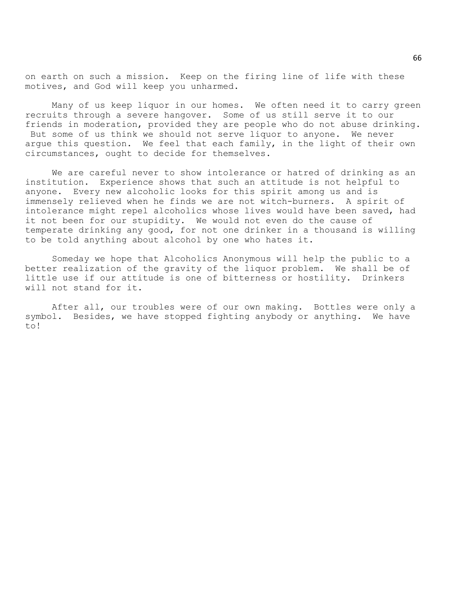on earth on such a mission. Keep on the firing line of life with these motives, and God will keep you unharmed.

 Many of us keep liquor in our homes. We often need it to carry green recruits through a severe hangover. Some of us still serve it to our friends in moderation, provided they are people who do not abuse drinking. But some of us think we should not serve liquor to anyone. We never argue this question. We feel that each family, in the light of their own circumstances, ought to decide for themselves.

 We are careful never to show intolerance or hatred of drinking as an institution. Experience shows that such an attitude is not helpful to anyone. Every new alcoholic looks for this spirit among us and is immensely relieved when he finds we are not witch-burners. A spirit of intolerance might repel alcoholics whose lives would have been saved, had it not been for our stupidity. We would not even do the cause of temperate drinking any good, for not one drinker in a thousand is willing to be told anything about alcohol by one who hates it.

 Someday we hope that Alcoholics Anonymous will help the public to a better realization of the gravity of the liquor problem. We shall be of little use if our attitude is one of bitterness or hostility. Drinkers will not stand for it.

 After all, our troubles were of our own making. Bottles were only a symbol. Besides, we have stopped fighting anybody or anything. We have to!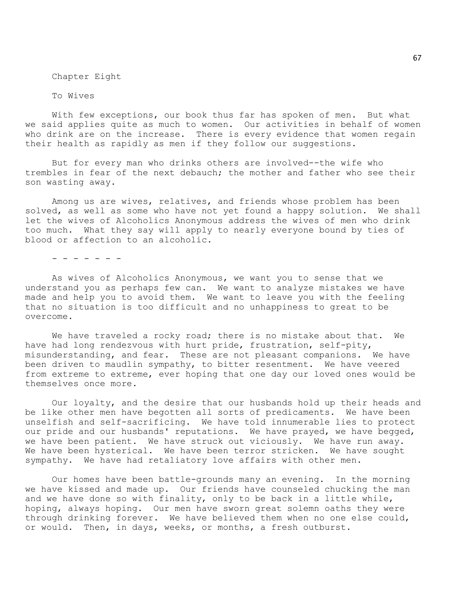Chapter Eight

To Wives

 With few exceptions, our book thus far has spoken of men. But what we said applies quite as much to women. Our activities in behalf of women who drink are on the increase. There is every evidence that women regain their health as rapidly as men if they follow our suggestions.

 But for every man who drinks others are involved--the wife who trembles in fear of the next debauch; the mother and father who see their son wasting away.

 Among us are wives, relatives, and friends whose problem has been solved, as well as some who have not yet found a happy solution. We shall let the wives of Alcoholics Anonymous address the wives of men who drink too much. What they say will apply to nearly everyone bound by ties of blood or affection to an alcoholic.

- - - - - - -

 As wives of Alcoholics Anonymous, we want you to sense that we understand you as perhaps few can. We want to analyze mistakes we have made and help you to avoid them. We want to leave you with the feeling that no situation is too difficult and no unhappiness to great to be overcome.

We have traveled a rocky road; there is no mistake about that. We have had long rendezvous with hurt pride, frustration, self-pity, misunderstanding, and fear. These are not pleasant companions. We have been driven to maudlin sympathy, to bitter resentment. We have veered from extreme to extreme, ever hoping that one day our loved ones would be themselves once more.

 Our loyalty, and the desire that our husbands hold up their heads and be like other men have begotten all sorts of predicaments. We have been unselfish and self-sacrificing. We have told innumerable lies to protect our pride and our husbands' reputations. We have prayed, we have begged, we have been patient. We have struck out viciously. We have run away. We have been hysterical. We have been terror stricken. We have sought sympathy. We have had retaliatory love affairs with other men.

 Our homes have been battle-grounds many an evening. In the morning we have kissed and made up. Our friends have counseled chucking the man and we have done so with finality, only to be back in a little while, hoping, always hoping. Our men have sworn great solemn oaths they were through drinking forever. We have believed them when no one else could, or would. Then, in days, weeks, or months, a fresh outburst.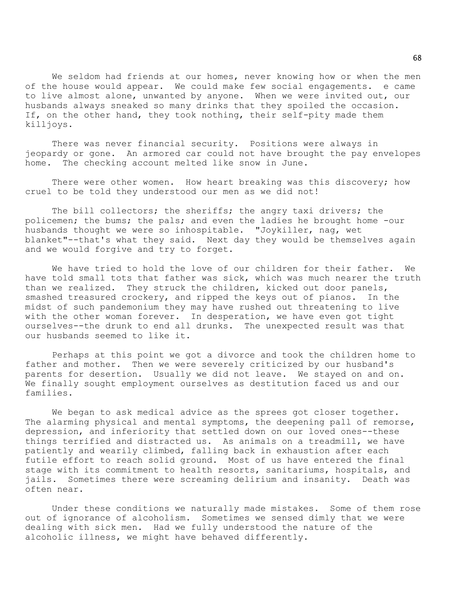We seldom had friends at our homes, never knowing how or when the men of the house would appear. We could make few social engagements. e came to live almost alone, unwanted by anyone. When we were invited out, our husbands always sneaked so many drinks that they spoiled the occasion. If, on the other hand, they took nothing, their self-pity made them killjoys.

 There was never financial security. Positions were always in jeopardy or gone. An armored car could not have brought the pay envelopes home. The checking account melted like snow in June.

There were other women. How heart breaking was this discovery; how cruel to be told they understood our men as we did not!

The bill collectors; the sheriffs; the angry taxi drivers; the policemen; the bums; the pals; and even the ladies he brought home -our husbands thought we were so inhospitable. "Joykiller, nag, wet blanket"--that's what they said. Next day they would be themselves again and we would forgive and try to forget.

 We have tried to hold the love of our children for their father. We have told small tots that father was sick, which was much nearer the truth than we realized. They struck the children, kicked out door panels, smashed treasured crockery, and ripped the keys out of pianos. In the midst of such pandemonium they may have rushed out threatening to live with the other woman forever. In desperation, we have even got tight ourselves--the drunk to end all drunks. The unexpected result was that our husbands seemed to like it.

 Perhaps at this point we got a divorce and took the children home to father and mother. Then we were severely criticized by our husband's parents for desertion. Usually we did not leave. We stayed on and on. We finally sought employment ourselves as destitution faced us and our families.

 We began to ask medical advice as the sprees got closer together. The alarming physical and mental symptoms, the deepening pall of remorse, depression, and inferiority that settled down on our loved ones--these things terrified and distracted us. As animals on a treadmill, we have patiently and wearily climbed, falling back in exhaustion after each futile effort to reach solid ground. Most of us have entered the final stage with its commitment to health resorts, sanitariums, hospitals, and jails. Sometimes there were screaming delirium and insanity. Death was often near.

 Under these conditions we naturally made mistakes. Some of them rose out of ignorance of alcoholism. Sometimes we sensed dimly that we were dealing with sick men. Had we fully understood the nature of the alcoholic illness, we might have behaved differently.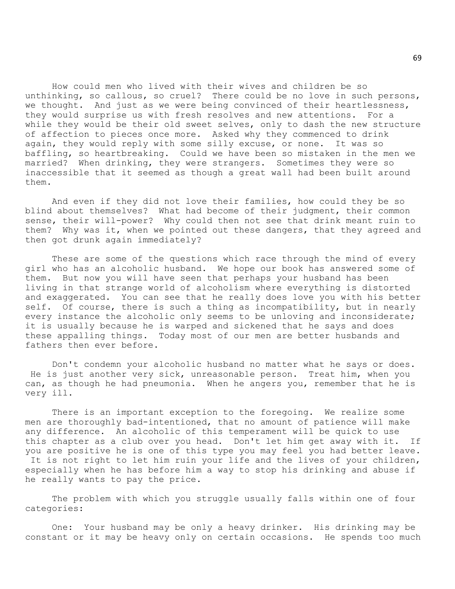How could men who lived with their wives and children be so unthinking, so callous, so cruel? There could be no love in such persons, we thought. And just as we were being convinced of their heartlessness, they would surprise us with fresh resolves and new attentions. For a while they would be their old sweet selves, only to dash the new structure of affection to pieces once more. Asked why they commenced to drink again, they would reply with some silly excuse, or none. It was so baffling, so heartbreaking. Could we have been so mistaken in the men we married? When drinking, they were strangers. Sometimes they were so inaccessible that it seemed as though a great wall had been built around them.

 And even if they did not love their families, how could they be so blind about themselves? What had become of their judgment, their common sense, their will-power? Why could then not see that drink meant ruin to them? Why was it, when we pointed out these dangers, that they agreed and then got drunk again immediately?

 These are some of the questions which race through the mind of every girl who has an alcoholic husband. We hope our book has answered some of them. But now you will have seen that perhaps your husband has been living in that strange world of alcoholism where everything is distorted and exaggerated. You can see that he really does love you with his better self. Of course, there is such a thing as incompatibility, but in nearly every instance the alcoholic only seems to be unloving and inconsiderate; it is usually because he is warped and sickened that he says and does these appalling things. Today most of our men are better husbands and fathers then ever before.

 Don't condemn your alcoholic husband no matter what he says or does. He is just another very sick, unreasonable person. Treat him, when you can, as though he had pneumonia. When he angers you, remember that he is very ill.

 There is an important exception to the foregoing. We realize some men are thoroughly bad-intentioned, that no amount of patience will make any difference. An alcoholic of this temperament will be quick to use this chapter as a club over you head. Don't let him get away with it. If you are positive he is one of this type you may feel you had better leave. It is not right to let him ruin your life and the lives of your children, especially when he has before him a way to stop his drinking and abuse if he really wants to pay the price.

 The problem with which you struggle usually falls within one of four categories:

 One: Your husband may be only a heavy drinker. His drinking may be constant or it may be heavy only on certain occasions. He spends too much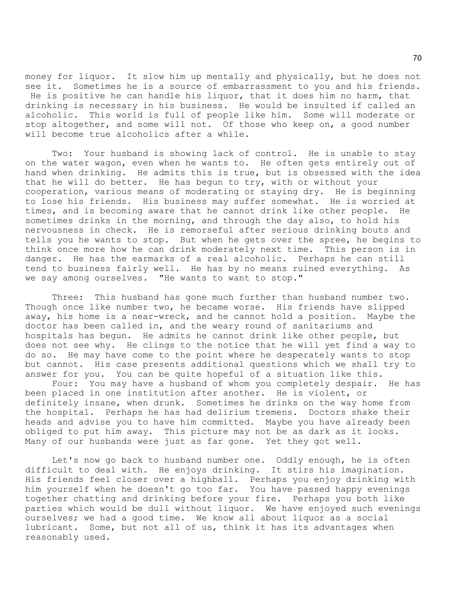money for liquor. It slow him up mentally and physically, but he does not see it. Sometimes he is a source of embarrassment to you and his friends. He is positive he can handle his liquor, that it does him no harm, that drinking is necessary in his business. He would be insulted if called an alcoholic. This world is full of people like him. Some will moderate or stop altogether, and some will not. Of those who keep on, a good number will become true alcoholics after a while.

 Two: Your husband is showing lack of control. He is unable to stay on the water wagon, even when he wants to. He often gets entirely out of hand when drinking. He admits this is true, but is obsessed with the idea that he will do better. He has begun to try, with or without your cooperation, various means of moderating or staying dry. He is beginning to lose his friends. His business may suffer somewhat. He is worried at times, and is becoming aware that he cannot drink like other people. He sometimes drinks in the morning, and through the day also, to hold his nervousness in check. He is remorseful after serious drinking bouts and tells you he wants to stop. But when he gets over the spree, he begins to think once more how he can drink moderately next time. This person is in danger. He has the earmarks of a real alcoholic. Perhaps he can still tend to business fairly well. He has by no means ruined everything. As we say among ourselves. "He wants to want to stop."

 Three: This husband has gone much further than husband number two. Though once like number two, he became worse. His friends have slipped away, his home is a near-wreck, and he cannot hold a position. Maybe the doctor has been called in, and the weary round of sanitariums and hospitals has begun. He admits he cannot drink like other people, but does not see why. He clings to the notice that he will yet find a way to do so. He may have come to the point where he desperately wants to stop but cannot. His case presents additional questions which we shall try to answer for you. You can be quite hopeful of a situation like this.

 Four: You may have a husband of whom you completely despair. He has been placed in one institution after another. He is violent, or definitely insane, when drunk. Sometimes he drinks on the way home from the hospital. Perhaps he has had delirium tremens. Doctors shake their heads and advise you to have him committed. Maybe you have already been obliged to put him away. This picture may not be as dark as it looks. Many of our husbands were just as far gone. Yet they got well.

 Let's now go back to husband number one. Oddly enough, he is often difficult to deal with. He enjoys drinking. It stirs his imagination. His friends feel closer over a highball. Perhaps you enjoy drinking with him yourself when he doesn't go too far. You have passed happy evenings together chatting and drinking before your fire. Perhaps you both like parties which would be dull without liquor. We have enjoyed such evenings ourselves; we had a good time. We know all about liquor as a social lubricant. Some, but not all of us, think it has its advantages when reasonably used.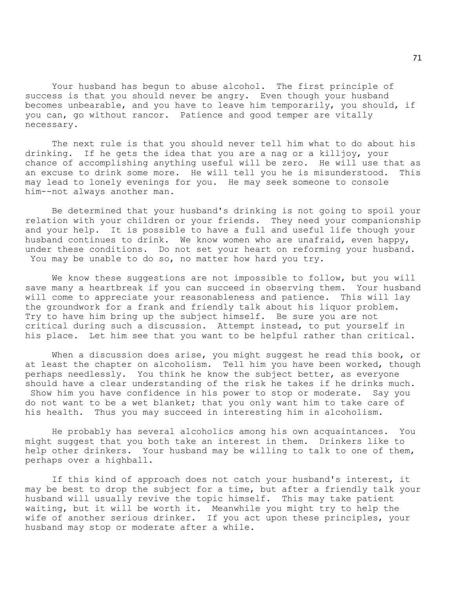Your husband has begun to abuse alcohol. The first principle of success is that you should never be angry. Even though your husband becomes unbearable, and you have to leave him temporarily, you should, if you can, go without rancor. Patience and good temper are vitally necessary.

 The next rule is that you should never tell him what to do about his drinking. If he gets the idea that you are a nag or a killjoy, your chance of accomplishing anything useful will be zero. He will use that as an excuse to drink some more. He will tell you he is misunderstood. This may lead to lonely evenings for you. He may seek someone to console him--not always another man.

 Be determined that your husband's drinking is not going to spoil your relation with your children or your friends. They need your companionship and your help. It is possible to have a full and useful life though your husband continues to drink. We know women who are unafraid, even happy, under these conditions. Do not set your heart on reforming your husband. You may be unable to do so, no matter how hard you try.

We know these suggestions are not impossible to follow, but you will save many a heartbreak if you can succeed in observing them. Your husband will come to appreciate your reasonableness and patience. This will lay the groundwork for a frank and friendly talk about his liquor problem. Try to have him bring up the subject himself. Be sure you are not critical during such a discussion. Attempt instead, to put yourself in his place. Let him see that you want to be helpful rather than critical.

When a discussion does arise, you might suggest he read this book, or at least the chapter on alcoholism. Tell him you have been worked, though perhaps needlessly. You think he know the subject better, as everyone should have a clear understanding of the risk he takes if he drinks much. Show him you have confidence in his power to stop or moderate. Say you do not want to be a wet blanket; that you only want him to take care of his health. Thus you may succeed in interesting him in alcoholism.

 He probably has several alcoholics among his own acquaintances. You might suggest that you both take an interest in them. Drinkers like to help other drinkers. Your husband may be willing to talk to one of them, perhaps over a highball.

If this kind of approach does not catch your husband's interest, it may be best to drop the subject for a time, but after a friendly talk your husband will usually revive the topic himself. This may take patient waiting, but it will be worth it. Meanwhile you might try to help the wife of another serious drinker. If you act upon these principles, your husband may stop or moderate after a while.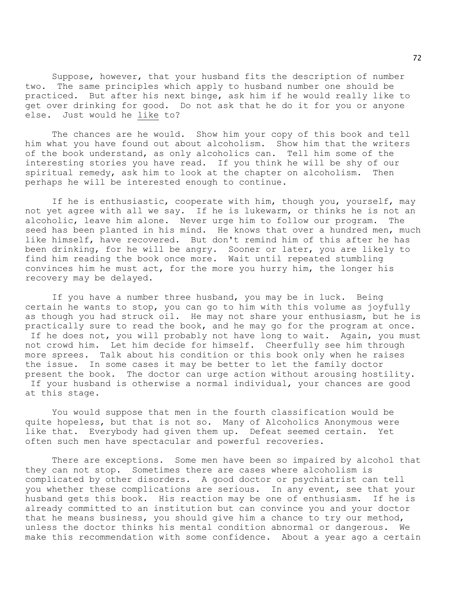Suppose, however, that your husband fits the description of number two. The same principles which apply to husband number one should be practiced. But after his next binge, ask him if he would really like to get over drinking for good. Do not ask that he do it for you or anyone else. Just would he like to?

 The chances are he would. Show him your copy of this book and tell him what you have found out about alcoholism. Show him that the writers of the book understand, as only alcoholics can. Tell him some of the interesting stories you have read. If you think he will be shy of our spiritual remedy, ask him to look at the chapter on alcoholism. Then perhaps he will be interested enough to continue.

 If he is enthusiastic, cooperate with him, though you, yourself, may not yet agree with all we say. If he is lukewarm, or thinks he is not an alcoholic, leave him alone. Never urge him to follow our program. The seed has been planted in his mind. He knows that over a hundred men, much like himself, have recovered. But don't remind him of this after he has been drinking, for he will be angry. Sooner or later, you are likely to find him reading the book once more. Wait until repeated stumbling convinces him he must act, for the more you hurry him, the longer his recovery may be delayed.

 If you have a number three husband, you may be in luck. Being certain he wants to stop, you can go to him with this volume as joyfully as though you had struck oil. He may not share your enthusiasm, but he is practically sure to read the book, and he may go for the program at once. If he does not, you will probably not have long to wait. Again, you must not crowd him. Let him decide for himself. Cheerfully see him through more sprees. Talk about his condition or this book only when he raises the issue. In some cases it may be better to let the family doctor present the book. The doctor can urge action without arousing hostility. If your husband is otherwise a normal individual, your chances are good at this stage.

 You would suppose that men in the fourth classification would be quite hopeless, but that is not so. Many of Alcoholics Anonymous were like that. Everybody had given them up. Defeat seemed certain. Yet often such men have spectacular and powerful recoveries.

 There are exceptions. Some men have been so impaired by alcohol that they can not stop. Sometimes there are cases where alcoholism is complicated by other disorders. A good doctor or psychiatrist can tell you whether these complications are serious. In any event, see that your husband gets this book. His reaction may be one of enthusiasm. If he is already committed to an institution but can convince you and your doctor that he means business, you should give him a chance to try our method, unless the doctor thinks his mental condition abnormal or dangerous. We make this recommendation with some confidence. About a year ago a certain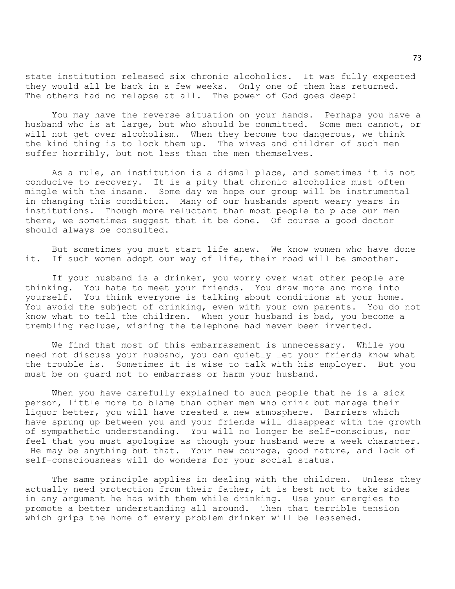state institution released six chronic alcoholics. It was fully expected they would all be back in a few weeks. Only one of them has returned. The others had no relapse at all. The power of God goes deep!

 You may have the reverse situation on your hands. Perhaps you have a husband who is at large, but who should be committed. Some men cannot, or will not get over alcoholism. When they become too dangerous, we think the kind thing is to lock them up. The wives and children of such men suffer horribly, but not less than the men themselves.

 As a rule, an institution is a dismal place, and sometimes it is not conducive to recovery. It is a pity that chronic alcoholics must often mingle with the insane. Some day we hope our group will be instrumental in changing this condition. Many of our husbands spent weary years in institutions. Though more reluctant than most people to place our men there, we sometimes suggest that it be done. Of course a good doctor should always be consulted.

 But sometimes you must start life anew. We know women who have done it. If such women adopt our way of life, their road will be smoother.

 If your husband is a drinker, you worry over what other people are thinking. You hate to meet your friends. You draw more and more into yourself. You think everyone is talking about conditions at your home. You avoid the subject of drinking, even with your own parents. You do not know what to tell the children. When your husband is bad, you become a trembling recluse, wishing the telephone had never been invented.

 We find that most of this embarrassment is unnecessary. While you need not discuss your husband, you can quietly let your friends know what the trouble is. Sometimes it is wise to talk with his employer. But you must be on guard not to embarrass or harm your husband.

 When you have carefully explained to such people that he is a sick person, little more to blame than other men who drink but manage their liquor better, you will have created a new atmosphere. Barriers which have sprung up between you and your friends will disappear with the growth of sympathetic understanding. You will no longer be self-conscious, nor feel that you must apologize as though your husband were a week character. He may be anything but that. Your new courage, good nature, and lack of self-consciousness will do wonders for your social status.

The same principle applies in dealing with the children. Unless they actually need protection from their father, it is best not to take sides in any argument he has with them while drinking. Use your energies to promote a better understanding all around. Then that terrible tension which grips the home of every problem drinker will be lessened.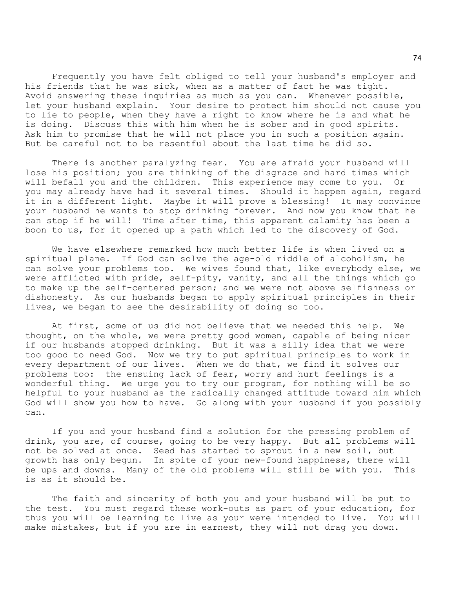Frequently you have felt obliged to tell your husband's employer and his friends that he was sick, when as a matter of fact he was tight. Avoid answering these inquiries as much as you can. Whenever possible, let your husband explain. Your desire to protect him should not cause you to lie to people, when they have a right to know where he is and what he is doing. Discuss this with him when he is sober and in good spirits. Ask him to promise that he will not place you in such a position again. But be careful not to be resentful about the last time he did so.

 There is another paralyzing fear. You are afraid your husband will lose his position; you are thinking of the disgrace and hard times which will befall you and the children. This experience may come to you. Or you may already have had it several times. Should it happen again, regard it in a different light. Maybe it will prove a blessing! It may convince your husband he wants to stop drinking forever. And now you know that he can stop if he will! Time after time, this apparent calamity has been a boon to us, for it opened up a path which led to the discovery of God.

 We have elsewhere remarked how much better life is when lived on a spiritual plane. If God can solve the age-old riddle of alcoholism, he can solve your problems too. We wives found that, like everybody else, we were afflicted with pride, self-pity, vanity, and all the things which go to make up the self-centered person; and we were not above selfishness or dishonesty. As our husbands began to apply spiritual principles in their lives, we began to see the desirability of doing so too.

 At first, some of us did not believe that we needed this help. We thought, on the whole, we were pretty good women, capable of being nicer if our husbands stopped drinking. But it was a silly idea that we were too good to need God. Now we try to put spiritual principles to work in every department of our lives. When we do that, we find it solves our problems too: the ensuing lack of fear, worry and hurt feelings is a wonderful thing. We urge you to try our program, for nothing will be so helpful to your husband as the radically changed attitude toward him which God will show you how to have. Go along with your husband if you possibly can.

 If you and your husband find a solution for the pressing problem of drink, you are, of course, going to be very happy. But all problems will not be solved at once. Seed has started to sprout in a new soil, but growth has only begun. In spite of your new-found happiness, there will be ups and downs. Many of the old problems will still be with you. This is as it should be.

 The faith and sincerity of both you and your husband will be put to the test. You must regard these work-outs as part of your education, for thus you will be learning to live as your were intended to live. You will make mistakes, but if you are in earnest, they will not drag you down.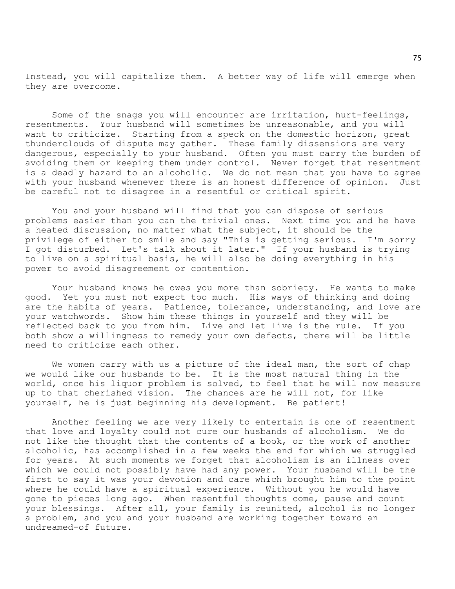Instead, you will capitalize them. A better way of life will emerge when they are overcome.

 Some of the snags you will encounter are irritation, hurt-feelings, resentments. Your husband will sometimes be unreasonable, and you will want to criticize. Starting from a speck on the domestic horizon, great thunderclouds of dispute may gather. These family dissensions are very dangerous, especially to your husband. Often you must carry the burden of avoiding them or keeping them under control. Never forget that resentment is a deadly hazard to an alcoholic. We do not mean that you have to agree with your husband whenever there is an honest difference of opinion. Just be careful not to disagree in a resentful or critical spirit.

 You and your husband will find that you can dispose of serious problems easier than you can the trivial ones. Next time you and he have a heated discussion, no matter what the subject, it should be the privilege of either to smile and say "This is getting serious. I'm sorry I got disturbed. Let's talk about it later." If your husband is trying to live on a spiritual basis, he will also be doing everything in his power to avoid disagreement or contention.

 Your husband knows he owes you more than sobriety. He wants to make good. Yet you must not expect too much. His ways of thinking and doing are the habits of years. Patience, tolerance, understanding, and love are your watchwords. Show him these things in yourself and they will be reflected back to you from him. Live and let live is the rule. If you both show a willingness to remedy your own defects, there will be little need to criticize each other.

We women carry with us a picture of the ideal man, the sort of chap we would like our husbands to be. It is the most natural thing in the world, once his liquor problem is solved, to feel that he will now measure up to that cherished vision. The chances are he will not, for like yourself, he is just beginning his development. Be patient!

 Another feeling we are very likely to entertain is one of resentment that love and loyalty could not cure our husbands of alcoholism. We do not like the thought that the contents of a book, or the work of another alcoholic, has accomplished in a few weeks the end for which we struggled for years. At such moments we forget that alcoholism is an illness over which we could not possibly have had any power. Your husband will be the first to say it was your devotion and care which brought him to the point where he could have a spiritual experience. Without you he would have gone to pieces long ago. When resentful thoughts come, pause and count your blessings. After all, your family is reunited, alcohol is no longer a problem, and you and your husband are working together toward an undreamed-of future.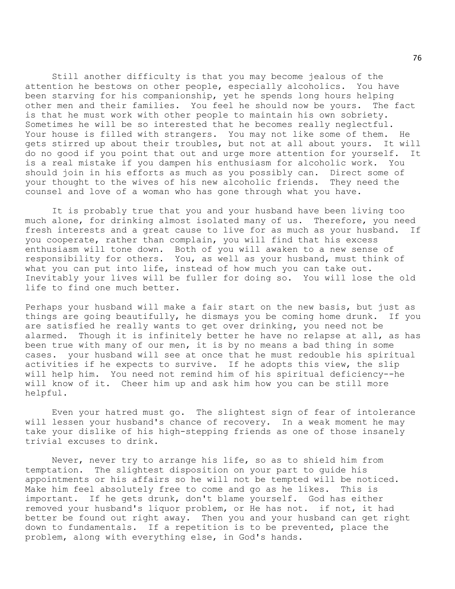Still another difficulty is that you may become jealous of the attention he bestows on other people, especially alcoholics. You have been starving for his companionship, yet he spends long hours helping other men and their families. You feel he should now be yours. The fact is that he must work with other people to maintain his own sobriety. Sometimes he will be so interested that he becomes really neglectful. Your house is filled with strangers. You may not like some of them. He gets stirred up about their troubles, but not at all about yours. It will do no good if you point that out and urge more attention for yourself. It is a real mistake if you dampen his enthusiasm for alcoholic work. should join in his efforts as much as you possibly can. Direct some of your thought to the wives of his new alcoholic friends. They need the counsel and love of a woman who has gone through what you have.

 It is probably true that you and your husband have been living too much alone, for drinking almost isolated many of us. Therefore, you need fresh interests and a great cause to live for as much as your husband. If you cooperate, rather than complain, you will find that his excess enthusiasm will tone down. Both of you will awaken to a new sense of responsibility for others. You, as well as your husband, must think of what you can put into life, instead of how much you can take out. Inevitably your lives will be fuller for doing so. You will lose the old life to find one much better.

Perhaps your husband will make a fair start on the new basis, but just as things are going beautifully, he dismays you be coming home drunk. If you are satisfied he really wants to get over drinking, you need not be alarmed. Though it is infinitely better he have no relapse at all, as has been true with many of our men, it is by no means a bad thing in some cases. your husband will see at once that he must redouble his spiritual activities if he expects to survive. If he adopts this view, the slip will help him. You need not remind him of his spiritual deficiency--he will know of it. Cheer him up and ask him how you can be still more helpful.

Even your hatred must go. The slightest sign of fear of intolerance will lessen your husband's chance of recovery. In a weak moment he may take your dislike of his high-stepping friends as one of those insanely trivial excuses to drink.

 Never, never try to arrange his life, so as to shield him from temptation. The slightest disposition on your part to guide his appointments or his affairs so he will not be tempted will be noticed. Make him feel absolutely free to come and go as he likes. This is important. If he gets drunk, don't blame yourself. God has either removed your husband's liquor problem, or He has not. if not, it had better be found out right away. Then you and your husband can get right down to fundamentals. If a repetition is to be prevented, place the problem, along with everything else, in God's hands.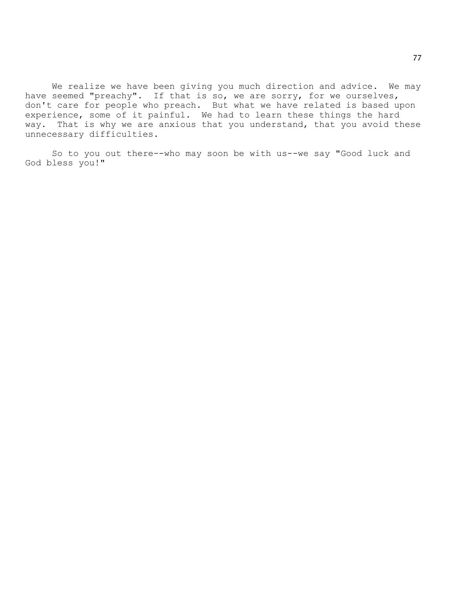We realize we have been giving you much direction and advice. We may have seemed "preachy". If that is so, we are sorry, for we ourselves, don't care for people who preach. But what we have related is based upon experience, some of it painful. We had to learn these things the hard way. That is why we are anxious that you understand, that you avoid these unnecessary difficulties.

 So to you out there--who may soon be with us--we say "Good luck and God bless you!"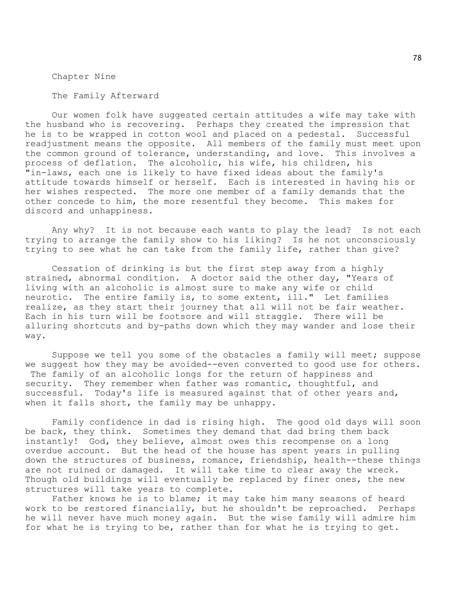Chapter Nine

The Family Afterward

 Our women folk have suggested certain attitudes a wife may take with the husband who is recovering. Perhaps they created the impression that he is to be wrapped in cotton wool and placed on a pedestal. Successful readjustment means the opposite. All members of the family must meet upon the common ground of tolerance, understanding, and love. This involves a process of deflation. The alcoholic, his wife, his children, his "in-laws, each one is likely to have fixed ideas about the family's attitude towards himself or herself. Each is interested in having his or her wishes respected. The more one member of a family demands that the other concede to him, the more resentful they become. This makes for discord and unhappiness.

 Any why? It is not because each wants to play the lead? Is not each trying to arrange the family show to his liking? Is he not unconsciously trying to see what he can take from the family life, rather than give?

 Cessation of drinking is but the first step away from a highly strained, abnormal condition. A doctor said the other day, "Years of living with an alcoholic is almost sure to make any wife or child neurotic. The entire family is, to some extent, ill." Let families realize, as they start their journey that all will not be fair weather. Each in his turn will be footsore and will straggle. There will be alluring shortcuts and by-paths down which they may wander and lose their way.

 Suppose we tell you some of the obstacles a family will meet; suppose we suggest how they may be avoided--even converted to good use for others. The family of an alcoholic longs for the return of happiness and security. They remember when father was romantic, thoughtful, and successful. Today's life is measured against that of other years and, when it falls short, the family may be unhappy.

 Family confidence in dad is rising high. The good old days will soon be back, they think. Sometimes they demand that dad bring them back instantly! God, they believe, almost owes this recompense on a long overdue account. But the head of the house has spent years in pulling down the structures of business, romance, friendship, health--these things are not ruined or damaged. It will take time to clear away the wreck. Though old buildings will eventually be replaced by finer ones, the new structures will take years to complete.

Father knows he is to blame; it may take him many seasons of heard work to be restored financially, but he shouldn't be reproached. Perhaps he will never have much money again. But the wise family will admire him for what he is trying to be, rather than for what he is trying to get.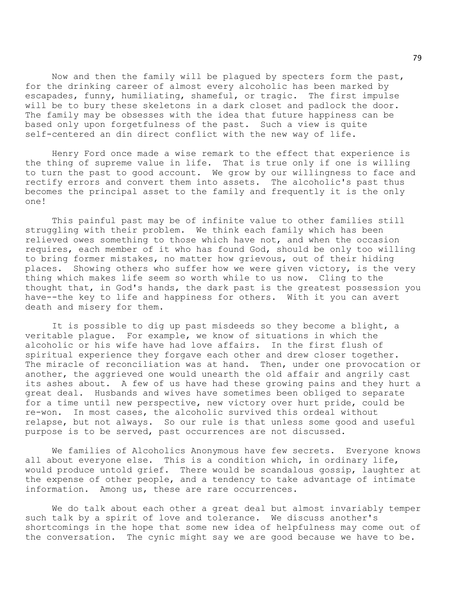Now and then the family will be plagued by specters form the past, for the drinking career of almost every alcoholic has been marked by escapades, funny, humiliating, shameful, or tragic. The first impulse will be to bury these skeletons in a dark closet and padlock the door. The family may be obsesses with the idea that future happiness can be based only upon forgetfulness of the past. Such a view is quite self-centered an din direct conflict with the new way of life.

 Henry Ford once made a wise remark to the effect that experience is the thing of supreme value in life. That is true only if one is willing to turn the past to good account. We grow by our willingness to face and rectify errors and convert them into assets. The alcoholic's past thus becomes the principal asset to the family and frequently it is the only one!

 This painful past may be of infinite value to other families still struggling with their problem. We think each family which has been relieved owes something to those which have not, and when the occasion requires, each member of it who has found God, should be only too willing to bring former mistakes, no matter how grievous, out of their hiding places. Showing others who suffer how we were given victory, is the very thing which makes life seem so worth while to us now. Cling to the thought that, in God's hands, the dark past is the greatest possession you have--the key to life and happiness for others. With it you can avert death and misery for them.

 It is possible to dig up past misdeeds so they become a blight, a veritable plague. For example, we know of situations in which the alcoholic or his wife have had love affairs. In the first flush of spiritual experience they forgave each other and drew closer together. The miracle of reconciliation was at hand. Then, under one provocation or another, the aggrieved one would unearth the old affair and angrily cast its ashes about. A few of us have had these growing pains and they hurt a great deal. Husbands and wives have sometimes been obliged to separate for a time until new perspective, new victory over hurt pride, could be re-won. In most cases, the alcoholic survived this ordeal without relapse, but not always. So our rule is that unless some good and useful purpose is to be served, past occurrences are not discussed.

 We families of Alcoholics Anonymous have few secrets. Everyone knows all about everyone else. This is a condition which, in ordinary life, would produce untold grief. There would be scandalous gossip, laughter at the expense of other people, and a tendency to take advantage of intimate information. Among us, these are rare occurrences.

We do talk about each other a great deal but almost invariably temper such talk by a spirit of love and tolerance. We discuss another's shortcomings in the hope that some new idea of helpfulness may come out of the conversation. The cynic might say we are good because we have to be.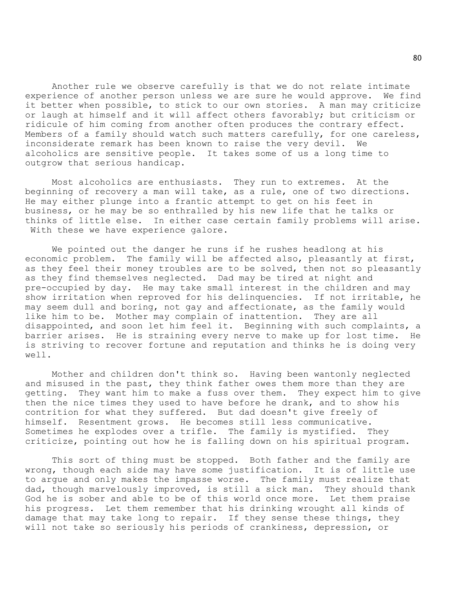Another rule we observe carefully is that we do not relate intimate experience of another person unless we are sure he would approve. We find it better when possible, to stick to our own stories. A man may criticize or laugh at himself and it will affect others favorably; but criticism or ridicule of him coming from another often produces the contrary effect. Members of a family should watch such matters carefully, for one careless, inconsiderate remark has been known to raise the very devil. We alcoholics are sensitive people. It takes some of us a long time to outgrow that serious handicap.

 Most alcoholics are enthusiasts. They run to extremes. At the beginning of recovery a man will take, as a rule, one of two directions. He may either plunge into a frantic attempt to get on his feet in business, or he may be so enthralled by his new life that he talks or thinks of little else. In either case certain family problems will arise. With these we have experience galore.

 We pointed out the danger he runs if he rushes headlong at his economic problem. The family will be affected also, pleasantly at first, as they feel their money troubles are to be solved, then not so pleasantly as they find themselves neglected. Dad may be tired at night and pre-occupied by day. He may take small interest in the children and may show irritation when reproved for his delinquencies. If not irritable, he may seem dull and boring, not gay and affectionate, as the family would like him to be. Mother may complain of inattention. They are all disappointed, and soon let him feel it. Beginning with such complaints, a barrier arises. He is straining every nerve to make up for lost time. He is striving to recover fortune and reputation and thinks he is doing very well.

 Mother and children don't think so. Having been wantonly neglected and misused in the past, they think father owes them more than they are getting. They want him to make a fuss over them. They expect him to give then the nice times they used to have before he drank, and to show his contrition for what they suffered. But dad doesn't give freely of himself. Resentment grows. He becomes still less communicative. Sometimes he explodes over a trifle. The family is mystified. They criticize, pointing out how he is falling down on his spiritual program.

This sort of thing must be stopped. Both father and the family are wrong, though each side may have some justification. It is of little use to argue and only makes the impasse worse. The family must realize that dad, though marvelously improved, is still a sick man. They should thank God he is sober and able to be of this world once more. Let them praise his progress. Let them remember that his drinking wrought all kinds of damage that may take long to repair. If they sense these things, they will not take so seriously his periods of crankiness, depression, or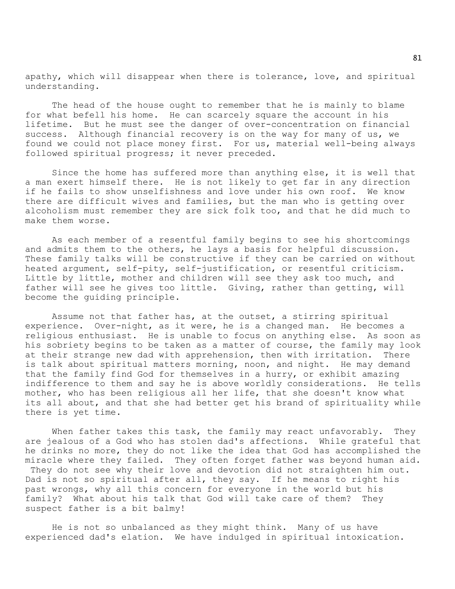apathy, which will disappear when there is tolerance, love, and spiritual understanding.

 The head of the house ought to remember that he is mainly to blame for what befell his home. He can scarcely square the account in his lifetime. But he must see the danger of over-concentration on financial success. Although financial recovery is on the way for many of us, we found we could not place money first. For us, material well-being always followed spiritual progress; it never preceded.

 Since the home has suffered more than anything else, it is well that a man exert himself there. He is not likely to get far in any direction if he fails to show unselfishness and love under his own roof. We know there are difficult wives and families, but the man who is getting over alcoholism must remember they are sick folk too, and that he did much to make them worse.

 As each member of a resentful family begins to see his shortcomings and admits them to the others, he lays a basis for helpful discussion. These family talks will be constructive if they can be carried on without heated argument, self-pity, self-justification, or resentful criticism. Little by little, mother and children will see they ask too much, and father will see he gives too little. Giving, rather than getting, will become the guiding principle.

 Assume not that father has, at the outset, a stirring spiritual experience. Over-night, as it were, he is a changed man. He becomes a religious enthusiast. He is unable to focus on anything else. As soon as his sobriety begins to be taken as a matter of course, the family may look at their strange new dad with apprehension, then with irritation. There is talk about spiritual matters morning, noon, and night. He may demand that the family find God for themselves in a hurry, or exhibit amazing indifference to them and say he is above worldly considerations. He tells mother, who has been religious all her life, that she doesn't know what its all about, and that she had better get his brand of spirituality while there is yet time.

When father takes this task, the family may react unfavorably. They are jealous of a God who has stolen dad's affections. While grateful that he drinks no more, they do not like the idea that God has accomplished the miracle where they failed. They often forget father was beyond human aid. They do not see why their love and devotion did not straighten him out. Dad is not so spiritual after all, they say. If he means to right his past wrongs, why all this concern for everyone in the world but his family? What about his talk that God will take care of them? They suspect father is a bit balmy!

 He is not so unbalanced as they might think. Many of us have experienced dad's elation. We have indulged in spiritual intoxication.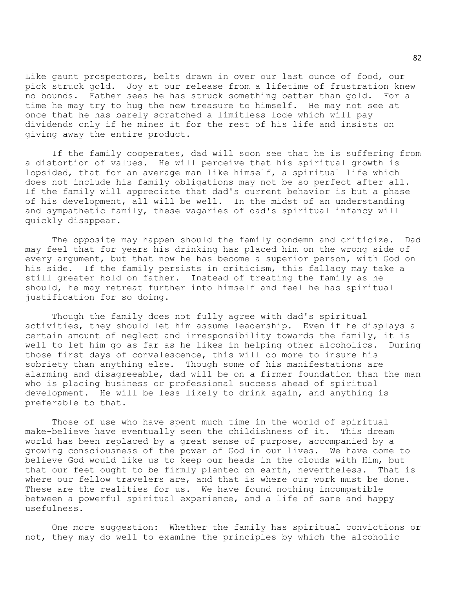Like gaunt prospectors, belts drawn in over our last ounce of food, our pick struck gold. Joy at our release from a lifetime of frustration knew no bounds. Father sees he has struck something better than gold. For a time he may try to hug the new treasure to himself. He may not see at once that he has barely scratched a limitless lode which will pay dividends only if he mines it for the rest of his life and insists on giving away the entire product.

 If the family cooperates, dad will soon see that he is suffering from a distortion of values. He will perceive that his spiritual growth is lopsided, that for an average man like himself, a spiritual life which does not include his family obligations may not be so perfect after all. If the family will appreciate that dad's current behavior is but a phase of his development, all will be well. In the midst of an understanding and sympathetic family, these vagaries of dad's spiritual infancy will quickly disappear.

 The opposite may happen should the family condemn and criticize. Dad may feel that for years his drinking has placed him on the wrong side of every argument, but that now he has become a superior person, with God on his side. If the family persists in criticism, this fallacy may take a still greater hold on father. Instead of treating the family as he should, he may retreat further into himself and feel he has spiritual justification for so doing.

 Though the family does not fully agree with dad's spiritual activities, they should let him assume leadership. Even if he displays a certain amount of neglect and irresponsibility towards the family, it is well to let him go as far as he likes in helping other alcoholics. During those first days of convalescence, this will do more to insure his sobriety than anything else. Though some of his manifestations are alarming and disagreeable, dad will be on a firmer foundation than the man who is placing business or professional success ahead of spiritual development. He will be less likely to drink again, and anything is preferable to that.

 Those of use who have spent much time in the world of spiritual make-believe have eventually seen the childishness of it. This dream world has been replaced by a great sense of purpose, accompanied by a growing consciousness of the power of God in our lives. We have come to believe God would like us to keep our heads in the clouds with Him, but that our feet ought to be firmly planted on earth, nevertheless. That is where our fellow travelers are, and that is where our work must be done. These are the realities for us. We have found nothing incompatible between a powerful spiritual experience, and a life of sane and happy usefulness.

 One more suggestion: Whether the family has spiritual convictions or not, they may do well to examine the principles by which the alcoholic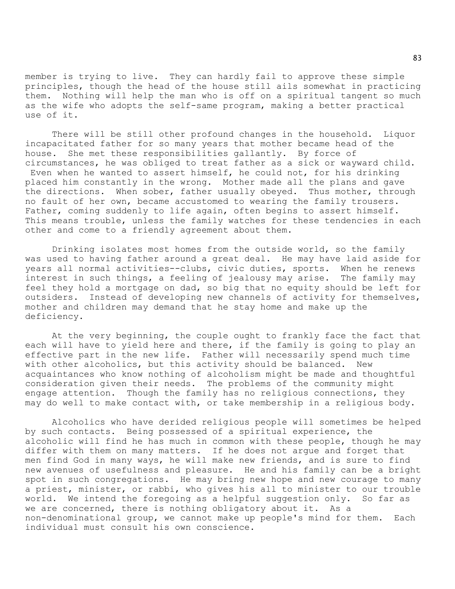member is trying to live. They can hardly fail to approve these simple principles, though the head of the house still ails somewhat in practicing them. Nothing will help the man who is off on a spiritual tangent so much as the wife who adopts the self-same program, making a better practical use of it.

 There will be still other profound changes in the household. Liquor incapacitated father for so many years that mother became head of the house. She met these responsibilities gallantly. By force of circumstances, he was obliged to treat father as a sick or wayward child. Even when he wanted to assert himself, he could not, for his drinking placed him constantly in the wrong. Mother made all the plans and gave the directions. When sober, father usually obeyed. Thus mother, through no fault of her own, became accustomed to wearing the family trousers. Father, coming suddenly to life again, often begins to assert himself. This means trouble, unless the family watches for these tendencies in each other and come to a friendly agreement about them.

 Drinking isolates most homes from the outside world, so the family was used to having father around a great deal. He may have laid aside for years all normal activities--clubs, civic duties, sports. When he renews interest in such things, a feeling of jealousy may arise. The family may feel they hold a mortgage on dad, so big that no equity should be left for outsiders. Instead of developing new channels of activity for themselves, mother and children may demand that he stay home and make up the deficiency.

 At the very beginning, the couple ought to frankly face the fact that each will have to yield here and there, if the family is going to play an effective part in the new life. Father will necessarily spend much time with other alcoholics, but this activity should be balanced. New acquaintances who know nothing of alcoholism might be made and thoughtful consideration given their needs. The problems of the community might engage attention. Though the family has no religious connections, they may do well to make contact with, or take membership in a religious body.

 Alcoholics who have derided religious people will sometimes be helped by such contacts. Being possessed of a spiritual experience, the alcoholic will find he has much in common with these people, though he may differ with them on many matters. If he does not argue and forget that men find God in many ways, he will make new friends, and is sure to find new avenues of usefulness and pleasure. He and his family can be a bright spot in such congregations. He may bring new hope and new courage to many a priest, minister, or rabbi, who gives his all to minister to our trouble world. We intend the foregoing as a helpful suggestion only. So far as we are concerned, there is nothing obligatory about it. As a non-denominational group, we cannot make up people's mind for them. Each individual must consult his own conscience.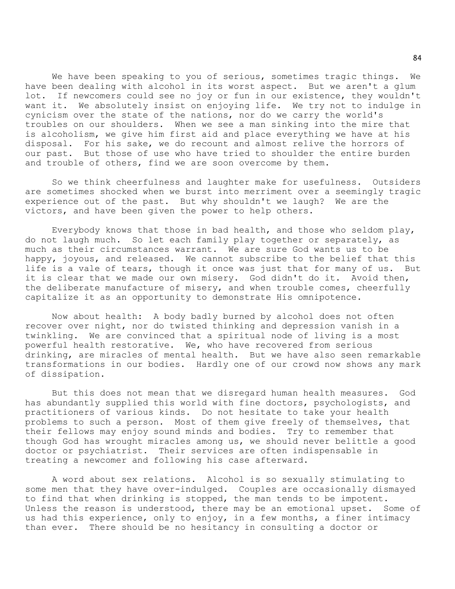We have been speaking to you of serious, sometimes tragic things. We have been dealing with alcohol in its worst aspect. But we aren't a glum lot. If newcomers could see no joy or fun in our existence, they wouldn't want it. We absolutely insist on enjoying life. We try not to indulge in cynicism over the state of the nations, nor do we carry the world's troubles on our shoulders. When we see a man sinking into the mire that is alcoholism, we give him first aid and place everything we have at his disposal. For his sake, we do recount and almost relive the horrors of our past. But those of use who have tried to shoulder the entire burden and trouble of others, find we are soon overcome by them.

 So we think cheerfulness and laughter make for usefulness. Outsiders are sometimes shocked when we burst into merriment over a seemingly tragic experience out of the past. But why shouldn't we laugh? We are the victors, and have been given the power to help others.

 Everybody knows that those in bad health, and those who seldom play, do not laugh much. So let each family play together or separately, as much as their circumstances warrant. We are sure God wants us to be happy, joyous, and released. We cannot subscribe to the belief that this life is a vale of tears, though it once was just that for many of us. But it is clear that we made our own misery. God didn't do it. Avoid then, the deliberate manufacture of misery, and when trouble comes, cheerfully capitalize it as an opportunity to demonstrate His omnipotence.

 Now about health: A body badly burned by alcohol does not often recover over night, nor do twisted thinking and depression vanish in a twinkling. We are convinced that a spiritual node of living is a most powerful health restorative. We, who have recovered from serious drinking, are miracles of mental health. But we have also seen remarkable transformations in our bodies. Hardly one of our crowd now shows any mark of dissipation.

 But this does not mean that we disregard human health measures. God has abundantly supplied this world with fine doctors, psychologists, and practitioners of various kinds. Do not hesitate to take your health problems to such a person. Most of them give freely of themselves, that their fellows may enjoy sound minds and bodies. Try to remember that though God has wrought miracles among us, we should never belittle a good doctor or psychiatrist. Their services are often indispensable in treating a newcomer and following his case afterward.

 A word about sex relations. Alcohol is so sexually stimulating to some men that they have over-indulged. Couples are occasionally dismayed to find that when drinking is stopped, the man tends to be impotent. Unless the reason is understood, there may be an emotional upset. Some of us had this experience, only to enjoy, in a few months, a finer intimacy than ever. There should be no hesitancy in consulting a doctor or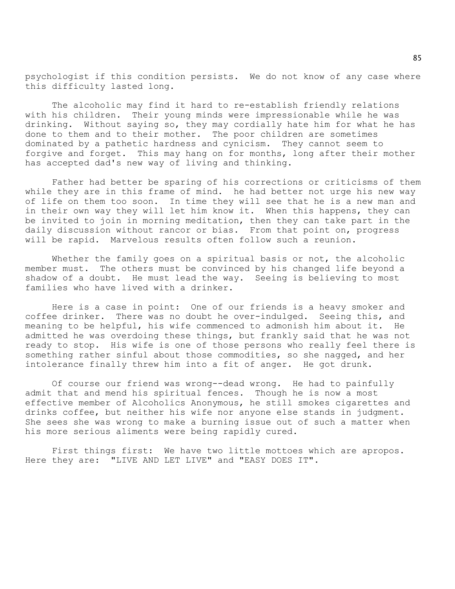psychologist if this condition persists. We do not know of any case where this difficulty lasted long.

 The alcoholic may find it hard to re-establish friendly relations with his children. Their young minds were impressionable while he was drinking. Without saying so, they may cordially hate him for what he has done to them and to their mother. The poor children are sometimes dominated by a pathetic hardness and cynicism. They cannot seem to forgive and forget. This may hang on for months, long after their mother has accepted dad's new way of living and thinking.

 Father had better be sparing of his corrections or criticisms of them while they are in this frame of mind. he had better not urge his new way of life on them too soon. In time they will see that he is a new man and in their own way they will let him know it. When this happens, they can be invited to join in morning meditation, then they can take part in the daily discussion without rancor or bias. From that point on, progress will be rapid. Marvelous results often follow such a reunion.

 Whether the family goes on a spiritual basis or not, the alcoholic member must. The others must be convinced by his changed life beyond a shadow of a doubt. He must lead the way. Seeing is believing to most families who have lived with a drinker.

 Here is a case in point: One of our friends is a heavy smoker and coffee drinker. There was no doubt he over-indulged. Seeing this, and meaning to be helpful, his wife commenced to admonish him about it. He admitted he was overdoing these things, but frankly said that he was not ready to stop. His wife is one of those persons who really feel there is something rather sinful about those commodities, so she nagged, and her intolerance finally threw him into a fit of anger. He got drunk.

 Of course our friend was wrong--dead wrong. He had to painfully admit that and mend his spiritual fences. Though he is now a most effective member of Alcoholics Anonymous, he still smokes cigarettes and drinks coffee, but neither his wife nor anyone else stands in judgment. She sees she was wrong to make a burning issue out of such a matter when his more serious aliments were being rapidly cured.

 First things first: We have two little mottoes which are apropos. Here they are: "LIVE AND LET LIVE" and "EASY DOES IT".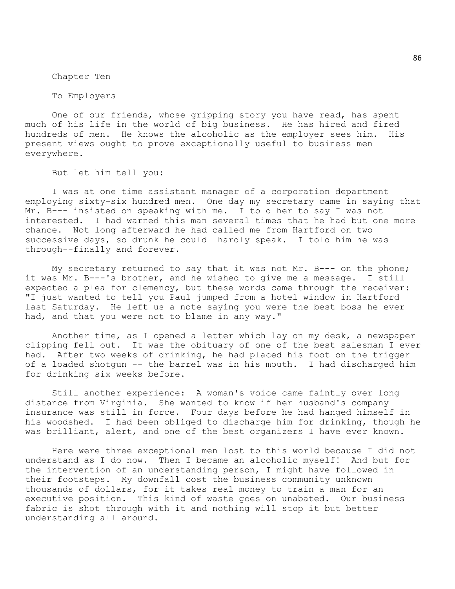Chapter Ten

To Employers

 One of our friends, whose gripping story you have read, has spent much of his life in the world of big business. He has hired and fired hundreds of men. He knows the alcoholic as the employer sees him. His present views ought to prove exceptionally useful to business men everywhere.

But let him tell you:

 I was at one time assistant manager of a corporation department employing sixty-six hundred men. One day my secretary came in saying that Mr. B--- insisted on speaking with me. I told her to say I was not interested. I had warned this man several times that he had but one more chance. Not long afterward he had called me from Hartford on two successive days, so drunk he could hardly speak. I told him he was through--finally and forever.

My secretary returned to say that it was not Mr. B--- on the phone; it was Mr. B---'s brother, and he wished to give me a message. I still expected a plea for clemency, but these words came through the receiver: "I just wanted to tell you Paul jumped from a hotel window in Hartford last Saturday. He left us a note saying you were the best boss he ever had, and that you were not to blame in any way."

 Another time, as I opened a letter which lay on my desk, a newspaper clipping fell out. It was the obituary of one of the best salesman I ever had. After two weeks of drinking, he had placed his foot on the trigger of a loaded shotgun -- the barrel was in his mouth. I had discharged him for drinking six weeks before.

 Still another experience: A woman's voice came faintly over long distance from Virginia. She wanted to know if her husband's company insurance was still in force. Four days before he had hanged himself in his woodshed. I had been obliged to discharge him for drinking, though he was brilliant, alert, and one of the best organizers I have ever known.

 Here were three exceptional men lost to this world because I did not understand as I do now. Then I became an alcoholic myself! And but for the intervention of an understanding person, I might have followed in their footsteps. My downfall cost the business community unknown thousands of dollars, for it takes real money to train a man for an executive position. This kind of waste goes on unabated. Our business fabric is shot through with it and nothing will stop it but better understanding all around.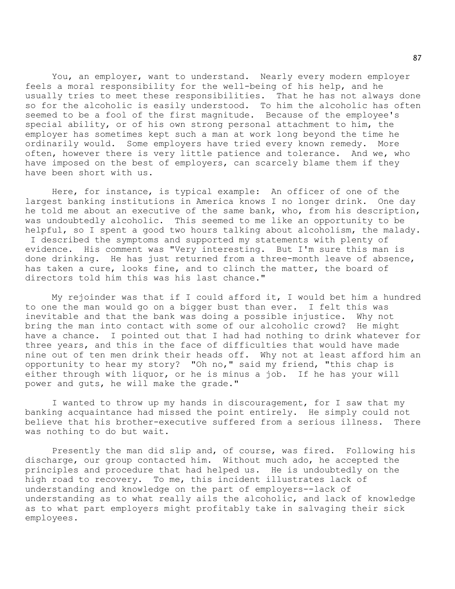You, an employer, want to understand. Nearly every modern employer feels a moral responsibility for the well-being of his help, and he usually tries to meet these responsibilities. That he has not always done so for the alcoholic is easily understood. To him the alcoholic has often seemed to be a fool of the first magnitude. Because of the employee's special ability, or of his own strong personal attachment to him, the employer has sometimes kept such a man at work long beyond the time he ordinarily would. Some employers have tried every known remedy. More often, however there is very little patience and tolerance. And we, who have imposed on the best of employers, can scarcely blame them if they have been short with us.

 Here, for instance, is typical example: An officer of one of the largest banking institutions in America knows I no longer drink. One day he told me about an executive of the same bank, who, from his description, was undoubtedly alcoholic. This seemed to me like an opportunity to be helpful, so I spent a good two hours talking about alcoholism, the malady. I described the symptoms and supported my statements with plenty of evidence. His comment was "Very interesting. But I'm sure this man is done drinking. He has just returned from a three-month leave of absence, has taken a cure, looks fine, and to clinch the matter, the board of directors told him this was his last chance."

 My rejoinder was that if I could afford it, I would bet him a hundred to one the man would go on a bigger bust than ever. I felt this was inevitable and that the bank was doing a possible injustice. Why not bring the man into contact with some of our alcoholic crowd? He might have a chance. I pointed out that I had had nothing to drink whatever for three years, and this in the face of difficulties that would have made nine out of ten men drink their heads off. Why not at least afford him an opportunity to hear my story? "Oh no," said my friend, "this chap is either through with liquor, or he is minus a job. If he has your will power and guts, he will make the grade."

 I wanted to throw up my hands in discouragement, for I saw that my banking acquaintance had missed the point entirely. He simply could not believe that his brother-executive suffered from a serious illness. There was nothing to do but wait.

 Presently the man did slip and, of course, was fired. Following his discharge, our group contacted him. Without much ado, he accepted the principles and procedure that had helped us. He is undoubtedly on the high road to recovery. To me, this incident illustrates lack of understanding and knowledge on the part of employers--lack of understanding as to what really ails the alcoholic, and lack of knowledge as to what part employers might profitably take in salvaging their sick employees.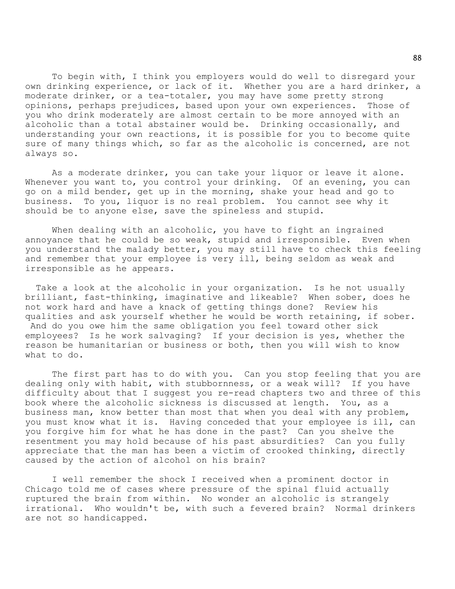To begin with, I think you employers would do well to disregard your own drinking experience, or lack of it. Whether you are a hard drinker, a moderate drinker, or a tea-totaler, you may have some pretty strong opinions, perhaps prejudices, based upon your own experiences. Those of you who drink moderately are almost certain to be more annoyed with an alcoholic than a total abstainer would be. Drinking occasionally, and understanding your own reactions, it is possible for you to become quite sure of many things which, so far as the alcoholic is concerned, are not always so.

As a moderate drinker, you can take your liquor or leave it alone. Whenever you want to, you control your drinking. Of an evening, you can go on a mild bender, get up in the morning, shake your head and go to business. To you, liquor is no real problem. You cannot see why it should be to anyone else, save the spineless and stupid.

When dealing with an alcoholic, you have to fight an ingrained annoyance that he could be so weak, stupid and irresponsible. Even when you understand the malady better, you may still have to check this feeling and remember that your employee is very ill, being seldom as weak and irresponsible as he appears.

 Take a look at the alcoholic in your organization. Is he not usually brilliant, fast-thinking, imaginative and likeable? When sober, does he not work hard and have a knack of getting things done? Review his qualities and ask yourself whether he would be worth retaining, if sober. And do you owe him the same obligation you feel toward other sick employees? Is he work salvaging? If your decision is yes, whether the reason be humanitarian or business or both, then you will wish to know what to do.

The first part has to do with you. Can you stop feeling that you are dealing only with habit, with stubbornness, or a weak will? If you have difficulty about that I suggest you re-read chapters two and three of this book where the alcoholic sickness is discussed at length. You, as a business man, know better than most that when you deal with any problem, you must know what it is. Having conceded that your employee is ill, can you forgive him for what he has done in the past? Can you shelve the resentment you may hold because of his past absurdities? Can you fully appreciate that the man has been a victim of crooked thinking, directly caused by the action of alcohol on his brain?

 I well remember the shock I received when a prominent doctor in Chicago told me of cases where pressure of the spinal fluid actually ruptured the brain from within. No wonder an alcoholic is strangely irrational. Who wouldn't be, with such a fevered brain? Normal drinkers are not so handicapped.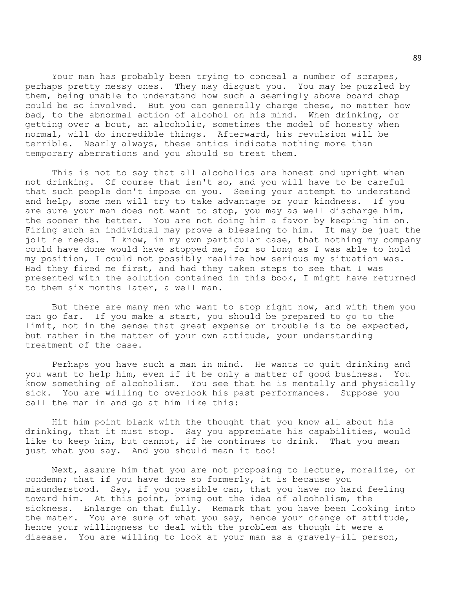Your man has probably been trying to conceal a number of scrapes, perhaps pretty messy ones. They may disgust you. You may be puzzled by them, being unable to understand how such a seemingly above board chap could be so involved. But you can generally charge these, no matter how bad, to the abnormal action of alcohol on his mind. When drinking, or getting over a bout, an alcoholic, sometimes the model of honesty when normal, will do incredible things. Afterward, his revulsion will be terrible. Nearly always, these antics indicate nothing more than temporary aberrations and you should so treat them.

 This is not to say that all alcoholics are honest and upright when not drinking. Of course that isn't so, and you will have to be careful that such people don't impose on you. Seeing your attempt to understand and help, some men will try to take advantage or your kindness. If you are sure your man does not want to stop, you may as well discharge him, the sooner the better. You are not doing him a favor by keeping him on. Firing such an individual may prove a blessing to him. It may be just the jolt he needs. I know, in my own particular case, that nothing my company could have done would have stopped me, for so long as I was able to hold my position, I could not possibly realize how serious my situation was. Had they fired me first, and had they taken steps to see that I was presented with the solution contained in this book, I might have returned to them six months later, a well man.

 But there are many men who want to stop right now, and with them you can go far. If you make a start, you should be prepared to go to the limit, not in the sense that great expense or trouble is to be expected, but rather in the matter of your own attitude, your understanding treatment of the case.

 Perhaps you have such a man in mind. He wants to quit drinking and you want to help him, even if it be only a matter of good business. You know something of alcoholism. You see that he is mentally and physically sick. You are willing to overlook his past performances. Suppose you call the man in and go at him like this:

 Hit him point blank with the thought that you know all about his drinking, that it must stop. Say you appreciate his capabilities, would like to keep him, but cannot, if he continues to drink. That you mean just what you say. And you should mean it too!

 Next, assure him that you are not proposing to lecture, moralize, or condemn; that if you have done so formerly, it is because you misunderstood. Say, if you possible can, that you have no hard feeling toward him. At this point, bring out the idea of alcoholism, the sickness. Enlarge on that fully. Remark that you have been looking into the mater. You are sure of what you say, hence your change of attitude, hence your willingness to deal with the problem as though it were a disease. You are willing to look at your man as a gravely-ill person,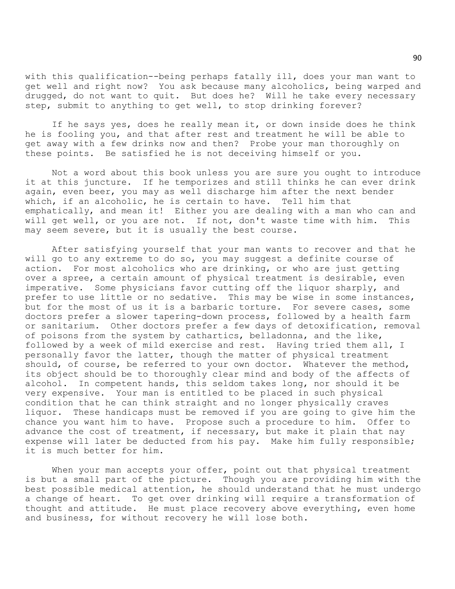with this qualification--being perhaps fatally ill, does your man want to get well and right now? You ask because many alcoholics, being warped and drugged, do not want to quit. But does he? Will he take every necessary step, submit to anything to get well, to stop drinking forever?

If he says yes, does he really mean it, or down inside does he think he is fooling you, and that after rest and treatment he will be able to get away with a few drinks now and then? Probe your man thoroughly on these points. Be satisfied he is not deceiving himself or you.

Not a word about this book unless you are sure you ought to introduce it at this juncture. If he temporizes and still thinks he can ever drink again, even beer, you may as well discharge him after the next bender which, if an alcoholic, he is certain to have. Tell him that emphatically, and mean it! Either you are dealing with a man who can and will get well, or you are not. If not, don't waste time with him. This may seem severe, but it is usually the best course.

 After satisfying yourself that your man wants to recover and that he will go to any extreme to do so, you may suggest a definite course of action. For most alcoholics who are drinking, or who are just getting over a spree, a certain amount of physical treatment is desirable, even imperative. Some physicians favor cutting off the liquor sharply, and prefer to use little or no sedative. This may be wise in some instances, but for the most of us it is a barbaric torture. For severe cases, some doctors prefer a slower tapering-down process, followed by a health farm or sanitarium. Other doctors prefer a few days of detoxification, removal of poisons from the system by cathartics, belladonna, and the like, followed by a week of mild exercise and rest. Having tried them all, I personally favor the latter, though the matter of physical treatment should, of course, be referred to your own doctor. Whatever the method, its object should be to thoroughly clear mind and body of the affects of alcohol. In competent hands, this seldom takes long, nor should it be very expensive. Your man is entitled to be placed in such physical condition that he can think straight and no longer physically craves liquor. These handicaps must be removed if you are going to give him the chance you want him to have. Propose such a procedure to him. Offer to advance the cost of treatment, if necessary, but make it plain that nay expense will later be deducted from his pay. Make him fully responsible; it is much better for him.

When your man accepts your offer, point out that physical treatment is but a small part of the picture. Though you are providing him with the best possible medical attention, he should understand that he must undergo a change of heart. To get over drinking will require a transformation of thought and attitude. He must place recovery above everything, even home and business, for without recovery he will lose both.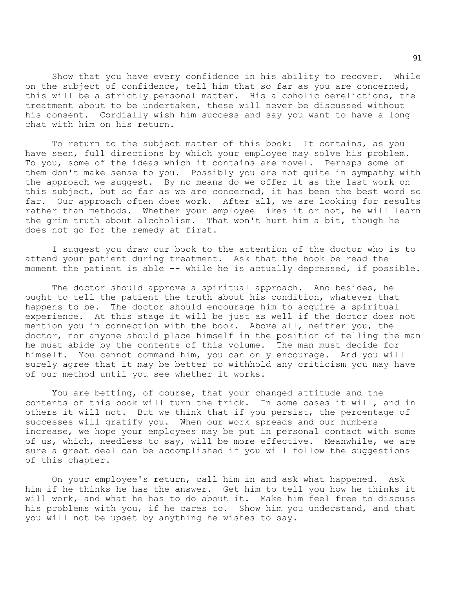Show that you have every confidence in his ability to recover. While on the subject of confidence, tell him that so far as you are concerned, this will be a strictly personal matter. His alcoholic derelictions, the treatment about to be undertaken, these will never be discussed without his consent. Cordially wish him success and say you want to have a long chat with him on his return.

 To return to the subject matter of this book: It contains, as you have seen, full directions by which your employee may solve his problem. To you, some of the ideas which it contains are novel. Perhaps some of them don't make sense to you. Possibly you are not quite in sympathy with the approach we suggest. By no means do we offer it as the last work on this subject, but so far as we are concerned, it has been the best word so far. Our approach often does work. After all, we are looking for results rather than methods. Whether your employee likes it or not, he will learn the grim truth about alcoholism. That won't hurt him a bit, though he does not go for the remedy at first.

 I suggest you draw our book to the attention of the doctor who is to attend your patient during treatment. Ask that the book be read the moment the patient is able -- while he is actually depressed, if possible.

 The doctor should approve a spiritual approach. And besides, he ought to tell the patient the truth about his condition, whatever that happens to be. The doctor should encourage him to acquire a spiritual experience. At this stage it will be just as well if the doctor does not mention you in connection with the book. Above all, neither you, the doctor, nor anyone should place himself in the position of telling the man he must abide by the contents of this volume. The man must decide for himself. You cannot command him, you can only encourage. And you will surely agree that it may be better to withhold any criticism you may have of our method until you see whether it works.

 You are betting, of course, that your changed attitude and the contents of this book will turn the trick. In some cases it will, and in others it will not. But we think that if you persist, the percentage of successes will gratify you. When our work spreads and our numbers increase, we hope your employees may be put in personal contact with some of us, which, needless to say, will be more effective. Meanwhile, we are sure a great deal can be accomplished if you will follow the suggestions of this chapter.

 On your employee's return, call him in and ask what happened. Ask him if he thinks he has the answer. Get him to tell you how he thinks it will work, and what he has to do about it. Make him feel free to discuss his problems with you, if he cares to. Show him you understand, and that you will not be upset by anything he wishes to say.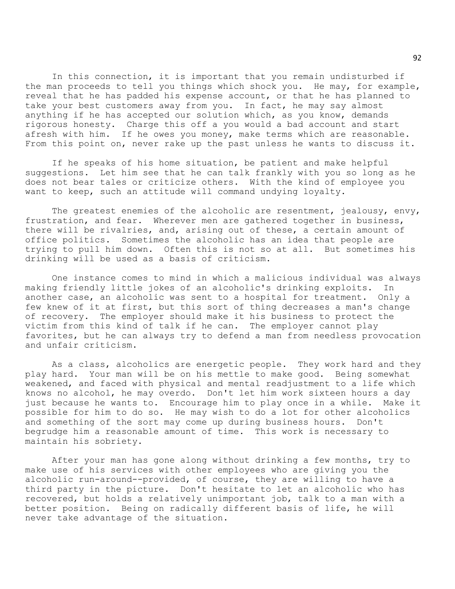In this connection, it is important that you remain undisturbed if the man proceeds to tell you things which shock you. He may, for example, reveal that he has padded his expense account, or that he has planned to take your best customers away from you. In fact, he may say almost anything if he has accepted our solution which, as you know, demands rigorous honesty. Charge this off a you would a bad account and start afresh with him. If he owes you money, make terms which are reasonable. From this point on, never rake up the past unless he wants to discuss it.

 If he speaks of his home situation, be patient and make helpful suggestions. Let him see that he can talk frankly with you so long as he does not bear tales or criticize others. With the kind of employee you want to keep, such an attitude will command undying loyalty.

The greatest enemies of the alcoholic are resentment, jealousy, envy, frustration, and fear. Wherever men are gathered together in business, there will be rivalries, and, arising out of these, a certain amount of office politics. Sometimes the alcoholic has an idea that people are trying to pull him down. Often this is not so at all. But sometimes his drinking will be used as a basis of criticism.

 One instance comes to mind in which a malicious individual was always making friendly little jokes of an alcoholic's drinking exploits. In another case, an alcoholic was sent to a hospital for treatment. Only a few knew of it at first, but this sort of thing decreases a man's change of recovery. The employer should make it his business to protect the victim from this kind of talk if he can. The employer cannot play favorites, but he can always try to defend a man from needless provocation and unfair criticism.

As a class, alcoholics are energetic people. They work hard and they play hard. Your man will be on his mettle to make good. Being somewhat weakened, and faced with physical and mental readjustment to a life which knows no alcohol, he may overdo. Don't let him work sixteen hours a day just because he wants to. Encourage him to play once in a while. Make it possible for him to do so. He may wish to do a lot for other alcoholics and something of the sort may come up during business hours. Don't begrudge him a reasonable amount of time. This work is necessary to maintain his sobriety.

 After your man has gone along without drinking a few months, try to make use of his services with other employees who are giving you the alcoholic run-around--provided, of course, they are willing to have a third party in the picture. Don't hesitate to let an alcoholic who has recovered, but holds a relatively unimportant job, talk to a man with a better position. Being on radically different basis of life, he will never take advantage of the situation.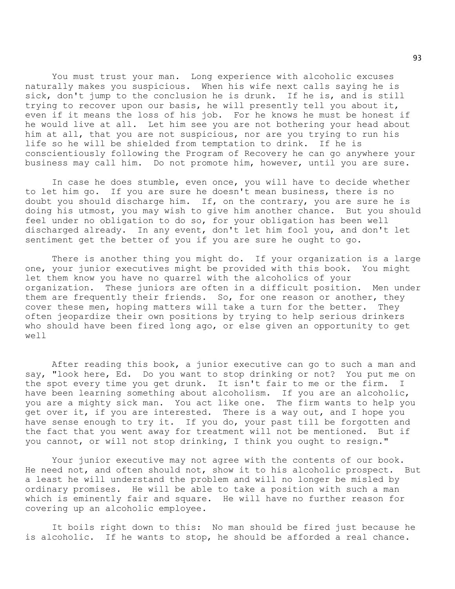You must trust your man. Long experience with alcoholic excuses naturally makes you suspicious. When his wife next calls saying he is sick, don't jump to the conclusion he is drunk. If he is, and is still trying to recover upon our basis, he will presently tell you about it, even if it means the loss of his job. For he knows he must be honest if he would live at all. Let him see you are not bothering your head about him at all, that you are not suspicious, nor are you trying to run his life so he will be shielded from temptation to drink. If he is conscientiously following the Program of Recovery he can go anywhere your business may call him. Do not promote him, however, until you are sure.

 In case he does stumble, even once, you will have to decide whether to let him go. If you are sure he doesn't mean business, there is no doubt you should discharge him. If, on the contrary, you are sure he is doing his utmost, you may wish to give him another chance. But you should feel under no obligation to do so, for your obligation has been well discharged already. In any event, don't let him fool you, and don't let sentiment get the better of you if you are sure he ought to go.

There is another thing you might do. If your organization is a large one, your junior executives might be provided with this book. You might let them know you have no quarrel with the alcoholics of your organization. These juniors are often in a difficult position. Men under them are frequently their friends. So, for one reason or another, they cover these men, hoping matters will take a turn for the better. They often jeopardize their own positions by trying to help serious drinkers who should have been fired long ago, or else given an opportunity to get well

After reading this book, a junior executive can go to such a man and say, "look here, Ed. Do you want to stop drinking or not? You put me on the spot every time you get drunk. It isn't fair to me or the firm. I have been learning something about alcoholism. If you are an alcoholic, you are a mighty sick man. You act like one. The firm wants to help you get over it, if you are interested. There is a way out, and I hope you have sense enough to try it. If you do, your past till be forgotten and the fact that you went away for treatment will not be mentioned. But if you cannot, or will not stop drinking, I think you ought to resign."

Your junior executive may not agree with the contents of our book. He need not, and often should not, show it to his alcoholic prospect. But a least he will understand the problem and will no longer be misled by ordinary promises. He will be able to take a position with such a man which is eminently fair and square. He will have no further reason for covering up an alcoholic employee.

 It boils right down to this: No man should be fired just because he is alcoholic. If he wants to stop, he should be afforded a real chance.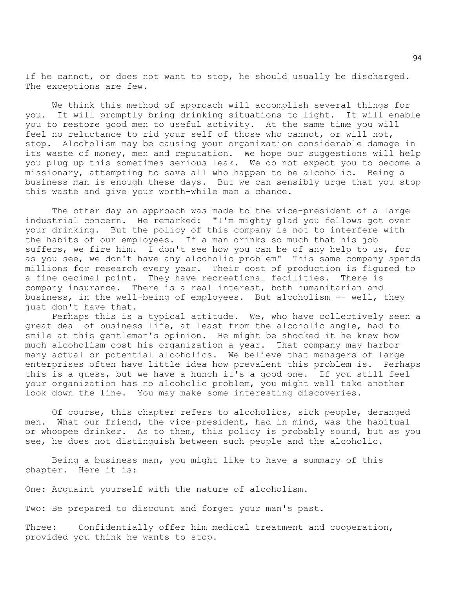If he cannot, or does not want to stop, he should usually be discharged. The exceptions are few.

 We think this method of approach will accomplish several things for you. It will promptly bring drinking situations to light. It will enable you to restore good men to useful activity. At the same time you will feel no reluctance to rid your self of those who cannot, or will not, stop. Alcoholism may be causing your organization considerable damage in its waste of money, men and reputation. We hope our suggestions will help you plug up this sometimes serious leak. We do not expect you to become a missionary, attempting to save all who happen to be alcoholic. Being a business man is enough these days. But we can sensibly urge that you stop this waste and give your worth-while man a chance.

 The other day an approach was made to the vice-president of a large industrial concern. He remarked: "I'm mighty glad you fellows got over your drinking. But the policy of this company is not to interfere with the habits of our employees. If a man drinks so much that his job suffers, we fire him. I don't see how you can be of any help to us, for as you see, we don't have any alcoholic problem" This same company spends millions for research every year. Their cost of production is figured to a fine decimal point. They have recreational facilities. There is company insurance. There is a real interest, both humanitarian and business, in the well-being of employees. But alcoholism -- well, they just don't have that.

 Perhaps this is a typical attitude. We, who have collectively seen a great deal of business life, at least from the alcoholic angle, had to smile at this gentleman's opinion. He might be shocked it he knew how much alcoholism cost his organization a year. That company may harbor many actual or potential alcoholics. We believe that managers of large enterprises often have little idea how prevalent this problem is. Perhaps this is a guess, but we have a hunch it's a good one. If you still feel your organization has no alcoholic problem, you might well take another look down the line. You may make some interesting discoveries.

Of course, this chapter refers to alcoholics, sick people, deranged men. What our friend, the vice-president, had in mind, was the habitual or whoopee drinker. As to them, this policy is probably sound, but as you see, he does not distinguish between such people and the alcoholic.

 Being a business man, you might like to have a summary of this chapter. Here it is:

One: Acquaint yourself with the nature of alcoholism.

Two: Be prepared to discount and forget your man's past.

Three: Confidentially offer him medical treatment and cooperation, provided you think he wants to stop.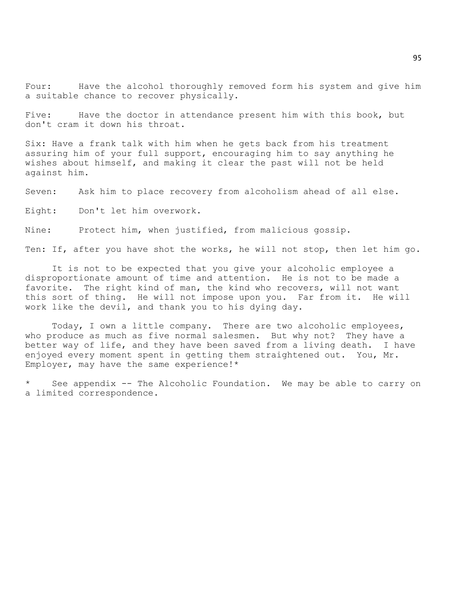Four: Have the alcohol thoroughly removed form his system and give him a suitable chance to recover physically.

Five: Have the doctor in attendance present him with this book, but don't cram it down his throat.

Six: Have a frank talk with him when he gets back from his treatment assuring him of your full support, encouraging him to say anything he wishes about himself, and making it clear the past will not be held against him.

Seven: Ask him to place recovery from alcoholism ahead of all else.

Eight: Don't let him overwork.

Nine: Protect him, when justified, from malicious gossip.

Ten: If, after you have shot the works, he will not stop, then let him go.

It is not to be expected that you give your alcoholic employee a disproportionate amount of time and attention. He is not to be made a favorite. The right kind of man, the kind who recovers, will not want this sort of thing. He will not impose upon you. Far from it. He will work like the devil, and thank you to his dying day.

 Today, I own a little company. There are two alcoholic employees, who produce as much as five normal salesmen. But why not? They have a better way of life, and they have been saved from a living death. I have enjoyed every moment spent in getting them straightened out. You, Mr. Employer, may have the same experience!\*

See appendix -- The Alcoholic Foundation. We may be able to carry on a limited correspondence.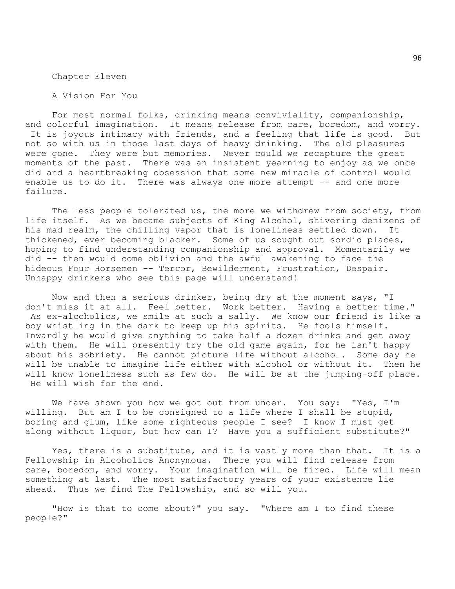Chapter Eleven

A Vision For You

 For most normal folks, drinking means conviviality, companionship, and colorful imagination. It means release from care, boredom, and worry. It is joyous intimacy with friends, and a feeling that life is good. But not so with us in those last days of heavy drinking. The old pleasures were gone. They were but memories. Never could we recapture the great moments of the past. There was an insistent yearning to enjoy as we once did and a heartbreaking obsession that some new miracle of control would enable us to do it. There was always one more attempt -- and one more failure.

The less people tolerated us, the more we withdrew from society, from life itself. As we became subjects of King Alcohol, shivering denizens of his mad realm, the chilling vapor that is loneliness settled down. It thickened, ever becoming blacker. Some of us sought out sordid places, hoping to find understanding companionship and approval. Momentarily we did -- then would come oblivion and the awful awakening to face the hideous Four Horsemen -- Terror, Bewilderment, Frustration, Despair. Unhappy drinkers who see this page will understand!

 Now and then a serious drinker, being dry at the moment says, "I don't miss it at all. Feel better. Work better. Having a better time." As ex-alcoholics, we smile at such a sally. We know our friend is like a boy whistling in the dark to keep up his spirits. He fools himself. Inwardly he would give anything to take half a dozen drinks and get away with them. He will presently try the old game again, for he isn't happy about his sobriety. He cannot picture life without alcohol. Some day he will be unable to imagine life either with alcohol or without it. Then he will know loneliness such as few do. He will be at the jumping-off place. He will wish for the end.

We have shown you how we got out from under. You say: "Yes, I'm willing. But am I to be consigned to a life where I shall be stupid, boring and glum, like some righteous people I see? I know I must get along without liquor, but how can I? Have you a sufficient substitute?"

 Yes, there is a substitute, and it is vastly more than that. It is a Fellowship in Alcoholics Anonymous. There you will find release from care, boredom, and worry. Your imagination will be fired. Life will mean something at last. The most satisfactory years of your existence lie ahead. Thus we find The Fellowship, and so will you.

 "How is that to come about?" you say. "Where am I to find these people?"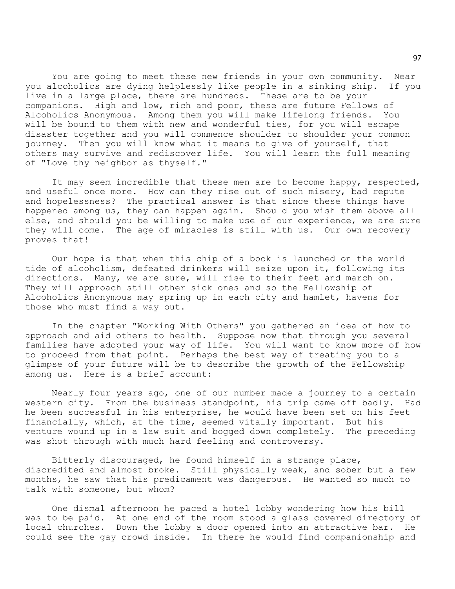You are going to meet these new friends in your own community. Near you alcoholics are dying helplessly like people in a sinking ship. If you live in a large place, there are hundreds. These are to be your companions. High and low, rich and poor, these are future Fellows of Alcoholics Anonymous. Among them you will make lifelong friends. You will be bound to them with new and wonderful ties, for you will escape disaster together and you will commence shoulder to shoulder your common journey. Then you will know what it means to give of yourself, that others may survive and rediscover life. You will learn the full meaning of "Love thy neighbor as thyself."

It may seem incredible that these men are to become happy, respected, and useful once more. How can they rise out of such misery, bad repute and hopelessness? The practical answer is that since these things have happened among us, they can happen again. Should you wish them above all else, and should you be willing to make use of our experience, we are sure they will come. The age of miracles is still with us. Our own recovery proves that!

 Our hope is that when this chip of a book is launched on the world tide of alcoholism, defeated drinkers will seize upon it, following its directions. Many, we are sure, will rise to their feet and march on. They will approach still other sick ones and so the Fellowship of Alcoholics Anonymous may spring up in each city and hamlet, havens for those who must find a way out.

 In the chapter "Working With Others" you gathered an idea of how to approach and aid others to health. Suppose now that through you several families have adopted your way of life. You will want to know more of how to proceed from that point. Perhaps the best way of treating you to a glimpse of your future will be to describe the growth of the Fellowship among us. Here is a brief account:

 Nearly four years ago, one of our number made a journey to a certain western city. From the business standpoint, his trip came off badly. Had he been successful in his enterprise, he would have been set on his feet financially, which, at the time, seemed vitally important. But his venture wound up in a law suit and bogged down completely. The preceding was shot through with much hard feeling and controversy.

 Bitterly discouraged, he found himself in a strange place, discredited and almost broke. Still physically weak, and sober but a few months, he saw that his predicament was dangerous. He wanted so much to talk with someone, but whom?

 One dismal afternoon he paced a hotel lobby wondering how his bill was to be paid. At one end of the room stood a glass covered directory of local churches. Down the lobby a door opened into an attractive bar. He could see the gay crowd inside. In there he would find companionship and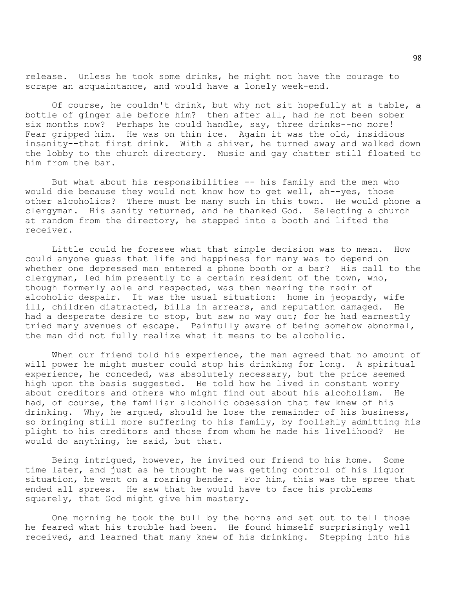release. Unless he took some drinks, he might not have the courage to scrape an acquaintance, and would have a lonely week-end.

 Of course, he couldn't drink, but why not sit hopefully at a table, a bottle of ginger ale before him? then after all, had he not been sober six months now? Perhaps he could handle, say, three drinks--no more! Fear gripped him. He was on thin ice. Again it was the old, insidious insanity--that first drink. With a shiver, he turned away and walked down the lobby to the church directory. Music and gay chatter still floated to him from the bar.

 But what about his responsibilities -- his family and the men who would die because they would not know how to get well, ah--yes, those other alcoholics? There must be many such in this town. He would phone a clergyman. His sanity returned, and he thanked God. Selecting a church at random from the directory, he stepped into a booth and lifted the receiver.

 Little could he foresee what that simple decision was to mean. How could anyone guess that life and happiness for many was to depend on whether one depressed man entered a phone booth or a bar? His call to the clergyman, led him presently to a certain resident of the town, who, though formerly able and respected, was then nearing the nadir of alcoholic despair. It was the usual situation: home in jeopardy, wife ill, children distracted, bills in arrears, and reputation damaged. He had a desperate desire to stop, but saw no way out; for he had earnestly tried many avenues of escape. Painfully aware of being somehow abnormal, the man did not fully realize what it means to be alcoholic.

When our friend told his experience, the man agreed that no amount of will power he might muster could stop his drinking for long. A spiritual experience, he conceded, was absolutely necessary, but the price seemed high upon the basis suggested. He told how he lived in constant worry about creditors and others who might find out about his alcoholism. He had, of course, the familiar alcoholic obsession that few knew of his drinking. Why, he argued, should he lose the remainder of his business, so bringing still more suffering to his family, by foolishly admitting his plight to his creditors and those from whom he made his livelihood? He would do anything, he said, but that.

 Being intrigued, however, he invited our friend to his home. Some time later, and just as he thought he was getting control of his liquor situation, he went on a roaring bender. For him, this was the spree that ended all sprees. He saw that he would have to face his problems squarely, that God might give him mastery.

 One morning he took the bull by the horns and set out to tell those he feared what his trouble had been. He found himself surprisingly well received, and learned that many knew of his drinking. Stepping into his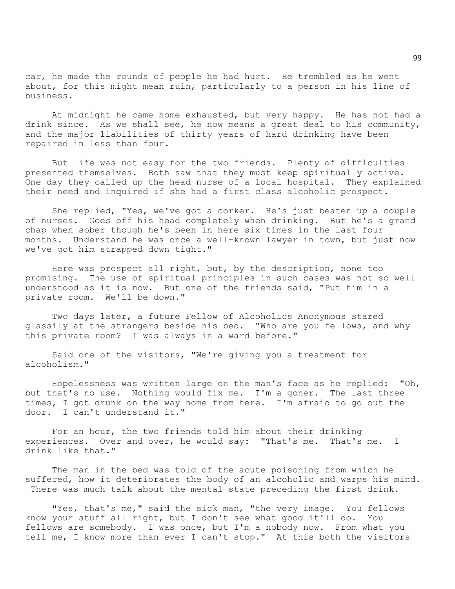car, he made the rounds of people he had hurt. He trembled as he went about, for this might mean ruin, particularly to a person in his line of business.

 At midnight he came home exhausted, but very happy. He has not had a drink since. As we shall see, he now means a great deal to his community, and the major liabilities of thirty years of hard drinking have been repaired in less than four.

 But life was not easy for the two friends. Plenty of difficulties presented themselves. Both saw that they must keep spiritually active. One day they called up the head nurse of a local hospital. They explained their need and inquired if she had a first class alcoholic prospect.

 She replied, "Yes, we've got a corker. He's just beaten up a couple of nurses. Goes off his head completely when drinking. But he's a grand chap when sober though he's been in here six times in the last four months. Understand he was once a well-known lawyer in town, but just now we've got him strapped down tight."

 Here was prospect all right, but, by the description, none too promising. The use of spiritual principles in such cases was not so well understood as it is now. But one of the friends said, "Put him in a private room. We'll be down."

 Two days later, a future Fellow of Alcoholics Anonymous stared glassily at the strangers beside his bed. "Who are you fellows, and why this private room? I was always in a ward before."

 Said one of the visitors, "We're giving you a treatment for alcoholism."

 Hopelessness was written large on the man's face as he replied: "Oh, but that's no use. Nothing would fix me. I'm a goner. The last three times, I got drunk on the way home from here. I'm afraid to go out the door. I can't understand it."

 For an hour, the two friends told him about their drinking experiences. Over and over, he would say: "That's me. That's me. I drink like that."

 The man in the bed was told of the acute poisoning from which he suffered, how it deteriorates the body of an alcoholic and warps his mind. There was much talk about the mental state preceding the first drink.

 "Yes, that's me," said the sick man, "the very image. You fellows know your stuff all right, but I don't see what good it'll do. You fellows are somebody. I was once, but I'm a nobody now. From what you tell me, I know more than ever I can't stop." At this both the visitors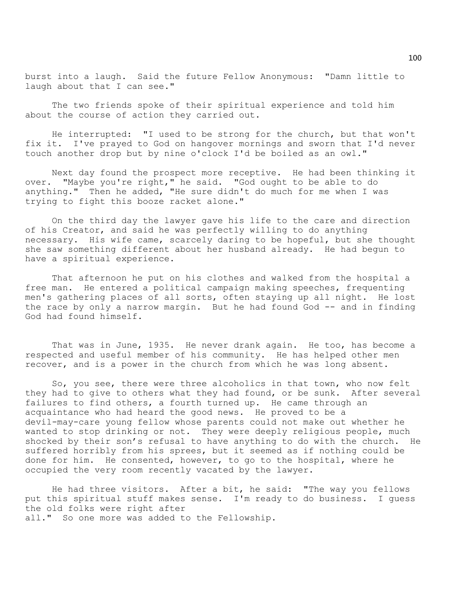burst into a laugh. Said the future Fellow Anonymous: "Damn little to laugh about that I can see."

 The two friends spoke of their spiritual experience and told him about the course of action they carried out.

 He interrupted: "I used to be strong for the church, but that won't fix it. I've prayed to God on hangover mornings and sworn that I'd never touch another drop but by nine o'clock I'd be boiled as an owl."

 Next day found the prospect more receptive. He had been thinking it over. "Maybe you're right," he said. "God ought to be able to do anything." Then he added, "He sure didn't do much for me when I was trying to fight this booze racket alone."

 On the third day the lawyer gave his life to the care and direction of his Creator, and said he was perfectly willing to do anything necessary. His wife came, scarcely daring to be hopeful, but she thought she saw something different about her husband already. He had begun to have a spiritual experience.

 That afternoon he put on his clothes and walked from the hospital a free man. He entered a political campaign making speeches, frequenting men's gathering places of all sorts, often staying up all night. He lost the race by only a narrow margin. But he had found God -- and in finding God had found himself.

 That was in June, 1935. He never drank again. He too, has become a respected and useful member of his community. He has helped other men recover, and is a power in the church from which he was long absent.

 So, you see, there were three alcoholics in that town, who now felt they had to give to others what they had found, or be sunk. After several failures to find others, a fourth turned up. He came through an acquaintance who had heard the good news. He proved to be a devil-may-care young fellow whose parents could not make out whether he wanted to stop drinking or not. They were deeply religious people, much shocked by their son's refusal to have anything to do with the church. He suffered horribly from his sprees, but it seemed as if nothing could be done for him. He consented, however, to go to the hospital, where he occupied the very room recently vacated by the lawyer.

 He had three visitors. After a bit, he said: "The way you fellows put this spiritual stuff makes sense. I'm ready to do business. I guess the old folks were right after all." So one more was added to the Fellowship.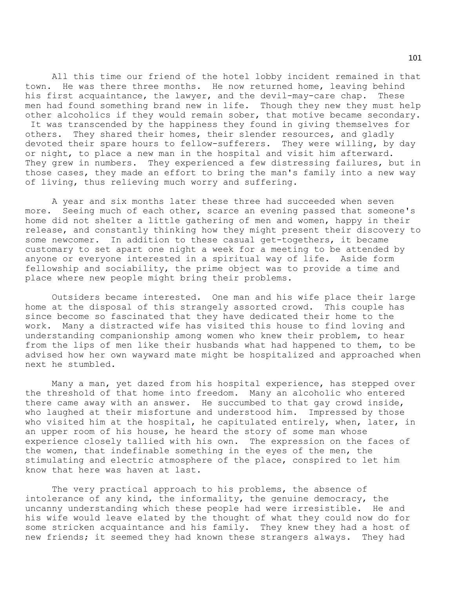All this time our friend of the hotel lobby incident remained in that town. He was there three months. He now returned home, leaving behind his first acquaintance, the lawyer, and the devil-may-care chap. These men had found something brand new in life. Though they new they must help other alcoholics if they would remain sober, that motive became secondary. It was transcended by the happiness they found in giving themselves for others. They shared their homes, their slender resources, and gladly devoted their spare hours to fellow-sufferers. They were willing, by day or night, to place a new man in the hospital and visit him afterward. They grew in numbers. They experienced a few distressing failures, but in those cases, they made an effort to bring the man's family into a new way of living, thus relieving much worry and suffering.

 A year and six months later these three had succeeded when seven more. Seeing much of each other, scarce an evening passed that someone's home did not shelter a little gathering of men and women, happy in their release, and constantly thinking how they might present their discovery to some newcomer. In addition to these casual get-togethers, it became customary to set apart one night a week for a meeting to be attended by anyone or everyone interested in a spiritual way of life. Aside form fellowship and sociability, the prime object was to provide a time and place where new people might bring their problems.

 Outsiders became interested. One man and his wife place their large home at the disposal of this strangely assorted crowd. This couple has since become so fascinated that they have dedicated their home to the work. Many a distracted wife has visited this house to find loving and understanding companionship among women who knew their problem, to hear from the lips of men like their husbands what had happened to them, to be advised how her own wayward mate might be hospitalized and approached when next he stumbled.

 Many a man, yet dazed from his hospital experience, has stepped over the threshold of that home into freedom. Many an alcoholic who entered there came away with an answer. He succumbed to that gay crowd inside, who laughed at their misfortune and understood him. Impressed by those who visited him at the hospital, he capitulated entirely, when, later, in an upper room of his house, he heard the story of some man whose experience closely tallied with his own. The expression on the faces of the women, that indefinable something in the eyes of the men, the stimulating and electric atmosphere of the place, conspired to let him know that here was haven at last.

 The very practical approach to his problems, the absence of intolerance of any kind, the informality, the genuine democracy, the uncanny understanding which these people had were irresistible. He and his wife would leave elated by the thought of what they could now do for some stricken acquaintance and his family. They knew they had a host of new friends; it seemed they had known these strangers always. They had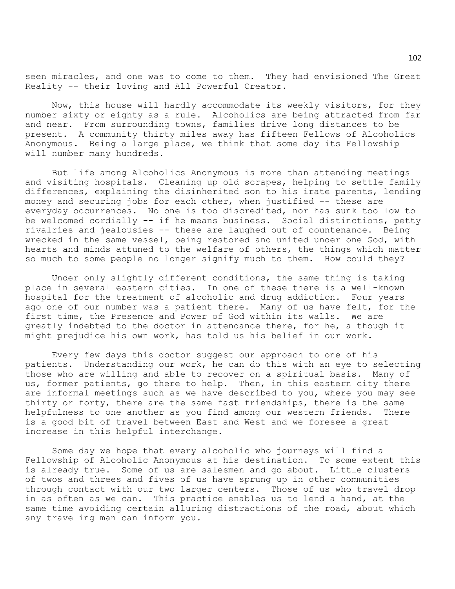seen miracles, and one was to come to them. They had envisioned The Great Reality -- their loving and All Powerful Creator.

 Now, this house will hardly accommodate its weekly visitors, for they number sixty or eighty as a rule. Alcoholics are being attracted from far and near. From surrounding towns, families drive long distances to be present. A community thirty miles away has fifteen Fellows of Alcoholics Anonymous. Being a large place, we think that some day its Fellowship will number many hundreds.

 But life among Alcoholics Anonymous is more than attending meetings and visiting hospitals. Cleaning up old scrapes, helping to settle family differences, explaining the disinherited son to his irate parents, lending money and securing jobs for each other, when justified -- these are everyday occurrences. No one is too discredited, nor has sunk too low to be welcomed cordially -- if he means business. Social distinctions, petty rivalries and jealousies -- these are laughed out of countenance. Being wrecked in the same vessel, being restored and united under one God, with hearts and minds attuned to the welfare of others, the things which matter so much to some people no longer signify much to them. How could they?

 Under only slightly different conditions, the same thing is taking place in several eastern cities. In one of these there is a well-known hospital for the treatment of alcoholic and drug addiction. Four years ago one of our number was a patient there. Many of us have felt, for the first time, the Presence and Power of God within its walls. We are greatly indebted to the doctor in attendance there, for he, although it might prejudice his own work, has told us his belief in our work.

 Every few days this doctor suggest our approach to one of his patients. Understanding our work, he can do this with an eye to selecting those who are willing and able to recover on a spiritual basis. Many of us, former patients, go there to help. Then, in this eastern city there are informal meetings such as we have described to you, where you may see thirty or forty, there are the same fast friendships, there is the same helpfulness to one another as you find among our western friends. There is a good bit of travel between East and West and we foresee a great increase in this helpful interchange.

 Some day we hope that every alcoholic who journeys will find a Fellowship of Alcoholic Anonymous at his destination. To some extent this is already true. Some of us are salesmen and go about. Little clusters of twos and threes and fives of us have sprung up in other communities through contact with our two larger centers. Those of us who travel drop in as often as we can. This practice enables us to lend a hand, at the same time avoiding certain alluring distractions of the road, about which any traveling man can inform you.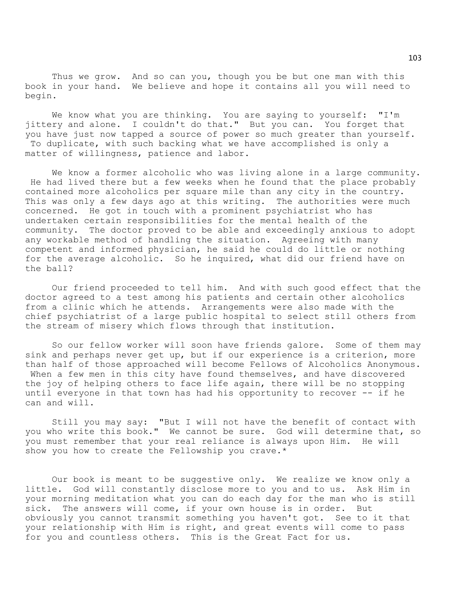Thus we grow. And so can you, though you be but one man with this book in your hand. We believe and hope it contains all you will need to begin.

We know what you are thinking. You are saying to yourself: "I'm jittery and alone. I couldn't do that." But you can. You forget that you have just now tapped a source of power so much greater than yourself. To duplicate, with such backing what we have accomplished is only a matter of willingness, patience and labor.

 We know a former alcoholic who was living alone in a large community. He had lived there but a few weeks when he found that the place probably contained more alcoholics per square mile than any city in the country. This was only a few days ago at this writing. The authorities were much concerned. He got in touch with a prominent psychiatrist who has undertaken certain responsibilities for the mental health of the community. The doctor proved to be able and exceedingly anxious to adopt any workable method of handling the situation. Agreeing with many competent and informed physician, he said he could do little or nothing for the average alcoholic. So he inquired, what did our friend have on the ball?

 Our friend proceeded to tell him. And with such good effect that the doctor agreed to a test among his patients and certain other alcoholics from a clinic which he attends. Arrangements were also made with the chief psychiatrist of a large public hospital to select still others from the stream of misery which flows through that institution.

 So our fellow worker will soon have friends galore. Some of them may sink and perhaps never get up, but if our experience is a criterion, more than half of those approached will become Fellows of Alcoholics Anonymous. When a few men in this city have found themselves, and have discovered the joy of helping others to face life again, there will be no stopping until everyone in that town has had his opportunity to recover -- if he can and will.

 Still you may say: "But I will not have the benefit of contact with you who write this book." We cannot be sure. God will determine that, so you must remember that your real reliance is always upon Him. He will show you how to create the Fellowship you crave.\*

 Our book is meant to be suggestive only. We realize we know only a little. God will constantly disclose more to you and to us. Ask Him in your morning meditation what you can do each day for the man who is still sick. The answers will come, if your own house is in order. But obviously you cannot transmit something you haven't got. See to it that your relationship with Him is right, and great events will come to pass for you and countless others. This is the Great Fact for us.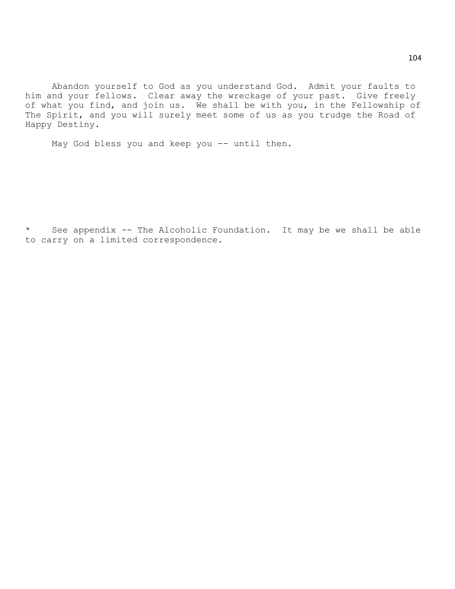Abandon yourself to God as you understand God. Admit your faults to him and your fellows. Clear away the wreckage of your past. Give freely of what you find, and join us. We shall be with you, in the Fellowship of The Spirit, and you will surely meet some of us as you trudge the Road of Happy Destiny.

May God bless you and keep you -- until then.

\* See appendix -- The Alcoholic Foundation. It may be we shall be able to carry on a limited correspondence.